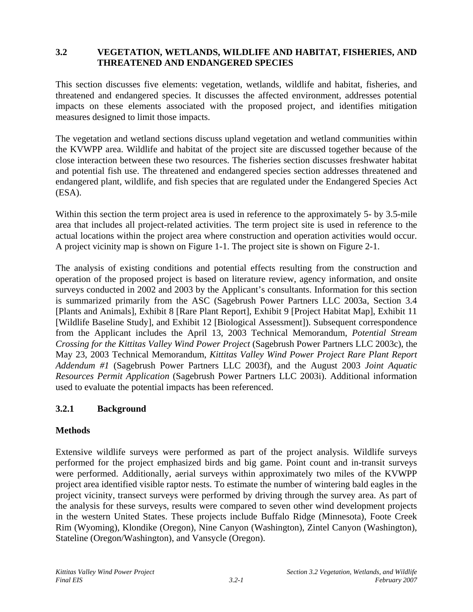# **3.2 VEGETATION, WETLANDS, WILDLIFE AND HABITAT, FISHERIES, AND THREATENED AND ENDANGERED SPECIES**

This section discusses five elements: vegetation, wetlands, wildlife and habitat, fisheries, and threatened and endangered species. It discusses the affected environment, addresses potential impacts on these elements associated with the proposed project, and identifies mitigation measures designed to limit those impacts.

The vegetation and wetland sections discuss upland vegetation and wetland communities within the KVWPP area. Wildlife and habitat of the project site are discussed together because of the close interaction between these two resources. The fisheries section discusses freshwater habitat and potential fish use. The threatened and endangered species section addresses threatened and endangered plant, wildlife, and fish species that are regulated under the Endangered Species Act (ESA).

Within this section the term project area is used in reference to the approximately 5- by 3.5-mile area that includes all project-related activities. The term project site is used in reference to the actual locations within the project area where construction and operation activities would occur. A project vicinity map is shown on Figure 1-1. The project site is shown on Figure 2-1.

The analysis of existing conditions and potential effects resulting from the construction and operation of the proposed project is based on literature review, agency information, and onsite surveys conducted in 2002 and 2003 by the Applicant's consultants. Information for this section is summarized primarily from the ASC (Sagebrush Power Partners LLC 2003a, Section 3.4 [Plants and Animals], Exhibit 8 [Rare Plant Report], Exhibit 9 [Project Habitat Map], Exhibit 11 [Wildlife Baseline Study], and Exhibit 12 [Biological Assessment]). Subsequent correspondence from the Applicant includes the April 13, 2003 Technical Memorandum, *Potential Stream Crossing for the Kittitas Valley Wind Power Project* (Sagebrush Power Partners LLC 2003c), the May 23, 2003 Technical Memorandum, *Kittitas Valley Wind Power Project Rare Plant Report Addendum #1* (Sagebrush Power Partners LLC 2003f), and the August 2003 *Joint Aquatic Resources Permit Application* (Sagebrush Power Partners LLC 2003i). Additional information used to evaluate the potential impacts has been referenced.

# **3.2.1 Background**

# **Methods**

Extensive wildlife surveys were performed as part of the project analysis. Wildlife surveys performed for the project emphasized birds and big game. Point count and in-transit surveys were performed. Additionally, aerial surveys within approximately two miles of the KVWPP project area identified visible raptor nests. To estimate the number of wintering bald eagles in the project vicinity, transect surveys were performed by driving through the survey area. As part of the analysis for these surveys, results were compared to seven other wind development projects in the western United States. These projects include Buffalo Ridge (Minnesota), Foote Creek Rim (Wyoming), Klondike (Oregon), Nine Canyon (Washington), Zintel Canyon (Washington), Stateline (Oregon/Washington), and Vansycle (Oregon).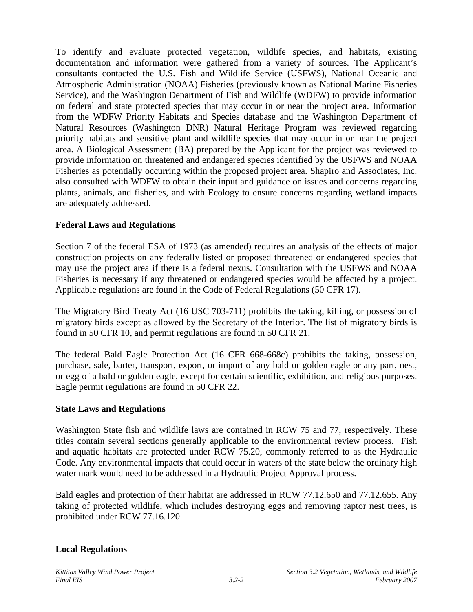To identify and evaluate protected vegetation, wildlife species, and habitats, existing documentation and information were gathered from a variety of sources. The Applicant's consultants contacted the U.S. Fish and Wildlife Service (USFWS), National Oceanic and Atmospheric Administration (NOAA) Fisheries (previously known as National Marine Fisheries Service), and the Washington Department of Fish and Wildlife (WDFW) to provide information on federal and state protected species that may occur in or near the project area. Information from the WDFW Priority Habitats and Species database and the Washington Department of Natural Resources (Washington DNR) Natural Heritage Program was reviewed regarding priority habitats and sensitive plant and wildlife species that may occur in or near the project area. A Biological Assessment (BA) prepared by the Applicant for the project was reviewed to provide information on threatened and endangered species identified by the USFWS and NOAA Fisheries as potentially occurring within the proposed project area. Shapiro and Associates, Inc. also consulted with WDFW to obtain their input and guidance on issues and concerns regarding plants, animals, and fisheries, and with Ecology to ensure concerns regarding wetland impacts are adequately addressed.

# **Federal Laws and Regulations**

Section 7 of the federal ESA of 1973 (as amended) requires an analysis of the effects of major construction projects on any federally listed or proposed threatened or endangered species that may use the project area if there is a federal nexus. Consultation with the USFWS and NOAA Fisheries is necessary if any threatened or endangered species would be affected by a project. Applicable regulations are found in the Code of Federal Regulations (50 CFR 17).

The Migratory Bird Treaty Act (16 USC 703-711) prohibits the taking, killing, or possession of migratory birds except as allowed by the Secretary of the Interior. The list of migratory birds is found in 50 CFR 10, and permit regulations are found in 50 CFR 21.

The federal Bald Eagle Protection Act (16 CFR 668-668c) prohibits the taking, possession, purchase, sale, barter, transport, export, or import of any bald or golden eagle or any part, nest, or egg of a bald or golden eagle, except for certain scientific, exhibition, and religious purposes. Eagle permit regulations are found in 50 CFR 22.

# **State Laws and Regulations**

Washington State fish and wildlife laws are contained in RCW 75 and 77, respectively. These titles contain several sections generally applicable to the environmental review process. Fish and aquatic habitats are protected under RCW 75.20, commonly referred to as the Hydraulic Code. Any environmental impacts that could occur in waters of the state below the ordinary high water mark would need to be addressed in a Hydraulic Project Approval process.

Bald eagles and protection of their habitat are addressed in RCW 77.12.650 and 77.12.655. Any taking of protected wildlife, which includes destroying eggs and removing raptor nest trees, is prohibited under RCW 77.16.120.

# **Local Regulations**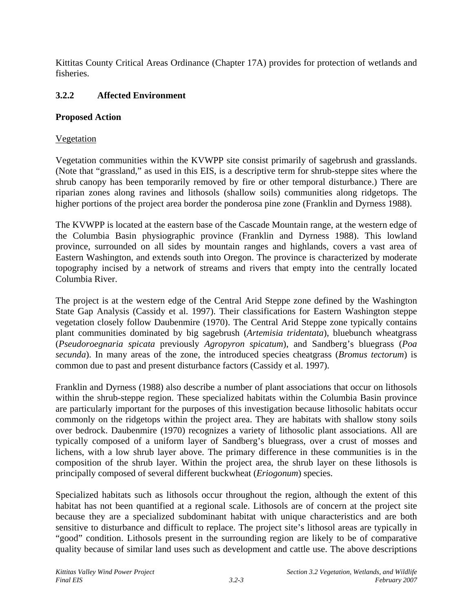Kittitas County Critical Areas Ordinance (Chapter 17A) provides for protection of wetlands and fisheries.

#### **3.2.2 Affected Environment**

#### **Proposed Action**

#### Vegetation

Vegetation communities within the KVWPP site consist primarily of sagebrush and grasslands. (Note that "grassland," as used in this EIS, is a descriptive term for shrub-steppe sites where the shrub canopy has been temporarily removed by fire or other temporal disturbance.) There are riparian zones along ravines and lithosols (shallow soils) communities along ridgetops. The higher portions of the project area border the ponderosa pine zone (Franklin and Dyrness 1988).

The KVWPP is located at the eastern base of the Cascade Mountain range, at the western edge of the Columbia Basin physiographic province (Franklin and Dyrness 1988). This lowland province, surrounded on all sides by mountain ranges and highlands, covers a vast area of Eastern Washington, and extends south into Oregon. The province is characterized by moderate topography incised by a network of streams and rivers that empty into the centrally located Columbia River.

The project is at the western edge of the Central Arid Steppe zone defined by the Washington State Gap Analysis (Cassidy et al. 1997). Their classifications for Eastern Washington steppe vegetation closely follow Daubenmire (1970). The Central Arid Steppe zone typically contains plant communities dominated by big sagebrush (*Artemisia tridentata*), bluebunch wheatgrass (*Pseudoroegnaria spicata* previously *Agropyron spicatum*), and Sandberg's bluegrass (*Poa secunda*). In many areas of the zone, the introduced species cheatgrass (*Bromus tectorum*) is common due to past and present disturbance factors (Cassidy et al. 1997).

Franklin and Dyrness (1988) also describe a number of plant associations that occur on lithosols within the shrub-steppe region. These specialized habitats within the Columbia Basin province are particularly important for the purposes of this investigation because lithosolic habitats occur commonly on the ridgetops within the project area. They are habitats with shallow stony soils over bedrock. Daubenmire (1970) recognizes a variety of lithosolic plant associations. All are typically composed of a uniform layer of Sandberg's bluegrass, over a crust of mosses and lichens, with a low shrub layer above. The primary difference in these communities is in the composition of the shrub layer. Within the project area, the shrub layer on these lithosols is principally composed of several different buckwheat (*Eriogonum*) species.

Specialized habitats such as lithosols occur throughout the region, although the extent of this habitat has not been quantified at a regional scale. Lithosols are of concern at the project site because they are a specialized subdominant habitat with unique characteristics and are both sensitive to disturbance and difficult to replace. The project site's lithosol areas are typically in "good" condition. Lithosols present in the surrounding region are likely to be of comparative quality because of similar land uses such as development and cattle use. The above descriptions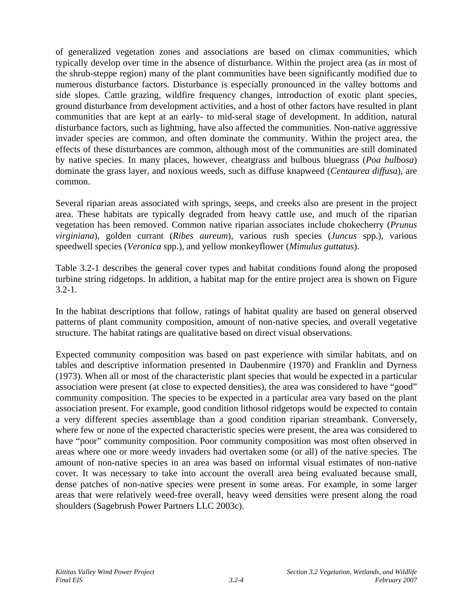of generalized vegetation zones and associations are based on climax communities, which typically develop over time in the absence of disturbance. Within the project area (as in most of the shrub-steppe region) many of the plant communities have been significantly modified due to numerous disturbance factors. Disturbance is especially pronounced in the valley bottoms and side slopes. Cattle grazing, wildfire frequency changes, introduction of exotic plant species, ground disturbance from development activities, and a host of other factors have resulted in plant communities that are kept at an early- to mid-seral stage of development. In addition, natural disturbance factors, such as lightning, have also affected the communities. Non-native aggressive invader species are common, and often dominate the community. Within the project area, the effects of these disturbances are common, although most of the communities are still dominated by native species. In many places, however, cheatgrass and bulbous bluegrass (*Poa bulbosa*) dominate the grass layer, and noxious weeds, such as diffuse knapweed (*Centaurea diffusa*), are common.

Several riparian areas associated with springs, seeps, and creeks also are present in the project area. These habitats are typically degraded from heavy cattle use, and much of the riparian vegetation has been removed. Common native riparian associates include chokecherry (*Prunus virginiana*), golden currant (*Ribes aureum*), various rush species (*Juncus* spp.), various speedwell species (*Veronica* spp.), and yellow monkeyflower (*Mimulus guttatus*).

Table 3.2-1 describes the general cover types and habitat conditions found along the proposed turbine string ridgetops. In addition, a habitat map for the entire project area is shown on Figure  $3.2 - 1.$ 

In the habitat descriptions that follow, ratings of habitat quality are based on general observed patterns of plant community composition, amount of non-native species, and overall vegetative structure. The habitat ratings are qualitative based on direct visual observations.

Expected community composition was based on past experience with similar habitats, and on tables and descriptive information presented in Daubenmire (1970) and Franklin and Dyrness (1973). When all or most of the characteristic plant species that would be expected in a particular association were present (at close to expected densities), the area was considered to have "good" community composition. The species to be expected in a particular area vary based on the plant association present. For example, good condition lithosol ridgetops would be expected to contain a very different species assemblage than a good condition riparian streambank. Conversely, where few or none of the expected characteristic species were present, the area was considered to have "poor" community composition. Poor community composition was most often observed in areas where one or more weedy invaders had overtaken some (or all) of the native species. The amount of non-native species in an area was based on informal visual estimates of non-native cover. It was necessary to take into account the overall area being evaluated because small, dense patches of non-native species were present in some areas. For example, in some larger areas that were relatively weed-free overall, heavy weed densities were present along the road shoulders (Sagebrush Power Partners LLC 2003c).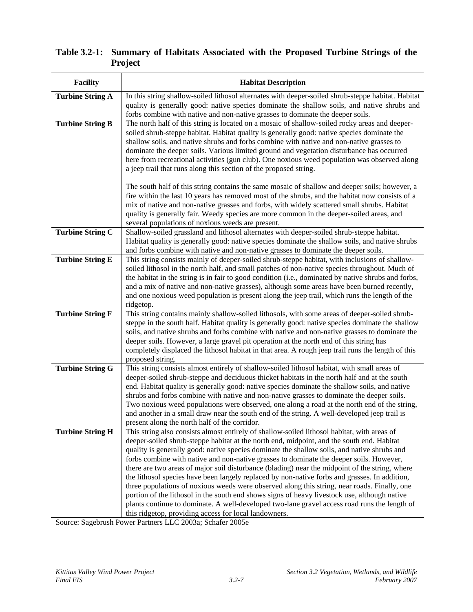| <b>Facility</b>         | <b>Habitat Description</b>                                                                                                                                                                                                                                                                                                                                                                                                                                                                                                                                                                                                                                                                                                                                                                                                                                                                                                                     |
|-------------------------|------------------------------------------------------------------------------------------------------------------------------------------------------------------------------------------------------------------------------------------------------------------------------------------------------------------------------------------------------------------------------------------------------------------------------------------------------------------------------------------------------------------------------------------------------------------------------------------------------------------------------------------------------------------------------------------------------------------------------------------------------------------------------------------------------------------------------------------------------------------------------------------------------------------------------------------------|
| <b>Turbine String A</b> | In this string shallow-soiled lithosol alternates with deeper-soiled shrub-steppe habitat. Habitat<br>quality is generally good: native species dominate the shallow soils, and native shrubs and<br>forbs combine with native and non-native grasses to dominate the deeper soils.                                                                                                                                                                                                                                                                                                                                                                                                                                                                                                                                                                                                                                                            |
| <b>Turbine String B</b> | The north half of this string is located on a mosaic of shallow-soiled rocky areas and deeper-<br>soiled shrub-steppe habitat. Habitat quality is generally good: native species dominate the<br>shallow soils, and native shrubs and forbs combine with native and non-native grasses to<br>dominate the deeper soils. Various limited ground and vegetation disturbance has occurred<br>here from recreational activities (gun club). One noxious weed population was observed along<br>a jeep trail that runs along this section of the proposed string.<br>The south half of this string contains the same mosaic of shallow and deeper soils; however, a                                                                                                                                                                                                                                                                                  |
|                         | fire within the last 10 years has removed most of the shrubs, and the habitat now consists of a<br>mix of native and non-native grasses and forbs, with widely scattered small shrubs. Habitat<br>quality is generally fair. Weedy species are more common in the deeper-soiled areas, and<br>several populations of noxious weeds are present.                                                                                                                                                                                                                                                                                                                                                                                                                                                                                                                                                                                                |
| <b>Turbine String C</b> | Shallow-soiled grassland and lithosol alternates with deeper-soiled shrub-steppe habitat.<br>Habitat quality is generally good: native species dominate the shallow soils, and native shrubs<br>and forbs combine with native and non-native grasses to dominate the deeper soils.                                                                                                                                                                                                                                                                                                                                                                                                                                                                                                                                                                                                                                                             |
| <b>Turbine String E</b> | This string consists mainly of deeper-soiled shrub-steppe habitat, with inclusions of shallow-<br>soiled lithosol in the north half, and small patches of non-native species throughout. Much of<br>the habitat in the string is in fair to good condition (i.e., dominated by native shrubs and forbs,<br>and a mix of native and non-native grasses), although some areas have been burned recently,<br>and one noxious weed population is present along the jeep trail, which runs the length of the<br>ridgetop.                                                                                                                                                                                                                                                                                                                                                                                                                           |
| <b>Turbine String F</b> | This string contains mainly shallow-soiled lithosols, with some areas of deeper-soiled shrub-<br>steppe in the south half. Habitat quality is generally good: native species dominate the shallow<br>soils, and native shrubs and forbs combine with native and non-native grasses to dominate the<br>deeper soils. However, a large gravel pit operation at the north end of this string has<br>completely displaced the lithosol habitat in that area. A rough jeep trail runs the length of this<br>proposed string.                                                                                                                                                                                                                                                                                                                                                                                                                        |
| <b>Turbine String G</b> | This string consists almost entirely of shallow-soiled lithosol habitat, with small areas of<br>deeper-soiled shrub-steppe and deciduous thicket habitats in the north half and at the south<br>end. Habitat quality is generally good: native species dominate the shallow soils, and native<br>shrubs and forbs combine with native and non-native grasses to dominate the deeper soils.<br>Two noxious weed populations were observed, one along a road at the north end of the string,<br>and another in a small draw near the south end of the string. A well-developed jeep trail is<br>present along the north half of the corridor.                                                                                                                                                                                                                                                                                                    |
| <b>Turbine String H</b> | This string also consists almost entirely of shallow-soiled lithosol habitat, with areas of<br>deeper-soiled shrub-steppe habitat at the north end, midpoint, and the south end. Habitat<br>quality is generally good: native species dominate the shallow soils, and native shrubs and<br>forbs combine with native and non-native grasses to dominate the deeper soils. However,<br>there are two areas of major soil disturbance (blading) near the midpoint of the string, where<br>the lithosol species have been largely replaced by non-native forbs and grasses. In addition,<br>three populations of noxious weeds were observed along this string, near roads. Finally, one<br>portion of the lithosol in the south end shows signs of heavy livestock use, although native<br>plants continue to dominate. A well-developed two-lane gravel access road runs the length of<br>this ridgetop, providing access for local landowners. |

# **Table 3.2-1: Summary of Habitats Associated with the Proposed Turbine Strings of the Project**

Source: Sagebrush Power Partners LLC 2003a; Schafer 2005e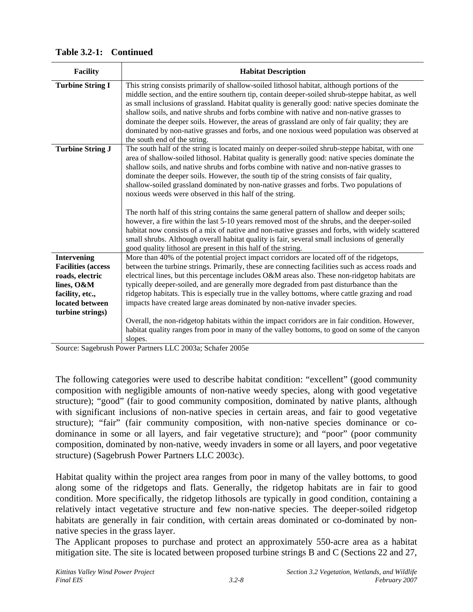| <b>Facility</b>           | <b>Habitat Description</b>                                                                                                                                                                                                                                                                                                                                                                                                                                                                                                                                                                                                     |
|---------------------------|--------------------------------------------------------------------------------------------------------------------------------------------------------------------------------------------------------------------------------------------------------------------------------------------------------------------------------------------------------------------------------------------------------------------------------------------------------------------------------------------------------------------------------------------------------------------------------------------------------------------------------|
| <b>Turbine String I</b>   | This string consists primarily of shallow-soiled lithosol habitat, although portions of the<br>middle section, and the entire southern tip, contain deeper-soiled shrub-steppe habitat, as well<br>as small inclusions of grassland. Habitat quality is generally good: native species dominate the<br>shallow soils, and native shrubs and forbs combine with native and non-native grasses to<br>dominate the deeper soils. However, the areas of grassland are only of fair quality; they are<br>dominated by non-native grasses and forbs, and one noxious weed population was observed at<br>the south end of the string. |
| <b>Turbine String J</b>   | The south half of the string is located mainly on deeper-soiled shrub-steppe habitat, with one<br>area of shallow-soiled lithosol. Habitat quality is generally good: native species dominate the<br>shallow soils, and native shrubs and forbs combine with native and non-native grasses to<br>dominate the deeper soils. However, the south tip of the string consists of fair quality,<br>shallow-soiled grassland dominated by non-native grasses and forbs. Two populations of<br>noxious weeds were observed in this half of the string.                                                                                |
|                           | The north half of this string contains the same general pattern of shallow and deeper soils;<br>however, a fire within the last 5-10 years removed most of the shrubs, and the deeper-soiled<br>habitat now consists of a mix of native and non-native grasses and forbs, with widely scattered<br>small shrubs. Although overall habitat quality is fair, several small inclusions of generally<br>good quality lithosol are present in this half of the string.                                                                                                                                                              |
| <b>Intervening</b>        | More than 40% of the potential project impact corridors are located off of the ridgetops,                                                                                                                                                                                                                                                                                                                                                                                                                                                                                                                                      |
| <b>Facilities</b> (access | between the turbine strings. Primarily, these are connecting facilities such as access roads and                                                                                                                                                                                                                                                                                                                                                                                                                                                                                                                               |
| roads, electric           | electrical lines, but this percentage includes O&M areas also. These non-ridgetop habitats are                                                                                                                                                                                                                                                                                                                                                                                                                                                                                                                                 |
| lines, O&M                | typically deeper-soiled, and are generally more degraded from past disturbance than the                                                                                                                                                                                                                                                                                                                                                                                                                                                                                                                                        |
| facility, etc.,           | ridgetop habitats. This is especially true in the valley bottoms, where cattle grazing and road                                                                                                                                                                                                                                                                                                                                                                                                                                                                                                                                |
| located between           | impacts have created large areas dominated by non-native invader species.                                                                                                                                                                                                                                                                                                                                                                                                                                                                                                                                                      |
| turbine strings)          |                                                                                                                                                                                                                                                                                                                                                                                                                                                                                                                                                                                                                                |
|                           | Overall, the non-ridgetop habitats within the impact corridors are in fair condition. However,                                                                                                                                                                                                                                                                                                                                                                                                                                                                                                                                 |
|                           | habitat quality ranges from poor in many of the valley bottoms, to good on some of the canyon<br>slopes.                                                                                                                                                                                                                                                                                                                                                                                                                                                                                                                       |
|                           | $\overline{1}$ $\overline{1}$ $\overline{1}$ $\overline{0}$ $\overline{0}$ $\overline{0}$ $\overline{0}$ $\overline{1}$ $\overline{1}$ $\overline{0}$ $\overline{0}$ $\overline{0}$ $\overline{0}$ $\overline{1}$ $\overline{0}$ $\overline{0}$ $\overline{0}$ $\overline{1}$ $\overline{0}$ $\overline{0}$ $\overline{0}$ $\overline{1}$ $\overline{0}$ $\overline{0}$ $\overline{$                                                                                                                                                                                                                                           |

**Table 3.2-1: Continued** 

Source: Sagebrush Power Partners LLC 2003a; Schafer 2005e

The following categories were used to describe habitat condition: "excellent" (good community composition with negligible amounts of non-native weedy species, along with good vegetative structure); "good" (fair to good community composition, dominated by native plants, although with significant inclusions of non-native species in certain areas, and fair to good vegetative structure); "fair" (fair community composition, with non-native species dominance or codominance in some or all layers, and fair vegetative structure); and "poor" (poor community composition, dominated by non-native, weedy invaders in some or all layers, and poor vegetative structure) (Sagebrush Power Partners LLC 2003c).

Habitat quality within the project area ranges from poor in many of the valley bottoms, to good along some of the ridgetops and flats. Generally, the ridgetop habitats are in fair to good condition. More specifically, the ridgetop lithosols are typically in good condition, containing a relatively intact vegetative structure and few non-native species. The deeper-soiled ridgetop habitats are generally in fair condition, with certain areas dominated or co-dominated by nonnative species in the grass layer.

The Applicant proposes to purchase and protect an approximately 550-acre area as a habitat mitigation site. The site is located between proposed turbine strings B and C (Sections 22 and 27,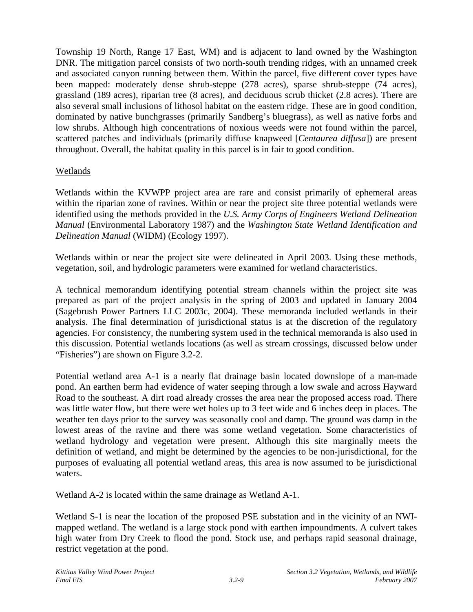Township 19 North, Range 17 East, WM) and is adjacent to land owned by the Washington DNR. The mitigation parcel consists of two north-south trending ridges, with an unnamed creek and associated canyon running between them. Within the parcel, five different cover types have been mapped: moderately dense shrub-steppe (278 acres), sparse shrub-steppe (74 acres), grassland (189 acres), riparian tree (8 acres), and deciduous scrub thicket (2.8 acres). There are also several small inclusions of lithosol habitat on the eastern ridge. These are in good condition, dominated by native bunchgrasses (primarily Sandberg's bluegrass), as well as native forbs and low shrubs. Although high concentrations of noxious weeds were not found within the parcel, scattered patches and individuals (primarily diffuse knapweed [*Centaurea diffusa*]) are present throughout. Overall, the habitat quality in this parcel is in fair to good condition.

# Wetlands

Wetlands within the KVWPP project area are rare and consist primarily of ephemeral areas within the riparian zone of ravines. Within or near the project site three potential wetlands were identified using the methods provided in the *U.S. Army Corps of Engineers Wetland Delineation Manual* (Environmental Laboratory 1987) and the *Washington State Wetland Identification and Delineation Manual* (WIDM) (Ecology 1997).

Wetlands within or near the project site were delineated in April 2003. Using these methods, vegetation, soil, and hydrologic parameters were examined for wetland characteristics.

A technical memorandum identifying potential stream channels within the project site was prepared as part of the project analysis in the spring of 2003 and updated in January 2004 (Sagebrush Power Partners LLC 2003c, 2004). These memoranda included wetlands in their analysis. The final determination of jurisdictional status is at the discretion of the regulatory agencies. For consistency, the numbering system used in the technical memoranda is also used in this discussion. Potential wetlands locations (as well as stream crossings, discussed below under "Fisheries") are shown on Figure 3.2-2.

Potential wetland area A-1 is a nearly flat drainage basin located downslope of a man-made pond. An earthen berm had evidence of water seeping through a low swale and across Hayward Road to the southeast. A dirt road already crosses the area near the proposed access road. There was little water flow, but there were wet holes up to 3 feet wide and 6 inches deep in places. The weather ten days prior to the survey was seasonally cool and damp. The ground was damp in the lowest areas of the ravine and there was some wetland vegetation. Some characteristics of wetland hydrology and vegetation were present. Although this site marginally meets the definition of wetland, and might be determined by the agencies to be non-jurisdictional, for the purposes of evaluating all potential wetland areas, this area is now assumed to be jurisdictional waters.

Wetland A-2 is located within the same drainage as Wetland A-1.

Wetland S-1 is near the location of the proposed PSE substation and in the vicinity of an NWImapped wetland. The wetland is a large stock pond with earthen impoundments. A culvert takes high water from Dry Creek to flood the pond. Stock use, and perhaps rapid seasonal drainage, restrict vegetation at the pond.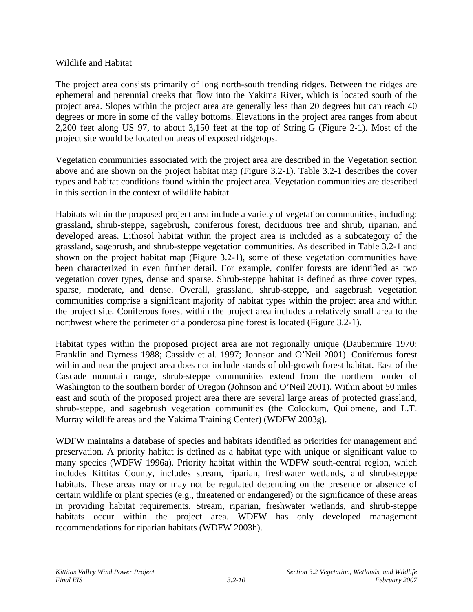#### Wildlife and Habitat

The project area consists primarily of long north-south trending ridges. Between the ridges are ephemeral and perennial creeks that flow into the Yakima River, which is located south of the project area. Slopes within the project area are generally less than 20 degrees but can reach 40 degrees or more in some of the valley bottoms. Elevations in the project area ranges from about 2,200 feet along US 97, to about 3,150 feet at the top of String G (Figure 2-1). Most of the project site would be located on areas of exposed ridgetops.

Vegetation communities associated with the project area are described in the Vegetation section above and are shown on the project habitat map (Figure 3.2-1). Table 3.2-1 describes the cover types and habitat conditions found within the project area. Vegetation communities are described in this section in the context of wildlife habitat.

Habitats within the proposed project area include a variety of vegetation communities, including: grassland, shrub-steppe, sagebrush, coniferous forest, deciduous tree and shrub, riparian, and developed areas. Lithosol habitat within the project area is included as a subcategory of the grassland, sagebrush, and shrub-steppe vegetation communities. As described in Table 3.2-1 and shown on the project habitat map (Figure 3.2-1), some of these vegetation communities have been characterized in even further detail. For example, conifer forests are identified as two vegetation cover types, dense and sparse. Shrub-steppe habitat is defined as three cover types, sparse, moderate, and dense. Overall, grassland, shrub-steppe, and sagebrush vegetation communities comprise a significant majority of habitat types within the project area and within the project site. Coniferous forest within the project area includes a relatively small area to the northwest where the perimeter of a ponderosa pine forest is located (Figure 3.2-1).

Habitat types within the proposed project area are not regionally unique (Daubenmire 1970; Franklin and Dyrness 1988; Cassidy et al. 1997; Johnson and O'Neil 2001). Coniferous forest within and near the project area does not include stands of old-growth forest habitat. East of the Cascade mountain range, shrub-steppe communities extend from the northern border of Washington to the southern border of Oregon (Johnson and O'Neil 2001). Within about 50 miles east and south of the proposed project area there are several large areas of protected grassland, shrub-steppe, and sagebrush vegetation communities (the Colockum, Quilomene, and L.T. Murray wildlife areas and the Yakima Training Center) (WDFW 2003g).

WDFW maintains a database of species and habitats identified as priorities for management and preservation. A priority habitat is defined as a habitat type with unique or significant value to many species (WDFW 1996a). Priority habitat within the WDFW south-central region, which includes Kittitas County, includes stream, riparian, freshwater wetlands, and shrub-steppe habitats. These areas may or may not be regulated depending on the presence or absence of certain wildlife or plant species (e.g., threatened or endangered) or the significance of these areas in providing habitat requirements. Stream, riparian, freshwater wetlands, and shrub-steppe habitats occur within the project area. WDFW has only developed management recommendations for riparian habitats (WDFW 2003h).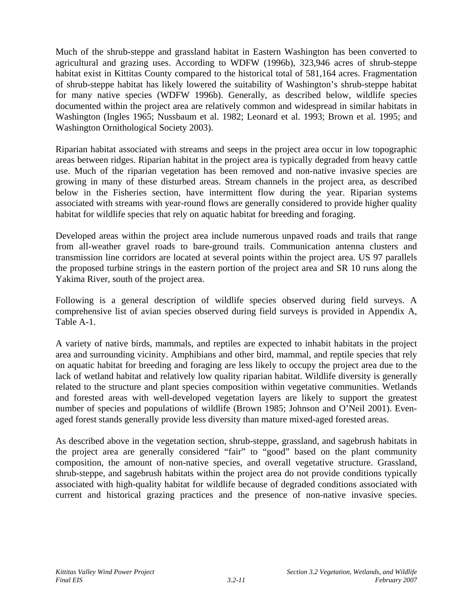Much of the shrub-steppe and grassland habitat in Eastern Washington has been converted to agricultural and grazing uses. According to WDFW (1996b), 323,946 acres of shrub-steppe habitat exist in Kittitas County compared to the historical total of 581,164 acres. Fragmentation of shrub-steppe habitat has likely lowered the suitability of Washington's shrub-steppe habitat for many native species (WDFW 1996b). Generally, as described below, wildlife species documented within the project area are relatively common and widespread in similar habitats in Washington (Ingles 1965; Nussbaum et al. 1982; Leonard et al. 1993; Brown et al. 1995; and Washington Ornithological Society 2003).

Riparian habitat associated with streams and seeps in the project area occur in low topographic areas between ridges. Riparian habitat in the project area is typically degraded from heavy cattle use. Much of the riparian vegetation has been removed and non-native invasive species are growing in many of these disturbed areas. Stream channels in the project area, as described below in the Fisheries section, have intermittent flow during the year. Riparian systems associated with streams with year-round flows are generally considered to provide higher quality habitat for wildlife species that rely on aquatic habitat for breeding and foraging.

Developed areas within the project area include numerous unpaved roads and trails that range from all-weather gravel roads to bare-ground trails. Communication antenna clusters and transmission line corridors are located at several points within the project area. US 97 parallels the proposed turbine strings in the eastern portion of the project area and SR 10 runs along the Yakima River, south of the project area.

Following is a general description of wildlife species observed during field surveys. A comprehensive list of avian species observed during field surveys is provided in Appendix A, Table A-1.

A variety of native birds, mammals, and reptiles are expected to inhabit habitats in the project area and surrounding vicinity. Amphibians and other bird, mammal, and reptile species that rely on aquatic habitat for breeding and foraging are less likely to occupy the project area due to the lack of wetland habitat and relatively low quality riparian habitat. Wildlife diversity is generally related to the structure and plant species composition within vegetative communities. Wetlands and forested areas with well-developed vegetation layers are likely to support the greatest number of species and populations of wildlife (Brown 1985; Johnson and O'Neil 2001). Evenaged forest stands generally provide less diversity than mature mixed-aged forested areas.

As described above in the vegetation section, shrub-steppe, grassland, and sagebrush habitats in the project area are generally considered "fair" to "good" based on the plant community composition, the amount of non-native species, and overall vegetative structure. Grassland, shrub-steppe, and sagebrush habitats within the project area do not provide conditions typically associated with high-quality habitat for wildlife because of degraded conditions associated with current and historical grazing practices and the presence of non-native invasive species.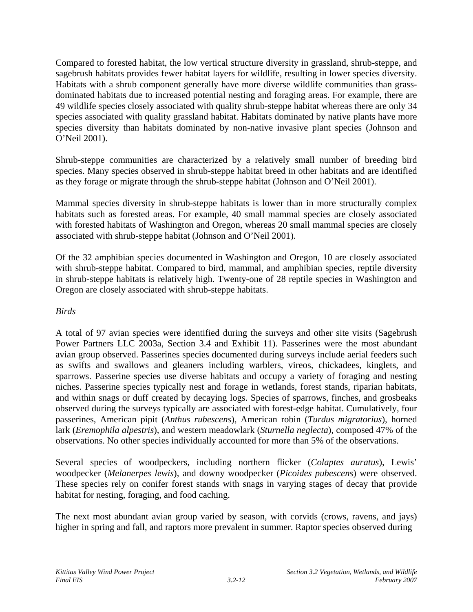Compared to forested habitat, the low vertical structure diversity in grassland, shrub-steppe, and sagebrush habitats provides fewer habitat layers for wildlife, resulting in lower species diversity. Habitats with a shrub component generally have more diverse wildlife communities than grassdominated habitats due to increased potential nesting and foraging areas. For example, there are 49 wildlife species closely associated with quality shrub-steppe habitat whereas there are only 34 species associated with quality grassland habitat. Habitats dominated by native plants have more species diversity than habitats dominated by non-native invasive plant species (Johnson and O'Neil 2001).

Shrub-steppe communities are characterized by a relatively small number of breeding bird species. Many species observed in shrub-steppe habitat breed in other habitats and are identified as they forage or migrate through the shrub-steppe habitat (Johnson and O'Neil 2001).

Mammal species diversity in shrub-steppe habitats is lower than in more structurally complex habitats such as forested areas. For example, 40 small mammal species are closely associated with forested habitats of Washington and Oregon, whereas 20 small mammal species are closely associated with shrub-steppe habitat (Johnson and O'Neil 2001).

Of the 32 amphibian species documented in Washington and Oregon, 10 are closely associated with shrub-steppe habitat. Compared to bird, mammal, and amphibian species, reptile diversity in shrub-steppe habitats is relatively high. Twenty-one of 28 reptile species in Washington and Oregon are closely associated with shrub-steppe habitats.

#### *Birds*

A total of 97 avian species were identified during the surveys and other site visits (Sagebrush Power Partners LLC 2003a, Section 3.4 and Exhibit 11). Passerines were the most abundant avian group observed. Passerines species documented during surveys include aerial feeders such as swifts and swallows and gleaners including warblers, vireos, chickadees, kinglets, and sparrows. Passerine species use diverse habitats and occupy a variety of foraging and nesting niches. Passerine species typically nest and forage in wetlands, forest stands, riparian habitats, and within snags or duff created by decaying logs. Species of sparrows, finches, and grosbeaks observed during the surveys typically are associated with forest-edge habitat. Cumulatively, four passerines, American pipit (*Anthus rubescens*), American robin (*Turdus migratorius*), horned lark (*Eremophila alpestris*), and western meadowlark (*Sturnella neglecta*), composed 47% of the observations. No other species individually accounted for more than 5% of the observations.

Several species of woodpeckers, including northern flicker (*Colaptes auratus*), Lewis' woodpecker (*Melanerpes lewis*), and downy woodpecker (*Picoides pubescens*) were observed. These species rely on conifer forest stands with snags in varying stages of decay that provide habitat for nesting, foraging, and food caching.

The next most abundant avian group varied by season, with corvids (crows, ravens, and jays) higher in spring and fall, and raptors more prevalent in summer. Raptor species observed during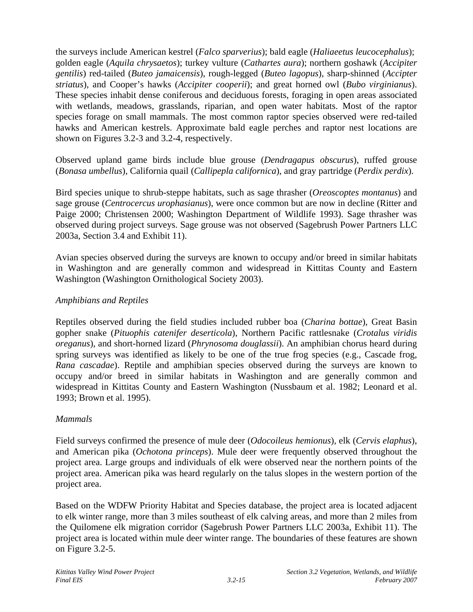the surveys include American kestrel (*Falco sparverius*); bald eagle (*Haliaeetus leucocephalus*); golden eagle (*Aquila chrysaetos*); turkey vulture (*Cathartes aura*); northern goshawk (*Accipiter gentilis*) red-tailed (*Buteo jamaicensis*), rough-legged (*Buteo lagopus*), sharp-shinned (*Accipter striatus*), and Cooper's hawks (*Accipiter cooperii*); and great horned owl (*Bubo virginianus*). These species inhabit dense coniferous and deciduous forests, foraging in open areas associated with wetlands, meadows, grasslands, riparian, and open water habitats. Most of the raptor species forage on small mammals. The most common raptor species observed were red-tailed hawks and American kestrels. Approximate bald eagle perches and raptor nest locations are shown on Figures 3.2-3 and 3.2-4, respectively.

Observed upland game birds include blue grouse (*Dendragapus obscurus*), ruffed grouse (*Bonasa umbellus*), California quail (*Callipepla californica*), and gray partridge (*Perdix perdix*).

Bird species unique to shrub-steppe habitats, such as sage thrasher (*Oreoscoptes montanus*) and sage grouse (*Centrocercus urophasianus*), were once common but are now in decline (Ritter and Paige 2000; Christensen 2000; Washington Department of Wildlife 1993). Sage thrasher was observed during project surveys. Sage grouse was not observed (Sagebrush Power Partners LLC 2003a, Section 3.4 and Exhibit 11).

Avian species observed during the surveys are known to occupy and/or breed in similar habitats in Washington and are generally common and widespread in Kittitas County and Eastern Washington (Washington Ornithological Society 2003).

# *Amphibians and Reptiles*

Reptiles observed during the field studies included rubber boa (*Charina bottae*), Great Basin gopher snake (*Pituophis catenifer deserticola*), Northern Pacific rattlesnake (*Crotalus viridis oreganus*), and short-horned lizard (*Phrynosoma douglassii*). An amphibian chorus heard during spring surveys was identified as likely to be one of the true frog species (e.g., Cascade frog, *Rana cascadae*). Reptile and amphibian species observed during the surveys are known to occupy and/or breed in similar habitats in Washington and are generally common and widespread in Kittitas County and Eastern Washington (Nussbaum et al. 1982; Leonard et al. 1993; Brown et al. 1995).

#### *Mammals*

Field surveys confirmed the presence of mule deer (*Odocoileus hemionus*), elk (*Cervis elaphus*), and American pika (*Ochotona princeps*). Mule deer were frequently observed throughout the project area. Large groups and individuals of elk were observed near the northern points of the project area. American pika was heard regularly on the talus slopes in the western portion of the project area.

Based on the WDFW Priority Habitat and Species database, the project area is located adjacent to elk winter range, more than 3 miles southeast of elk calving areas, and more than 2 miles from the Quilomene elk migration corridor (Sagebrush Power Partners LLC 2003a, Exhibit 11). The project area is located within mule deer winter range. The boundaries of these features are shown on Figure 3.2-5.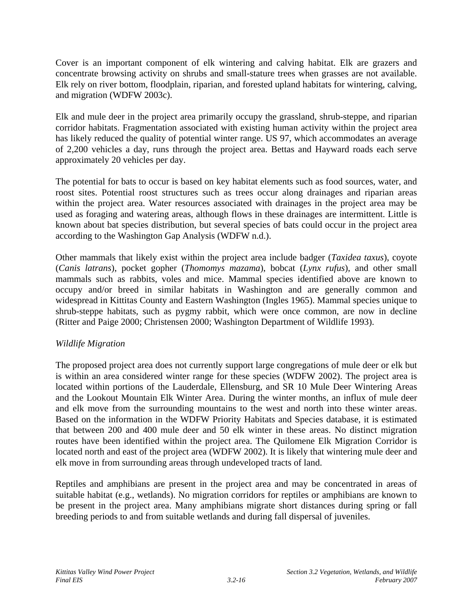Cover is an important component of elk wintering and calving habitat. Elk are grazers and concentrate browsing activity on shrubs and small-stature trees when grasses are not available. Elk rely on river bottom, floodplain, riparian, and forested upland habitats for wintering, calving, and migration (WDFW 2003c).

Elk and mule deer in the project area primarily occupy the grassland, shrub-steppe, and riparian corridor habitats. Fragmentation associated with existing human activity within the project area has likely reduced the quality of potential winter range. US 97, which accommodates an average of 2,200 vehicles a day, runs through the project area. Bettas and Hayward roads each serve approximately 20 vehicles per day.

The potential for bats to occur is based on key habitat elements such as food sources, water, and roost sites. Potential roost structures such as trees occur along drainages and riparian areas within the project area. Water resources associated with drainages in the project area may be used as foraging and watering areas, although flows in these drainages are intermittent. Little is known about bat species distribution, but several species of bats could occur in the project area according to the Washington Gap Analysis (WDFW n.d.).

Other mammals that likely exist within the project area include badger (*Taxidea taxus*), coyote (*Canis latrans*), pocket gopher (*Thomomys mazama*), bobcat (*Lynx rufus*), and other small mammals such as rabbits, voles and mice. Mammal species identified above are known to occupy and/or breed in similar habitats in Washington and are generally common and widespread in Kittitas County and Eastern Washington (Ingles 1965). Mammal species unique to shrub-steppe habitats, such as pygmy rabbit, which were once common, are now in decline (Ritter and Paige 2000; Christensen 2000; Washington Department of Wildlife 1993).

# *Wildlife Migration*

The proposed project area does not currently support large congregations of mule deer or elk but is within an area considered winter range for these species (WDFW 2002). The project area is located within portions of the Lauderdale, Ellensburg, and SR 10 Mule Deer Wintering Areas and the Lookout Mountain Elk Winter Area. During the winter months, an influx of mule deer and elk move from the surrounding mountains to the west and north into these winter areas. Based on the information in the WDFW Priority Habitats and Species database, it is estimated that between 200 and 400 mule deer and 50 elk winter in these areas. No distinct migration routes have been identified within the project area. The Quilomene Elk Migration Corridor is located north and east of the project area (WDFW 2002). It is likely that wintering mule deer and elk move in from surrounding areas through undeveloped tracts of land.

Reptiles and amphibians are present in the project area and may be concentrated in areas of suitable habitat (e.g., wetlands). No migration corridors for reptiles or amphibians are known to be present in the project area. Many amphibians migrate short distances during spring or fall breeding periods to and from suitable wetlands and during fall dispersal of juveniles.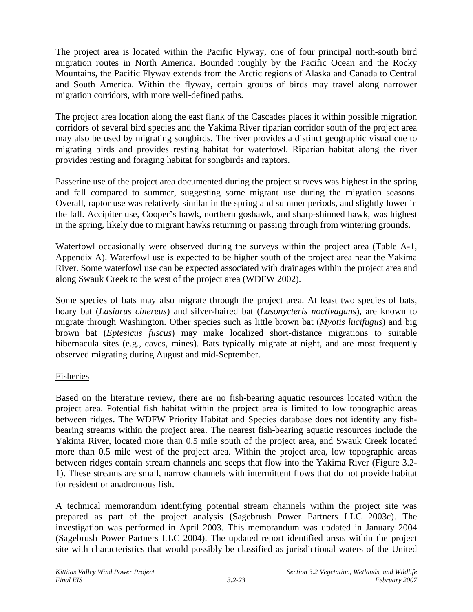The project area is located within the Pacific Flyway, one of four principal north-south bird migration routes in North America. Bounded roughly by the Pacific Ocean and the Rocky Mountains, the Pacific Flyway extends from the Arctic regions of Alaska and Canada to Central and South America. Within the flyway, certain groups of birds may travel along narrower migration corridors, with more well-defined paths.

The project area location along the east flank of the Cascades places it within possible migration corridors of several bird species and the Yakima River riparian corridor south of the project area may also be used by migrating songbirds. The river provides a distinct geographic visual cue to migrating birds and provides resting habitat for waterfowl. Riparian habitat along the river provides resting and foraging habitat for songbirds and raptors.

Passerine use of the project area documented during the project surveys was highest in the spring and fall compared to summer, suggesting some migrant use during the migration seasons. Overall, raptor use was relatively similar in the spring and summer periods, and slightly lower in the fall. Accipiter use, Cooper's hawk, northern goshawk, and sharp-shinned hawk, was highest in the spring, likely due to migrant hawks returning or passing through from wintering grounds.

Waterfowl occasionally were observed during the surveys within the project area (Table A-1, Appendix A). Waterfowl use is expected to be higher south of the project area near the Yakima River. Some waterfowl use can be expected associated with drainages within the project area and along Swauk Creek to the west of the project area (WDFW 2002).

Some species of bats may also migrate through the project area. At least two species of bats, hoary bat (*Lasiurus cinereus*) and silver-haired bat (*Lasonycteris noctivagans*), are known to migrate through Washington. Other species such as little brown bat (*Myotis lucifugus*) and big brown bat (*Eptesicus fuscus*) may make localized short-distance migrations to suitable hibernacula sites (e.g., caves, mines). Bats typically migrate at night, and are most frequently observed migrating during August and mid-September.

# Fisheries

Based on the literature review, there are no fish-bearing aquatic resources located within the project area. Potential fish habitat within the project area is limited to low topographic areas between ridges. The WDFW Priority Habitat and Species database does not identify any fishbearing streams within the project area. The nearest fish-bearing aquatic resources include the Yakima River, located more than 0.5 mile south of the project area, and Swauk Creek located more than 0.5 mile west of the project area. Within the project area, low topographic areas between ridges contain stream channels and seeps that flow into the Yakima River (Figure 3.2- 1). These streams are small, narrow channels with intermittent flows that do not provide habitat for resident or anadromous fish.

A technical memorandum identifying potential stream channels within the project site was prepared as part of the project analysis (Sagebrush Power Partners LLC 2003c). The investigation was performed in April 2003. This memorandum was updated in January 2004 (Sagebrush Power Partners LLC 2004). The updated report identified areas within the project site with characteristics that would possibly be classified as jurisdictional waters of the United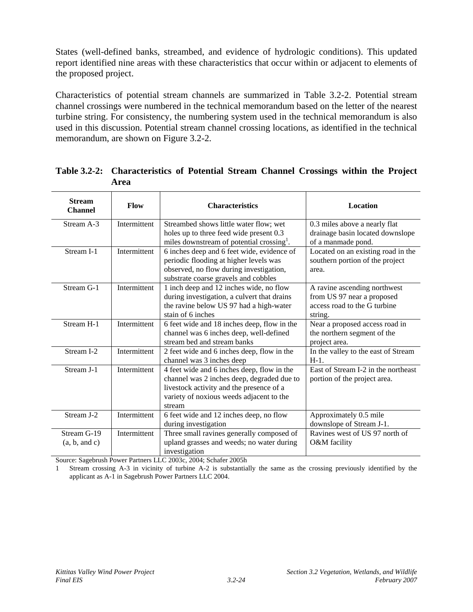States (well-defined banks, streambed, and evidence of hydrologic conditions). This updated report identified nine areas with these characteristics that occur within or adjacent to elements of the proposed project.

Characteristics of potential stream channels are summarized in Table 3.2-2. Potential stream channel crossings were numbered in the technical memorandum based on the letter of the nearest turbine string. For consistency, the numbering system used in the technical memorandum is also used in this discussion. Potential stream channel crossing locations, as identified in the technical memorandum, are shown on Figure 3.2-2.

| <b>Stream</b><br><b>Channel</b> | Flow         | <b>Characteristics</b>                                | <b>Location</b>                     |
|---------------------------------|--------------|-------------------------------------------------------|-------------------------------------|
| Stream A-3                      | Intermittent | Streambed shows little water flow; wet                | 0.3 miles above a nearly flat       |
|                                 |              | holes up to three feed wide present 0.3               | drainage basin located downslope    |
|                                 |              | miles downstream of potential crossing <sup>1</sup> . | of a manmade pond.                  |
| Stream I-1                      | Intermittent | 6 inches deep and 6 feet wide, evidence of            | Located on an existing road in the  |
|                                 |              | periodic flooding at higher levels was                | southern portion of the project     |
|                                 |              | observed, no flow during investigation,               | area.                               |
|                                 |              | substrate coarse gravels and cobbles                  |                                     |
| Stream G-1                      | Intermittent | 1 inch deep and 12 inches wide, no flow               | A ravine ascending northwest        |
|                                 |              | during investigation, a culvert that drains           | from US 97 near a proposed          |
|                                 |              | the ravine below US 97 had a high-water               | access road to the G turbine        |
|                                 |              | stain of 6 inches                                     | string.                             |
| Stream H-1                      | Intermittent | 6 feet wide and 18 inches deep, flow in the           | Near a proposed access road in      |
|                                 |              | channel was 6 inches deep, well-defined               | the northern segment of the         |
|                                 |              | stream bed and stream banks                           | project area.                       |
| Stream I-2                      | Intermittent | 2 feet wide and 6 inches deep, flow in the            | In the valley to the east of Stream |
|                                 |              | channel was 3 inches deep                             | $H-1$ .                             |
| Stream I-1                      | Intermittent | 4 feet wide and 6 inches deep, flow in the            | East of Stream I-2 in the northeast |
|                                 |              | channel was 2 inches deep, degraded due to            | portion of the project area.        |
|                                 |              | livestock activity and the presence of a              |                                     |
|                                 |              | variety of noxious weeds adjacent to the              |                                     |
|                                 |              | stream                                                |                                     |
| Stream J-2                      | Intermittent | 6 feet wide and 12 inches deep, no flow               | Approximately 0.5 mile              |
|                                 |              | during investigation                                  | downslope of Stream J-1.            |
| Stream G-19                     | Intermittent | Three small ravines generally composed of             | Ravines west of US 97 north of      |
| (a, b, and c)                   |              | upland grasses and weeds; no water during             | O&M facility                        |
|                                 |              | investigation                                         |                                     |

**Table 3.2-2: Characteristics of Potential Stream Channel Crossings within the Project Area** 

Source: Sagebrush Power Partners LLC 2003c, 2004; Schafer 2005h

1 Stream crossing A-3 in vicinity of turbine A-2 is substantially the same as the crossing previously identified by the applicant as A-1 in Sagebrush Power Partners LLC 2004.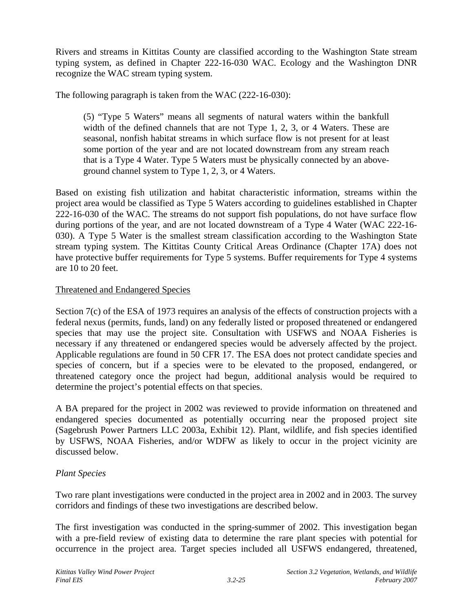Rivers and streams in Kittitas County are classified according to the Washington State stream typing system, as defined in Chapter 222-16-030 WAC. Ecology and the Washington DNR recognize the WAC stream typing system.

The following paragraph is taken from the WAC (222-16-030):

(5) "Type 5 Waters" means all segments of natural waters within the bankfull width of the defined channels that are not Type 1, 2, 3, or 4 Waters. These are seasonal, nonfish habitat streams in which surface flow is not present for at least some portion of the year and are not located downstream from any stream reach that is a Type 4 Water. Type 5 Waters must be physically connected by an aboveground channel system to Type 1, 2, 3, or 4 Waters.

Based on existing fish utilization and habitat characteristic information, streams within the project area would be classified as Type 5 Waters according to guidelines established in Chapter 222-16-030 of the WAC. The streams do not support fish populations, do not have surface flow during portions of the year, and are not located downstream of a Type 4 Water (WAC 222-16- 030). A Type 5 Water is the smallest stream classification according to the Washington State stream typing system. The Kittitas County Critical Areas Ordinance (Chapter 17A) does not have protective buffer requirements for Type 5 systems. Buffer requirements for Type 4 systems are 10 to 20 feet.

#### Threatened and Endangered Species

Section 7(c) of the ESA of 1973 requires an analysis of the effects of construction projects with a federal nexus (permits, funds, land) on any federally listed or proposed threatened or endangered species that may use the project site. Consultation with USFWS and NOAA Fisheries is necessary if any threatened or endangered species would be adversely affected by the project. Applicable regulations are found in 50 CFR 17. The ESA does not protect candidate species and species of concern, but if a species were to be elevated to the proposed, endangered, or threatened category once the project had begun, additional analysis would be required to determine the project's potential effects on that species.

A BA prepared for the project in 2002 was reviewed to provide information on threatened and endangered species documented as potentially occurring near the proposed project site (Sagebrush Power Partners LLC 2003a, Exhibit 12). Plant, wildlife, and fish species identified by USFWS, NOAA Fisheries, and/or WDFW as likely to occur in the project vicinity are discussed below.

# *Plant Species*

Two rare plant investigations were conducted in the project area in 2002 and in 2003. The survey corridors and findings of these two investigations are described below.

The first investigation was conducted in the spring-summer of 2002. This investigation began with a pre-field review of existing data to determine the rare plant species with potential for occurrence in the project area. Target species included all USFWS endangered, threatened,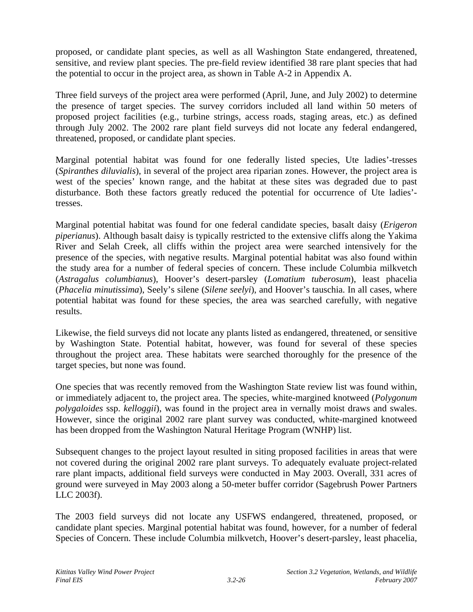proposed, or candidate plant species, as well as all Washington State endangered, threatened, sensitive, and review plant species. The pre-field review identified 38 rare plant species that had the potential to occur in the project area, as shown in Table A-2 in Appendix A.

Three field surveys of the project area were performed (April, June, and July 2002) to determine the presence of target species. The survey corridors included all land within 50 meters of proposed project facilities (e.g., turbine strings, access roads, staging areas, etc.) as defined through July 2002. The 2002 rare plant field surveys did not locate any federal endangered, threatened, proposed, or candidate plant species.

Marginal potential habitat was found for one federally listed species, Ute ladies'-tresses (*Spiranthes diluvialis*), in several of the project area riparian zones. However, the project area is west of the species' known range, and the habitat at these sites was degraded due to past disturbance. Both these factors greatly reduced the potential for occurrence of Ute ladies' tresses.

Marginal potential habitat was found for one federal candidate species, basalt daisy (*Erigeron piperianus*). Although basalt daisy is typically restricted to the extensive cliffs along the Yakima River and Selah Creek, all cliffs within the project area were searched intensively for the presence of the species, with negative results. Marginal potential habitat was also found within the study area for a number of federal species of concern. These include Columbia milkvetch (*Astragalus columbianus*), Hoover's desert-parsley (*Lomatium tuberosum*), least phacelia (*Phacelia minutissima*), Seely's silene (*Silene seelyi*), and Hoover's tauschia. In all cases, where potential habitat was found for these species, the area was searched carefully, with negative results.

Likewise, the field surveys did not locate any plants listed as endangered, threatened, or sensitive by Washington State. Potential habitat, however, was found for several of these species throughout the project area. These habitats were searched thoroughly for the presence of the target species, but none was found.

One species that was recently removed from the Washington State review list was found within, or immediately adjacent to, the project area. The species, white-margined knotweed (*Polygonum polygaloides* ssp. *kelloggii*), was found in the project area in vernally moist draws and swales. However, since the original 2002 rare plant survey was conducted, white-margined knotweed has been dropped from the Washington Natural Heritage Program (WNHP) list.

Subsequent changes to the project layout resulted in siting proposed facilities in areas that were not covered during the original 2002 rare plant surveys. To adequately evaluate project-related rare plant impacts, additional field surveys were conducted in May 2003. Overall, 331 acres of ground were surveyed in May 2003 along a 50-meter buffer corridor (Sagebrush Power Partners LLC 2003f).

The 2003 field surveys did not locate any USFWS endangered, threatened, proposed, or candidate plant species. Marginal potential habitat was found, however, for a number of federal Species of Concern. These include Columbia milkvetch, Hoover's desert-parsley, least phacelia,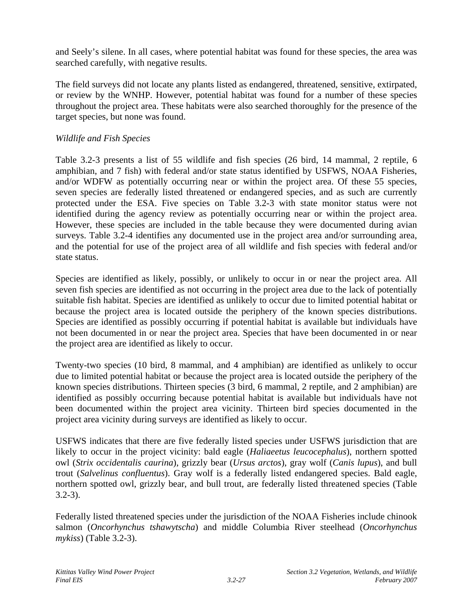and Seely's silene. In all cases, where potential habitat was found for these species, the area was searched carefully, with negative results.

The field surveys did not locate any plants listed as endangered, threatened, sensitive, extirpated, or review by the WNHP. However, potential habitat was found for a number of these species throughout the project area. These habitats were also searched thoroughly for the presence of the target species, but none was found.

#### *Wildlife and Fish Species*

Table 3.2-3 presents a list of 55 wildlife and fish species (26 bird, 14 mammal, 2 reptile, 6 amphibian, and 7 fish) with federal and/or state status identified by USFWS, NOAA Fisheries, and/or WDFW as potentially occurring near or within the project area. Of these 55 species, seven species are federally listed threatened or endangered species, and as such are currently protected under the ESA. Five species on Table 3.2-3 with state monitor status were not identified during the agency review as potentially occurring near or within the project area. However, these species are included in the table because they were documented during avian surveys. Table 3.2-4 identifies any documented use in the project area and/or surrounding area, and the potential for use of the project area of all wildlife and fish species with federal and/or state status.

Species are identified as likely, possibly, or unlikely to occur in or near the project area. All seven fish species are identified as not occurring in the project area due to the lack of potentially suitable fish habitat. Species are identified as unlikely to occur due to limited potential habitat or because the project area is located outside the periphery of the known species distributions. Species are identified as possibly occurring if potential habitat is available but individuals have not been documented in or near the project area. Species that have been documented in or near the project area are identified as likely to occur.

Twenty-two species (10 bird, 8 mammal, and 4 amphibian) are identified as unlikely to occur due to limited potential habitat or because the project area is located outside the periphery of the known species distributions. Thirteen species (3 bird, 6 mammal, 2 reptile, and 2 amphibian) are identified as possibly occurring because potential habitat is available but individuals have not been documented within the project area vicinity. Thirteen bird species documented in the project area vicinity during surveys are identified as likely to occur.

USFWS indicates that there are five federally listed species under USFWS jurisdiction that are likely to occur in the project vicinity: bald eagle (*Haliaeetus leucocephalus*), northern spotted owl (*Strix occidentalis caurina*), grizzly bear (*Ursus arctos*), gray wolf (*Canis lupus*), and bull trout (*Salvelinus confluentus*). Gray wolf is a federally listed endangered species. Bald eagle, northern spotted owl, grizzly bear, and bull trout, are federally listed threatened species (Table 3.2-3).

Federally listed threatened species under the jurisdiction of the NOAA Fisheries include chinook salmon (*Oncorhynchus tshawytscha*) and middle Columbia River steelhead (*Oncorhynchus mykiss*) (Table 3.2-3).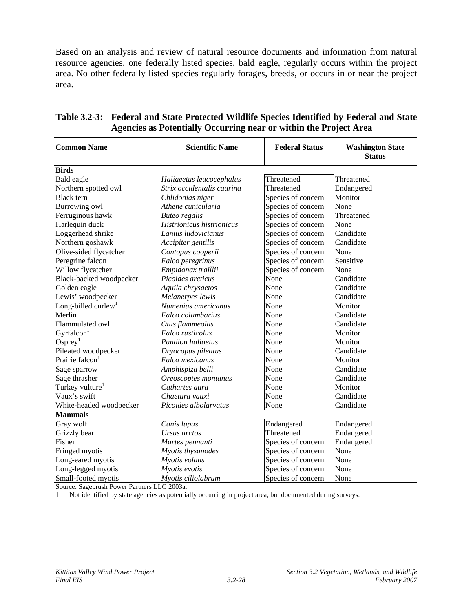Based on an analysis and review of natural resource documents and information from natural resource agencies, one federally listed species, bald eagle, regularly occurs within the project area. No other federally listed species regularly forages, breeds, or occurs in or near the project area.

| <b>Common Name</b>              | <b>Scientific Name</b>     | <b>Federal Status</b> | <b>Washington State</b><br><b>Status</b> |
|---------------------------------|----------------------------|-----------------------|------------------------------------------|
| <b>Birds</b>                    |                            |                       |                                          |
| Bald eagle                      | Haliaeetus leucocephalus   | Threatened            | Threatened                               |
| Northern spotted owl            | Strix occidentalis caurina | Threatened            | Endangered                               |
| <b>Black</b> tern               | Chlidonias niger           | Species of concern    | Monitor                                  |
| Burrowing owl                   | Athene cunicularia         | Species of concern    | None                                     |
| Ferruginous hawk                | <b>Buteo regalis</b>       | Species of concern    | Threatened                               |
| Harlequin duck                  | Histrionicus histrionicus  | Species of concern    | None                                     |
| Loggerhead shrike               | Lanius ludovicianus        | Species of concern    | Candidate                                |
| Northern goshawk                | Accipiter gentilis         | Species of concern    | Candidate                                |
| Olive-sided flycatcher          | Contopus cooperii          | Species of concern    | None                                     |
| Peregrine falcon                | Falco peregrinus           | Species of concern    | Sensitive                                |
| Willow flycatcher               | Empidonax traillii         | Species of concern    | None                                     |
| Black-backed woodpecker         | Picoides arcticus          | None                  | Candidate                                |
| Golden eagle                    | Aquila chrysaetos          | None                  | Candidate                                |
| Lewis' woodpecker               | Melanerpes lewis           | None                  | Candidate                                |
| Long-billed curlew <sup>1</sup> | Numenius americanus        | None                  | Monitor                                  |
| Merlin                          | Falco columbarius          | None                  | Candidate                                |
| Flammulated owl                 | Otus flammeolus            | None                  | Candidate                                |
| Gyrfalcon <sup>1</sup>          | Falco rusticolus           | None                  | Monitor                                  |
| $O$ sprey <sup>1</sup>          | <b>Pandion haliaetus</b>   | None                  | Monitor                                  |
| Pileated woodpecker             | Dryocopus pileatus         | None                  | Candidate                                |
| Prairie falcon <sup>1</sup>     | Falco mexicanus            | None                  | Monitor                                  |
| Sage sparrow                    | Amphispiza belli           | None                  | Candidate                                |
| Sage thrasher                   | Oreoscoptes montanus       | None                  | Candidate                                |
| Turkey vulture <sup>1</sup>     | Cathartes aura             | None                  | Monitor                                  |
| Vaux's swift                    | Chaetura vauxi             | None                  | Candidate                                |
| White-headed woodpecker         | Picoides albolarvatus      | None                  | Candidate                                |
| <b>Mammals</b>                  |                            |                       |                                          |
| Gray wolf                       | Canis lupus                | Endangered            | Endangered                               |
| Grizzly bear                    | Ursus arctos               | Threatened            | Endangered                               |
| Fisher                          | Martes pennanti            | Species of concern    | Endangered                               |
| Fringed myotis                  | Myotis thysanodes          | Species of concern    | None                                     |
| Long-eared myotis               | Myotis volans              | Species of concern    | None                                     |
| Long-legged myotis              | Myotis evotis              | Species of concern    | None                                     |
| Small-footed myotis             | Myotis ciliolabrum         | Species of concern    | None                                     |

# **Table 3.2-3: Federal and State Protected Wildlife Species Identified by Federal and State Agencies as Potentially Occurring near or within the Project Area**

Source: Sagebrush Power Partners LLC 2003a.

1 Not identified by state agencies as potentially occurring in project area, but documented during surveys.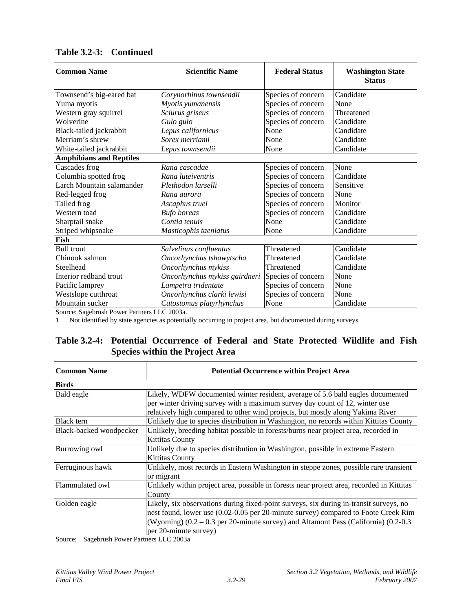| <b>Common Name</b>             | <b>Scientific Name</b>        | <b>Federal Status</b> | <b>Washington State</b><br><b>Status</b> |
|--------------------------------|-------------------------------|-----------------------|------------------------------------------|
| Townsend's big-eared bat       | Corynorhinus townsendii       | Species of concern    | Candidate                                |
| Yuma myotis                    | Myotis yumanensis             | Species of concern    | None                                     |
| Western gray squirrel          | Sciurus griseus               | Species of concern    | Threatened                               |
| Wolverine                      | Gulo gulo                     | Species of concern    | Candidate                                |
| Black-tailed jackrabbit        | Lepus californicus            | None                  | Candidate                                |
| Merriam's shrew                | Sorex merriami                | None                  | Candidate                                |
| White-tailed jackrabbit        | Lepus townsendii              | None                  | Candidate                                |
| <b>Amphibians and Reptiles</b> |                               |                       |                                          |
| Cascades frog                  | Rana cascadae                 | Species of concern    | None                                     |
| Columbia spotted frog          | Rana luteiventris             | Species of concern    | Candidate                                |
| Larch Mountain salamander      | Plethodon larselli            | Species of concern    | Sensitive                                |
| Red-legged frog                | Rana aurora                   | Species of concern    | None                                     |
| Tailed frog                    | Ascaphus truei                | Species of concern    | Monitor                                  |
| Western toad                   | <b>Bufo</b> boreas            | Species of concern    | Candidate                                |
| Sharptail snake                | Contia tenuis                 | None                  | Candidate                                |
| Striped whipsnake              | Masticophis taeniatus         | None                  | Candidate                                |
| Fish                           |                               |                       |                                          |
| <b>Bull trout</b>              | Salvelinus confluentus        | Threatened            | Candidate                                |
| Chinook salmon                 | Oncorhynchus tshawytscha      | Threatened            | Candidate                                |
| Steelhead                      | Oncorhynchus mykiss           | Threatened            | Candidate                                |
| Interior redband trout         | Oncorhynchus mykiss gairdneri | Species of concern    | None                                     |
| Pacific lamprey                | Lampetra tridentate           | Species of concern    | None                                     |
| Westslope cutthroat            | Oncorhynchus clarki lewisi    | Species of concern    | None                                     |
| Mountain sucker                | Catostomus platyrhynchus      | None                  | Candidate                                |

#### **Table 3.2-3: Continued**

Source: Sagebrush Power Partners LLC 2003a.

1 Not identified by state agencies as potentially occurring in project area, but documented during surveys.

# **Table 3.2-4: Potential Occurrence of Federal and State Protected Wildlife and Fish Species within the Project Area**

| <b>Common Name</b>      | <b>Potential Occurrence within Project Area</b>                                           |
|-------------------------|-------------------------------------------------------------------------------------------|
| <b>Birds</b>            |                                                                                           |
| Bald eagle              | Likely, WDFW documented winter resident, average of 5.6 bald eagles documented            |
|                         | per winter driving survey with a maximum survey day count of 12, winter use               |
|                         | relatively high compared to other wind projects, but mostly along Yakima River            |
| Black tern              | Unlikely due to species distribution in Washington, no records within Kittitas County     |
| Black-backed woodpecker | Unlikely, breeding habitat possible in forests/burns near project area, recorded in       |
|                         | <b>Kittitas County</b>                                                                    |
| Burrowing owl           | Unlikely due to species distribution in Washington, possible in extreme Eastern           |
|                         | <b>Kittitas County</b>                                                                    |
| Ferruginous hawk        | Unlikely, most records in Eastern Washington in steppe zones, possible rare transient     |
|                         | or migrant                                                                                |
| Flammulated owl         | Unlikely within project area, possible in forests near project area, recorded in Kittitas |
|                         | County                                                                                    |
| Golden eagle            | Likely, six observations during fixed-point surveys, six during in-transit surveys, no    |
|                         | nest found, lower use (0.02-0.05 per 20-minute survey) compared to Foote Creek Rim        |
|                         | (Wyoming) $(0.2 - 0.3$ per 20-minute survey) and Altamont Pass (California) $(0.2 - 0.3)$ |
|                         | per 20-minute survey)                                                                     |

Source: Sagebrush Power Partners LLC 2003a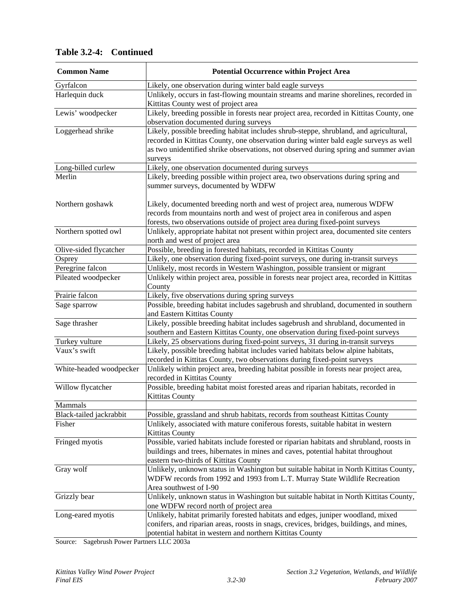| <b>Common Name</b>      | <b>Potential Occurrence within Project Area</b>                                                                                                                                                                                                                                   |
|-------------------------|-----------------------------------------------------------------------------------------------------------------------------------------------------------------------------------------------------------------------------------------------------------------------------------|
| Gyrfalcon               | Likely, one observation during winter bald eagle surveys                                                                                                                                                                                                                          |
| Harlequin duck          | Unlikely, occurs in fast-flowing mountain streams and marine shorelines, recorded in                                                                                                                                                                                              |
|                         | Kittitas County west of project area                                                                                                                                                                                                                                              |
| Lewis' woodpecker       | Likely, breeding possible in forests near project area, recorded in Kittitas County, one                                                                                                                                                                                          |
|                         | observation documented during surveys                                                                                                                                                                                                                                             |
| Loggerhead shrike       | Likely, possible breeding habitat includes shrub-steppe, shrubland, and agricultural,<br>recorded in Kittitas County, one observation during winter bald eagle surveys as well<br>as two unidentified shrike observations, not observed during spring and summer avian<br>surveys |
| Long-billed curlew      | Likely, one observation documented during surveys                                                                                                                                                                                                                                 |
| Merlin                  | Likely, breeding possible within project area, two observations during spring and<br>summer surveys, documented by WDFW                                                                                                                                                           |
| Northern goshawk        | Likely, documented breeding north and west of project area, numerous WDFW<br>records from mountains north and west of project area in coniferous and aspen<br>forests, two observations outside of project area during fixed-point surveys                                        |
| Northern spotted owl    | Unlikely, appropriate habitat not present within project area, documented site centers<br>north and west of project area                                                                                                                                                          |
| Olive-sided flycatcher  | Possible, breeding in forested habitats, recorded in Kittitas County                                                                                                                                                                                                              |
| Osprey                  | Likely, one observation during fixed-point surveys, one during in-transit surveys                                                                                                                                                                                                 |
| Peregrine falcon        | Unlikely, most records in Western Washington, possible transient or migrant                                                                                                                                                                                                       |
| Pileated woodpecker     | Unlikely within project area, possible in forests near project area, recorded in Kittitas<br>County                                                                                                                                                                               |
| Prairie falcon          | Likely, five observations during spring surveys                                                                                                                                                                                                                                   |
| Sage sparrow            | Possible, breeding habitat includes sagebrush and shrubland, documented in southern<br>and Eastern Kittitas County                                                                                                                                                                |
| Sage thrasher           | Likely, possible breeding habitat includes sagebrush and shrubland, documented in<br>southern and Eastern Kittitas County, one observation during fixed-point surveys                                                                                                             |
| Turkey vulture          | Likely, 25 observations during fixed-point surveys, 31 during in-transit surveys                                                                                                                                                                                                  |
| Vaux's swift            | Likely, possible breeding habitat includes varied habitats below alpine habitats,<br>recorded in Kittitas County, two observations during fixed-point surveys                                                                                                                     |
| White-headed woodpecker | Unlikely within project area, breeding habitat possible in forests near project area,<br>recorded in Kittitas County                                                                                                                                                              |
| Willow flycatcher       | Possible, breeding habitat moist forested areas and riparian habitats, recorded in<br><b>Kittitas County</b>                                                                                                                                                                      |
| Mammals                 |                                                                                                                                                                                                                                                                                   |
| Black-tailed jackrabbit | Possible, grassland and shrub habitats, records from southeast Kittitas County                                                                                                                                                                                                    |
| Fisher                  | Unlikely, associated with mature coniferous forests, suitable habitat in western<br><b>Kittitas County</b>                                                                                                                                                                        |
| Fringed myotis          | Possible, varied habitats include forested or riparian habitats and shrubland, roosts in<br>buildings and trees, hibernates in mines and caves, potential habitat throughout<br>eastern two-thirds of Kittitas County                                                             |
| Gray wolf               | Unlikely, unknown status in Washington but suitable habitat in North Kittitas County,<br>WDFW records from 1992 and 1993 from L.T. Murray State Wildlife Recreation<br>Area southwest of I-90                                                                                     |
| Grizzly bear            | Unlikely, unknown status in Washington but suitable habitat in North Kittitas County,<br>one WDFW record north of project area                                                                                                                                                    |
| Long-eared myotis       | Unlikely, habitat primarily forested habitats and edges, juniper woodland, mixed<br>conifers, and riparian areas, roosts in snags, crevices, bridges, buildings, and mines,<br>potential habitat in western and northern Kittitas County                                          |

# **Table 3.2-4: Continued**

Source: Sagebrush Power Partners LLC 2003a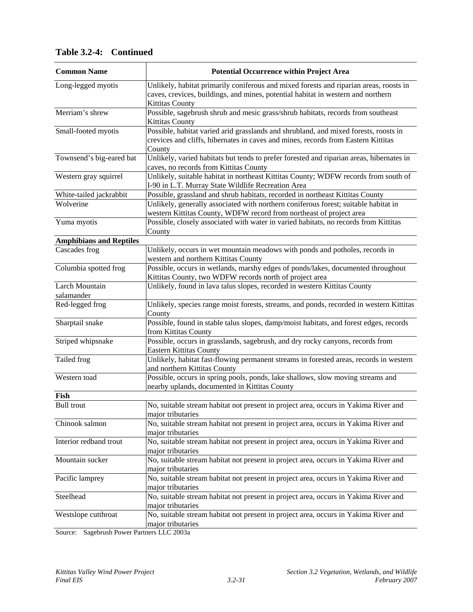| <b>Common Name</b>             | <b>Potential Occurrence within Project Area</b>                                                                                                                                                      |
|--------------------------------|------------------------------------------------------------------------------------------------------------------------------------------------------------------------------------------------------|
| Long-legged myotis             | Unlikely, habitat primarily coniferous and mixed forests and riparian areas, roosts in<br>caves, crevices, buildings, and mines, potential habitat in western and northern<br><b>Kittitas County</b> |
| Merriam's shrew                | Possible, sagebrush shrub and mesic grass/shrub habitats, records from southeast<br><b>Kittitas County</b>                                                                                           |
| Small-footed myotis            | Possible, habitat varied arid grasslands and shrubland, and mixed forests, roosts in<br>crevices and cliffs, hibernates in caves and mines, records from Eastern Kittitas<br>County                  |
| Townsend's big-eared bat       | Unlikely, varied habitats but tends to prefer forested and riparian areas, hibernates in<br>caves, no records from Kittitas County                                                                   |
| Western gray squirrel          | Unlikely, suitable habitat in northeast Kittitas County; WDFW records from south of<br>I-90 in L.T. Murray State Wildlife Recreation Area                                                            |
| White-tailed jackrabbit        | Possible, grassland and shrub habitats, recorded in northeast Kittitas County                                                                                                                        |
| Wolverine                      | Unlikely, generally associated with northern coniferous forest; suitable habitat in<br>western Kittitas County, WDFW record from northeast of project area                                           |
| Yuma myotis                    | Possible, closely associated with water in varied habitats, no records from Kittitas<br>County                                                                                                       |
| <b>Amphibians and Reptiles</b> |                                                                                                                                                                                                      |
| Cascades frog                  | Unlikely, occurs in wet mountain meadows with ponds and potholes, records in<br>western and northern Kittitas County                                                                                 |
| Columbia spotted frog          | Possible, occurs in wetlands, marshy edges of ponds/lakes, documented throughout<br>Kittitas County, two WDFW records north of project area                                                          |
| Larch Mountain<br>salamander   | Unlikely, found in lava talus slopes, recorded in western Kittitas County                                                                                                                            |
| Red-legged frog                | Unlikely, species range moist forests, streams, and ponds, recorded in western Kittitas<br>County                                                                                                    |
| Sharptail snake                | Possible, found in stable talus slopes, damp/moist habitats, and forest edges, records<br>from Kittitas County                                                                                       |
| Striped whipsnake              | Possible, occurs in grasslands, sagebrush, and dry rocky canyons, records from<br>Eastern Kittitas County                                                                                            |
| Tailed frog                    | Unlikely, habitat fast-flowing permanent streams in forested areas, records in western<br>and northern Kittitas County                                                                               |
| Western toad                   | Possible, occurs in spring pools, ponds, lake shallows, slow moving streams and<br>nearby uplands, documented in Kittitas County                                                                     |
| Fish                           |                                                                                                                                                                                                      |
| <b>Bull trout</b>              | No, suitable stream habitat not present in project area, occurs in Yakima River and<br>major tributaries                                                                                             |
| Chinook salmon                 | No, suitable stream habitat not present in project area, occurs in Yakima River and<br>major tributaries                                                                                             |
| Interior redband trout         | No, suitable stream habitat not present in project area, occurs in Yakima River and<br>major tributaries                                                                                             |
| Mountain sucker                | No, suitable stream habitat not present in project area, occurs in Yakima River and<br>major tributaries                                                                                             |
| Pacific lamprey                | No, suitable stream habitat not present in project area, occurs in Yakima River and<br>major tributaries                                                                                             |
| Steelhead                      | No, suitable stream habitat not present in project area, occurs in Yakima River and<br>major tributaries                                                                                             |
| Westslope cutthroat            | No, suitable stream habitat not present in project area, occurs in Yakima River and<br>major tributaries                                                                                             |
|                                |                                                                                                                                                                                                      |

**Table 3.2-4: Continued** 

Source: Sagebrush Power Partners LLC 2003a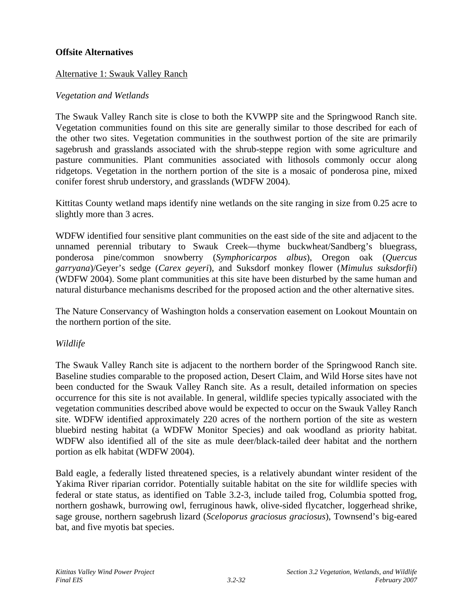#### **Offsite Alternatives**

#### Alternative 1: Swauk Valley Ranch

#### *Vegetation and Wetlands*

The Swauk Valley Ranch site is close to both the KVWPP site and the Springwood Ranch site. Vegetation communities found on this site are generally similar to those described for each of the other two sites. Vegetation communities in the southwest portion of the site are primarily sagebrush and grasslands associated with the shrub-steppe region with some agriculture and pasture communities. Plant communities associated with lithosols commonly occur along ridgetops. Vegetation in the northern portion of the site is a mosaic of ponderosa pine, mixed conifer forest shrub understory, and grasslands (WDFW 2004).

Kittitas County wetland maps identify nine wetlands on the site ranging in size from 0.25 acre to slightly more than 3 acres.

WDFW identified four sensitive plant communities on the east side of the site and adjacent to the unnamed perennial tributary to Swauk Creek—thyme buckwheat/Sandberg's bluegrass, ponderosa pine/common snowberry (*Symphoricarpos albus*), Oregon oak (*Quercus garryana*)/Geyer's sedge (*Carex geyeri*), and Suksdorf monkey flower (*[Mimulus suksdorfii](http://www.dnr.wa.gov/nhp/refdesk/fguide/htm/fsp_misu.htm)*) (WDFW 2004). Some plant communities at this site have been disturbed by the same human and natural disturbance mechanisms described for the proposed action and the other alternative sites.

The Nature Conservancy of Washington holds a conservation easement on Lookout Mountain on the northern portion of the site.

#### *Wildlife*

The Swauk Valley Ranch site is adjacent to the northern border of the Springwood Ranch site. Baseline studies comparable to the proposed action, Desert Claim, and Wild Horse sites have not been conducted for the Swauk Valley Ranch site. As a result, detailed information on species occurrence for this site is not available. In general, wildlife species typically associated with the vegetation communities described above would be expected to occur on the Swauk Valley Ranch site. WDFW identified approximately 220 acres of the northern portion of the site as western bluebird nesting habitat (a WDFW Monitor Species) and oak woodland as priority habitat. WDFW also identified all of the site as mule deer/black-tailed deer habitat and the northern portion as elk habitat (WDFW 2004).

Bald eagle, a federally listed threatened species, is a relatively abundant winter resident of the Yakima River riparian corridor. Potentially suitable habitat on the site for wildlife species with federal or state status, as identified on Table 3.2-3, include tailed frog, Columbia spotted frog, northern goshawk, burrowing owl, ferruginous hawk, olive-sided flycatcher, loggerhead shrike, sage grouse, northern sagebrush lizard (*Sceloporus graciosus graciosus*), Townsend's big-eared bat, and five myotis bat species.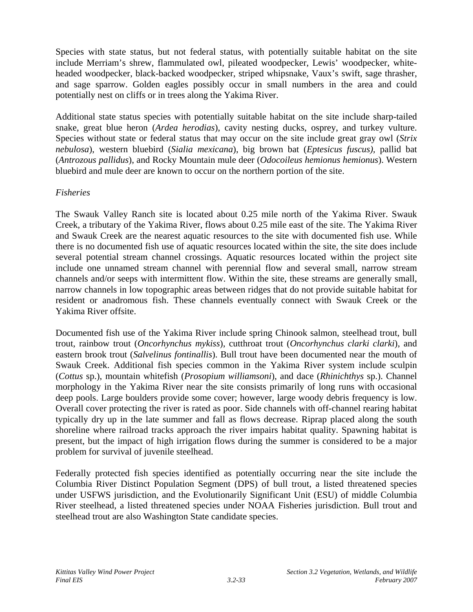Species with state status, but not federal status, with potentially suitable habitat on the site include Merriam's shrew, flammulated owl, pileated woodpecker, Lewis' woodpecker, whiteheaded woodpecker, black-backed woodpecker, striped whipsnake, Vaux's swift, sage thrasher, and sage sparrow. Golden eagles possibly occur in small numbers in the area and could potentially nest on cliffs or in trees along the Yakima River.

Additional state status species with potentially suitable habitat on the site include sharp-tailed snake, great blue heron (*Ardea herodias*), cavity nesting ducks, osprey, and turkey vulture. Species without state or federal status that may occur on the site include great gray owl (*Strix nebulosa*), western bluebird (*Sialia mexicana*), big brown bat (*Eptesicus fuscus),* pallid bat (*Antrozous pallidus*), and Rocky Mountain mule deer (*Odocoileus hemionus hemionus*). Western bluebird and mule deer are known to occur on the northern portion of the site.

# *Fisheries*

The Swauk Valley Ranch site is located about 0.25 mile north of the Yakima River. Swauk Creek, a tributary of the Yakima River, flows about 0.25 mile east of the site. The Yakima River and Swauk Creek are the nearest aquatic resources to the site with documented fish use. While there is no documented fish use of aquatic resources located within the site, the site does include several potential stream channel crossings. Aquatic resources located within the project site include one unnamed stream channel with perennial flow and several small, narrow stream channels and/or seeps with intermittent flow. Within the site, these streams are generally small, narrow channels in low topographic areas between ridges that do not provide suitable habitat for resident or anadromous fish. These channels eventually connect with Swauk Creek or the Yakima River offsite.

Documented fish use of the Yakima River include spring Chinook salmon, steelhead trout, bull trout, rainbow trout (*Oncorhynchus mykiss*), cutthroat trout (*Oncorhynchus clarki clarki*), and eastern brook trout (*Salvelinus fontinallis*). Bull trout have been documented near the mouth of Swauk Creek. Additional fish species common in the Yakima River system include sculpin (*Cottus* sp.), mountain whitefish (*Prosopium williamsoni*), and dace (*Rhinichthys* sp.). Channel morphology in the Yakima River near the site consists primarily of long runs with occasional deep pools. Large boulders provide some cover; however, large woody debris frequency is low. Overall cover protecting the river is rated as poor. Side channels with off-channel rearing habitat typically dry up in the late summer and fall as flows decrease. Riprap placed along the south shoreline where railroad tracks approach the river impairs habitat quality. Spawning habitat is present, but the impact of high irrigation flows during the summer is considered to be a major problem for survival of juvenile steelhead.

Federally protected fish species identified as potentially occurring near the site include the Columbia River Distinct Population Segment (DPS) of bull trout, a listed threatened species under USFWS jurisdiction, and the Evolutionarily Significant Unit (ESU) of middle Columbia River steelhead, a listed threatened species under NOAA Fisheries jurisdiction. Bull trout and steelhead trout are also Washington State candidate species.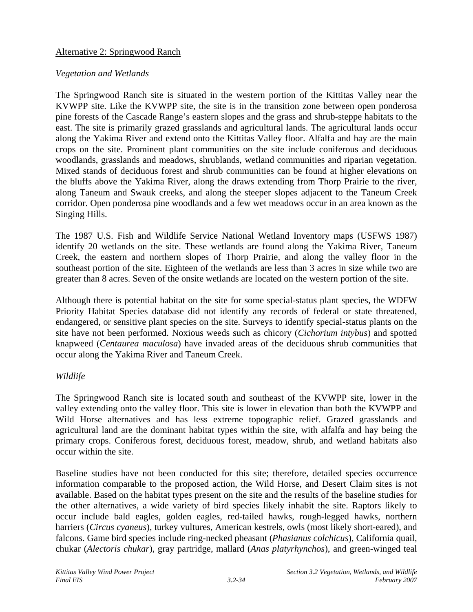#### Alternative 2: Springwood Ranch

#### *Vegetation and Wetlands*

The Springwood Ranch site is situated in the western portion of the Kittitas Valley near the KVWPP site. Like the KVWPP site, the site is in the transition zone between open ponderosa pine forests of the Cascade Range's eastern slopes and the grass and shrub-steppe habitats to the east. The site is primarily grazed grasslands and agricultural lands. The agricultural lands occur along the Yakima River and extend onto the Kittitas Valley floor. Alfalfa and hay are the main crops on the site. Prominent plant communities on the site include coniferous and deciduous woodlands, grasslands and meadows, shrublands, wetland communities and riparian vegetation. Mixed stands of deciduous forest and shrub communities can be found at higher elevations on the bluffs above the Yakima River, along the draws extending from Thorp Prairie to the river, along Taneum and Swauk creeks, and along the steeper slopes adjacent to the Taneum Creek corridor. Open ponderosa pine woodlands and a few wet meadows occur in an area known as the Singing Hills.

The 1987 U.S. Fish and Wildlife Service National Wetland Inventory maps (USFWS 1987) identify 20 wetlands on the site. These wetlands are found along the Yakima River, Taneum Creek, the eastern and northern slopes of Thorp Prairie, and along the valley floor in the southeast portion of the site. Eighteen of the wetlands are less than 3 acres in size while two are greater than 8 acres. Seven of the onsite wetlands are located on the western portion of the site.

Although there is potential habitat on the site for some special-status plant species, the WDFW Priority Habitat Species database did not identify any records of federal or state threatened, endangered, or sensitive plant species on the site. Surveys to identify special-status plants on the site have not been performed. Noxious weeds such as chicory (*Cichorium intybus*) and spotted knapweed (*Centaurea maculosa*) have invaded areas of the deciduous shrub communities that occur along the Yakima River and Taneum Creek.

# *Wildlife*

The Springwood Ranch site is located south and southeast of the KVWPP site, lower in the valley extending onto the valley floor. This site is lower in elevation than both the KVWPP and Wild Horse alternatives and has less extreme topographic relief. Grazed grasslands and agricultural land are the dominant habitat types within the site, with alfalfa and hay being the primary crops. Coniferous forest, deciduous forest, meadow, shrub, and wetland habitats also occur within the site.

Baseline studies have not been conducted for this site; therefore, detailed species occurrence information comparable to the proposed action, the Wild Horse, and Desert Claim sites is not available. Based on the habitat types present on the site and the results of the baseline studies for the other alternatives, a wide variety of bird species likely inhabit the site. Raptors likely to occur include bald eagles, golden eagles, red-tailed hawks, rough-legged hawks, northern harriers (*Circus cyaneus*), turkey vultures, American kestrels, owls (most likely short-eared), and falcons. Game bird species include ring-necked pheasant (*Phasianus colchicus*), California quail, chukar (*Alectoris chukar*), gray partridge, mallard (*Anas platyrhynchos*), and green-winged teal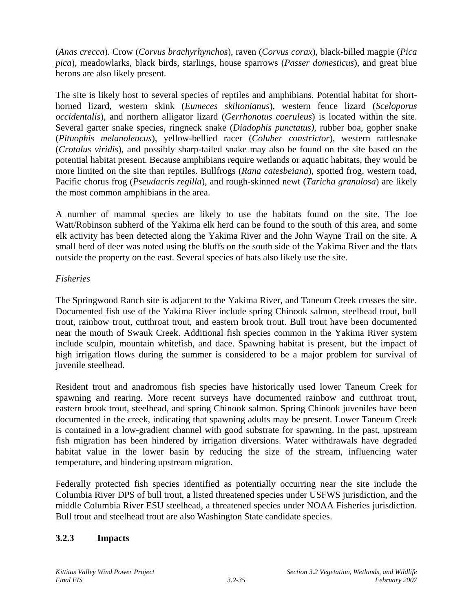(*Anas crecca*). Crow (*Corvus brachyrhynchos*), raven (*Corvus corax*), black-billed magpie (*Pica pica*), meadowlarks, black birds, starlings, house sparrows (*Passer domesticus*), and great blue herons are also likely present.

The site is likely host to several species of reptiles and amphibians. Potential habitat for shorthorned lizard, western skink (*Eumeces skiltonianus*), western fence lizard (*Sceloporus occidentalis*), and northern alligator lizard (*Gerrhonotus coeruleus*) is located within the site. Several garter snake species, ringneck snake (*Diadophis punctatus),* rubber boa, gopher snake (*Pituophis melanoleucus*), yellow-bellied racer (*Coluber constrictor*), western rattlesnake (*Crotalus viridis*), and possibly sharp-tailed snake may also be found on the site based on the potential habitat present. Because amphibians require wetlands or aquatic habitats, they would be more limited on the site than reptiles. Bullfrogs (*Rana catesbeiana*), spotted frog, western toad, Pacific chorus frog (*Pseudacris regilla*), and rough-skinned newt (*Taricha granulosa*) are likely the most common amphibians in the area.

A number of mammal species are likely to use the habitats found on the site. The Joe Watt/Robinson subherd of the Yakima elk herd can be found to the south of this area, and some elk activity has been detected along the Yakima River and the John Wayne Trail on the site. A small herd of deer was noted using the bluffs on the south side of the Yakima River and the flats outside the property on the east. Several species of bats also likely use the site.

# *Fisheries*

The Springwood Ranch site is adjacent to the Yakima River, and Taneum Creek crosses the site. Documented fish use of the Yakima River include spring Chinook salmon, steelhead trout, bull trout, rainbow trout, cutthroat trout, and eastern brook trout. Bull trout have been documented near the mouth of Swauk Creek. Additional fish species common in the Yakima River system include sculpin, mountain whitefish, and dace. Spawning habitat is present, but the impact of high irrigation flows during the summer is considered to be a major problem for survival of juvenile steelhead.

Resident trout and anadromous fish species have historically used lower Taneum Creek for spawning and rearing. More recent surveys have documented rainbow and cutthroat trout, eastern brook trout, steelhead, and spring Chinook salmon. Spring Chinook juveniles have been documented in the creek, indicating that spawning adults may be present. Lower Taneum Creek is contained in a low-gradient channel with good substrate for spawning. In the past, upstream fish migration has been hindered by irrigation diversions. Water withdrawals have degraded habitat value in the lower basin by reducing the size of the stream, influencing water temperature, and hindering upstream migration.

Federally protected fish species identified as potentially occurring near the site include the Columbia River DPS of bull trout, a listed threatened species under USFWS jurisdiction, and the middle Columbia River ESU steelhead, a threatened species under NOAA Fisheries jurisdiction. Bull trout and steelhead trout are also Washington State candidate species.

# **3.2.3 Impacts**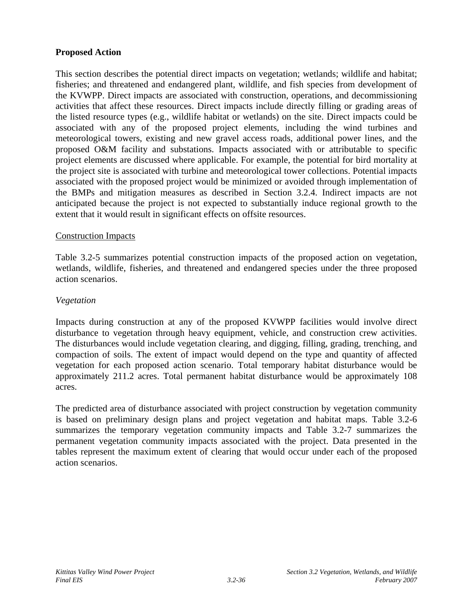#### **Proposed Action**

This section describes the potential direct impacts on vegetation; wetlands; wildlife and habitat; fisheries; and threatened and endangered plant, wildlife, and fish species from development of the KVWPP. Direct impacts are associated with construction, operations, and decommissioning activities that affect these resources. Direct impacts include directly filling or grading areas of the listed resource types (e.g., wildlife habitat or wetlands) on the site. Direct impacts could be associated with any of the proposed project elements, including the wind turbines and meteorological towers, existing and new gravel access roads, additional power lines, and the proposed O&M facility and substations. Impacts associated with or attributable to specific project elements are discussed where applicable. For example, the potential for bird mortality at the project site is associated with turbine and meteorological tower collections. Potential impacts associated with the proposed project would be minimized or avoided through implementation of the BMPs and mitigation measures as described in Section 3.2.4. Indirect impacts are not anticipated because the project is not expected to substantially induce regional growth to the extent that it would result in significant effects on offsite resources.

#### Construction Impacts

Table 3.2-5 summarizes potential construction impacts of the proposed action on vegetation, wetlands, wildlife, fisheries, and threatened and endangered species under the three proposed action scenarios.

#### *Vegetation*

Impacts during construction at any of the proposed KVWPP facilities would involve direct disturbance to vegetation through heavy equipment, vehicle, and construction crew activities. The disturbances would include vegetation clearing, and digging, filling, grading, trenching, and compaction of soils. The extent of impact would depend on the type and quantity of affected vegetation for each proposed action scenario. Total temporary habitat disturbance would be approximately 211.2 acres. Total permanent habitat disturbance would be approximately 108 acres.

The predicted area of disturbance associated with project construction by vegetation community is based on preliminary design plans and project vegetation and habitat maps. Table 3.2-6 summarizes the temporary vegetation community impacts and Table 3.2-7 summarizes the permanent vegetation community impacts associated with the project. Data presented in the tables represent the maximum extent of clearing that would occur under each of the proposed action scenarios.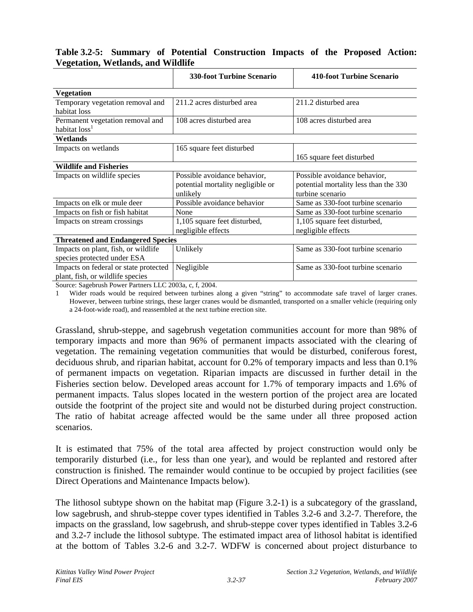#### **Table 3.2-5: Summary of Potential Construction Impacts of the Proposed Action: Vegetation, Wetlands, and Wildlife**

|                                                                           | <b>330-foot Turbine Scenario</b>                                              | <b>410-foot Turbine Scenario</b>                                                          |
|---------------------------------------------------------------------------|-------------------------------------------------------------------------------|-------------------------------------------------------------------------------------------|
| <b>Vegetation</b>                                                         |                                                                               |                                                                                           |
| Temporary vegetation removal and<br>habitat loss                          | 211.2 acres disturbed area                                                    | 211.2 disturbed area                                                                      |
| Permanent vegetation removal and<br>habitat loss <sup>1</sup>             | 108 acres disturbed area                                                      | 108 acres disturbed area                                                                  |
| Wetlands                                                                  |                                                                               |                                                                                           |
| Impacts on wetlands                                                       | 165 square feet disturbed                                                     | 165 square feet disturbed                                                                 |
| <b>Wildlife and Fisheries</b>                                             |                                                                               |                                                                                           |
| Impacts on wildlife species                                               | Possible avoidance behavior,<br>potential mortality negligible or<br>unlikely | Possible avoidance behavior,<br>potential mortality less than the 330<br>turbine scenario |
| Impacts on elk or mule deer                                               | Possible avoidance behavior                                                   | Same as 330-foot turbine scenario                                                         |
| Impacts on fish or fish habitat                                           | None                                                                          | Same as 330-foot turbine scenario                                                         |
| Impacts on stream crossings                                               | 1,105 square feet disturbed,<br>negligible effects                            | 1,105 square feet disturbed,<br>negligible effects                                        |
| <b>Threatened and Endangered Species</b>                                  |                                                                               |                                                                                           |
| Impacts on plant, fish, or wildlife<br>species protected under ESA        | Unlikely                                                                      | Same as 330-foot turbine scenario                                                         |
| Impacts on federal or state protected<br>plant, fish, or wildlife species | Negligible<br>$\cdots$                                                        | Same as 330-foot turbine scenario                                                         |

Source: Sagebrush Power Partners LLC 2003a, c, f, 2004.

1 Wider roads would be required between turbines along a given "string" to accommodate safe travel of larger cranes. However, between turbine strings, these larger cranes would be dismantled, transported on a smaller vehicle (requiring only a 24-foot-wide road), and reassembled at the next turbine erection site.

Grassland, shrub-steppe, and sagebrush vegetation communities account for more than 98% of temporary impacts and more than 96% of permanent impacts associated with the clearing of vegetation. The remaining vegetation communities that would be disturbed, coniferous forest, deciduous shrub, and riparian habitat, account for 0.2% of temporary impacts and less than 0.1% of permanent impacts on vegetation. Riparian impacts are discussed in further detail in the Fisheries section below. Developed areas account for 1.7% of temporary impacts and 1.6% of permanent impacts. Talus slopes located in the western portion of the project area are located outside the footprint of the project site and would not be disturbed during project construction. The ratio of habitat acreage affected would be the same under all three proposed action scenarios.

It is estimated that 75% of the total area affected by project construction would only be temporarily disturbed (i.e., for less than one year), and would be replanted and restored after construction is finished. The remainder would continue to be occupied by project facilities (see Direct Operations and Maintenance Impacts below).

The lithosol subtype shown on the habitat map (Figure 3.2-1) is a subcategory of the grassland, low sagebrush, and shrub-steppe cover types identified in Tables 3.2-6 and 3.2-7. Therefore, the impacts on the grassland, low sagebrush, and shrub-steppe cover types identified in Tables 3.2-6 and 3.2-7 include the lithosol subtype. The estimated impact area of lithosol habitat is identified at the bottom of Tables 3.2-6 and 3.2-7. WDFW is concerned about project disturbance to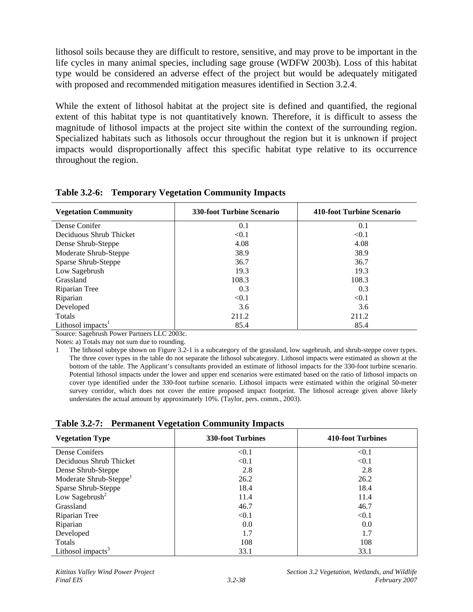lithosol soils because they are difficult to restore, sensitive, and may prove to be important in the life cycles in many animal species, including sage grouse (WDFW 2003b). Loss of this habitat type would be considered an adverse effect of the project but would be adequately mitigated with proposed and recommended mitigation measures identified in Section 3.2.4.

While the extent of lithosol habitat at the project site is defined and quantified, the regional extent of this habitat type is not quantitatively known. Therefore, it is difficult to assess the magnitude of lithosol impacts at the project site within the context of the surrounding region. Specialized habitats such as lithosols occur throughout the region but it is unknown if project impacts would disproportionally affect this specific habitat type relative to its occurrence throughout the region.

| <b>Vegetation Community</b>   | <b>330-foot Turbine Scenario</b> | 410-foot Turbine Scenario |
|-------------------------------|----------------------------------|---------------------------|
| Dense Conifer                 | 0.1                              | 0.1                       |
| Deciduous Shrub Thicket       | < 0.1                            | < 0.1                     |
| Dense Shrub-Steppe            | 4.08                             | 4.08                      |
| Moderate Shrub-Steppe         | 38.9                             | 38.9                      |
| Sparse Shrub-Steppe           | 36.7                             | 36.7                      |
| Low Sagebrush                 | 19.3                             | 19.3                      |
| Grassland                     | 108.3                            | 108.3                     |
| Riparian Tree                 | 0.3                              | 0.3                       |
| Riparian                      | < 0.1                            | < 0.1                     |
| Developed                     | 3.6                              | 3.6                       |
| Totals                        | 211.2                            | 211.2                     |
| Lithosol impacts <sup>1</sup> | 85.4                             | 85.4                      |

**Table 3.2-6: Temporary Vegetation Community Impacts** 

Source: Sagebrush Power Partners LLC 2003c.

Notes: a) Totals may not sum due to rounding.

**Table 3.2-7: Permanent Vegetation Community Impacts** 

| <b>Vegetation Type</b>             | <b>330-foot Turbines</b> | 410-foot Turbines |
|------------------------------------|--------------------------|-------------------|
| Dense Conifers                     | < 0.1                    | < 0.1             |
| Deciduous Shrub Thicket            | < 0.1                    | < 0.1             |
| Dense Shrub-Steppe                 | 2.8                      | 2.8               |
| Moderate Shrub-Steppe <sup>1</sup> | 26.2                     | 26.2              |
| Sparse Shrub-Steppe                | 18.4                     | 18.4              |
| Low Sagebrush <sup>2</sup>         | 11.4                     | 11.4              |
| Grassland                          | 46.7                     | 46.7              |
| Riparian Tree                      | < 0.1                    | < 0.1             |
| Riparian                           | 0.0                      | 0.0               |
| Developed                          | 1.7                      | 1.7               |
| Totals                             | 108                      | 108               |
| Lithosol impacts $3$               | 33.1                     | 33.1              |

<sup>1</sup> The lithosol subtype shown on Figure 3.2-1 is a subcategory of the grassland, low sagebrush, and shrub-steppe cover types. The three cover types in the table do not separate the lithosol subcategory. Lithosol impacts were estimated as shown at the bottom of the table. The Applicant's consultants provided an estimate of lithosol impacts for the 330-foot turbine scenario. Potential lithosol impacts under the lower and upper end scenarios were estimated based on the ratio of lithosol impacts on cover type identified under the 330-foot turbine scenario. Lithosol impacts were estimated within the original 50-meter survey corridor, which does not cover the entire proposed impact footprint. The lithosol acreage given above likely understates the actual amount by approximately 10%. (Taylor, pers. comm., 2003).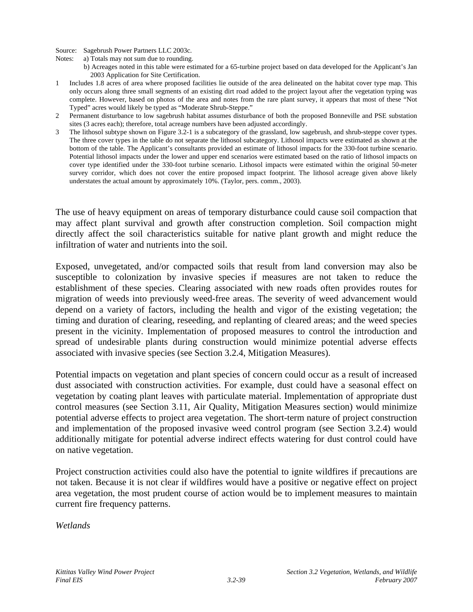Source: Sagebrush Power Partners LLC 2003c.

- Notes: a) Totals may not sum due to rounding.
	- b) Acreages noted in this table were estimated for a 65-turbine project based on data developed for the Applicant's Jan 2003 Application for Site Certification.
- 1 Includes 1.8 acres of area where proposed facilities lie outside of the area delineated on the habitat cover type map. This only occurs along three small segments of an existing dirt road added to the project layout after the vegetation typing was complete. However, based on photos of the area and notes from the rare plant survey, it appears that most of these "Not Typed" acres would likely be typed as "Moderate Shrub-Steppe."
- 2 Permanent disturbance to low sagebrush habitat assumes disturbance of both the proposed Bonneville and PSE substation sites (3 acres each); therefore, total acreage numbers have been adjusted accordingly.
- 3 The lithosol subtype shown on Figure 3.2-1 is a subcategory of the grassland, low sagebrush, and shrub-steppe cover types. The three cover types in the table do not separate the lithosol subcategory. Lithosol impacts were estimated as shown at the bottom of the table. The Applicant's consultants provided an estimate of lithosol impacts for the 330-foot turbine scenario. Potential lithosol impacts under the lower and upper end scenarios were estimated based on the ratio of lithosol impacts on cover type identified under the 330-foot turbine scenario. Lithosol impacts were estimated within the original 50-meter survey corridor, which does not cover the entire proposed impact footprint. The lithosol acreage given above likely understates the actual amount by approximately 10%. (Taylor, pers. comm., 2003).

The use of heavy equipment on areas of temporary disturbance could cause soil compaction that may affect plant survival and growth after construction completion. Soil compaction might directly affect the soil characteristics suitable for native plant growth and might reduce the infiltration of water and nutrients into the soil.

Exposed, unvegetated, and/or compacted soils that result from land conversion may also be susceptible to colonization by invasive species if measures are not taken to reduce the establishment of these species. Clearing associated with new roads often provides routes for migration of weeds into previously weed-free areas. The severity of weed advancement would depend on a variety of factors, including the health and vigor of the existing vegetation; the timing and duration of clearing, reseeding, and replanting of cleared areas; and the weed species present in the vicinity. Implementation of proposed measures to control the introduction and spread of undesirable plants during construction would minimize potential adverse effects associated with invasive species (see Section 3.2.4, Mitigation Measures).

Potential impacts on vegetation and plant species of concern could occur as a result of increased dust associated with construction activities. For example, dust could have a seasonal effect on vegetation by coating plant leaves with particulate material. Implementation of appropriate dust control measures (see Section 3.11, Air Quality, Mitigation Measures section) would minimize potential adverse effects to project area vegetation. The short-term nature of project construction and implementation of the proposed invasive weed control program (see Section 3.2.4) would additionally mitigate for potential adverse indirect effects watering for dust control could have on native vegetation.

Project construction activities could also have the potential to ignite wildfires if precautions are not taken. Because it is not clear if wildfires would have a positive or negative effect on project area vegetation, the most prudent course of action would be to implement measures to maintain current fire frequency patterns.

*Wetlands*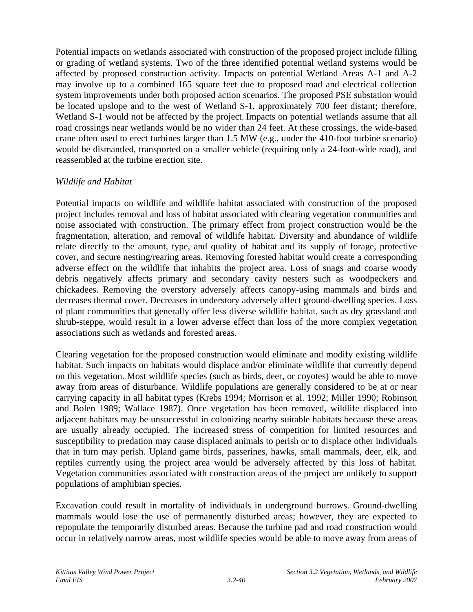Potential impacts on wetlands associated with construction of the proposed project include filling or grading of wetland systems. Two of the three identified potential wetland systems would be affected by proposed construction activity. Impacts on potential Wetland Areas A-1 and A-2 may involve up to a combined 165 square feet due to proposed road and electrical collection system improvements under both proposed action scenarios. The proposed PSE substation would be located upslope and to the west of Wetland S-1, approximately 700 feet distant; therefore, Wetland S-1 would not be affected by the project. Impacts on potential wetlands assume that all road crossings near wetlands would be no wider than 24 feet. At these crossings, the wide-based crane often used to erect turbines larger than 1.5 MW (e.g., under the 410-foot turbine scenario) would be dismantled, transported on a smaller vehicle (requiring only a 24-foot-wide road), and reassembled at the turbine erection site.

# *Wildlife and Habitat*

Potential impacts on wildlife and wildlife habitat associated with construction of the proposed project includes removal and loss of habitat associated with clearing vegetation communities and noise associated with construction. The primary effect from project construction would be the fragmentation, alteration, and removal of wildlife habitat. Diversity and abundance of wildlife relate directly to the amount, type, and quality of habitat and its supply of forage, protective cover, and secure nesting/rearing areas. Removing forested habitat would create a corresponding adverse effect on the wildlife that inhabits the project area. Loss of snags and coarse woody debris negatively affects primary and secondary cavity nesters such as woodpeckers and chickadees. Removing the overstory adversely affects canopy-using mammals and birds and decreases thermal cover. Decreases in understory adversely affect ground-dwelling species. Loss of plant communities that generally offer less diverse wildlife habitat, such as dry grassland and shrub-steppe, would result in a lower adverse effect than loss of the more complex vegetation associations such as wetlands and forested areas.

Clearing vegetation for the proposed construction would eliminate and modify existing wildlife habitat. Such impacts on habitats would displace and/or eliminate wildlife that currently depend on this vegetation. Most wildlife species (such as birds, deer, or coyotes) would be able to move away from areas of disturbance. Wildlife populations are generally considered to be at or near carrying capacity in all habitat types (Krebs 1994; Morrison et al. 1992; Miller 1990; Robinson and Bolen 1989; Wallace 1987). Once vegetation has been removed, wildlife displaced into adjacent habitats may be unsuccessful in colonizing nearby suitable habitats because these areas are usually already occupied. The increased stress of competition for limited resources and susceptibility to predation may cause displaced animals to perish or to displace other individuals that in turn may perish. Upland game birds, passerines, hawks, small mammals, deer, elk, and reptiles currently using the project area would be adversely affected by this loss of habitat. Vegetation communities associated with construction areas of the project are unlikely to support populations of amphibian species.

Excavation could result in mortality of individuals in underground burrows. Ground-dwelling mammals would lose the use of permanently disturbed areas; however, they are expected to repopulate the temporarily disturbed areas. Because the turbine pad and road construction would occur in relatively narrow areas, most wildlife species would be able to move away from areas of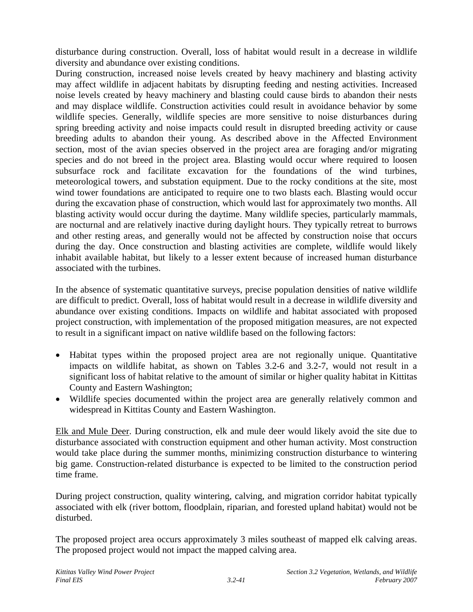disturbance during construction. Overall, loss of habitat would result in a decrease in wildlife diversity and abundance over existing conditions.

During construction, increased noise levels created by heavy machinery and blasting activity may affect wildlife in adjacent habitats by disrupting feeding and nesting activities. Increased noise levels created by heavy machinery and blasting could cause birds to abandon their nests and may displace wildlife. Construction activities could result in avoidance behavior by some wildlife species. Generally, wildlife species are more sensitive to noise disturbances during spring breeding activity and noise impacts could result in disrupted breeding activity or cause breeding adults to abandon their young. As described above in the Affected Environment section, most of the avian species observed in the project area are foraging and/or migrating species and do not breed in the project area. Blasting would occur where required to loosen subsurface rock and facilitate excavation for the foundations of the wind turbines, meteorological towers, and substation equipment. Due to the rocky conditions at the site, most wind tower foundations are anticipated to require one to two blasts each. Blasting would occur during the excavation phase of construction, which would last for approximately two months. All blasting activity would occur during the daytime. Many wildlife species, particularly mammals, are nocturnal and are relatively inactive during daylight hours. They typically retreat to burrows and other resting areas, and generally would not be affected by construction noise that occurs during the day. Once construction and blasting activities are complete, wildlife would likely inhabit available habitat, but likely to a lesser extent because of increased human disturbance associated with the turbines.

In the absence of systematic quantitative surveys, precise population densities of native wildlife are difficult to predict. Overall, loss of habitat would result in a decrease in wildlife diversity and abundance over existing conditions. Impacts on wildlife and habitat associated with proposed project construction, with implementation of the proposed mitigation measures, are not expected to result in a significant impact on native wildlife based on the following factors:

- Habitat types within the proposed project area are not regionally unique. Quantitative impacts on wildlife habitat, as shown on Tables 3.2-6 and 3.2-7, would not result in a significant loss of habitat relative to the amount of similar or higher quality habitat in Kittitas County and Eastern Washington;
- Wildlife species documented within the project area are generally relatively common and widespread in Kittitas County and Eastern Washington.

Elk and Mule Deer. During construction, elk and mule deer would likely avoid the site due to disturbance associated with construction equipment and other human activity. Most construction would take place during the summer months, minimizing construction disturbance to wintering big game. Construction-related disturbance is expected to be limited to the construction period time frame.

During project construction, quality wintering, calving, and migration corridor habitat typically associated with elk (river bottom, floodplain, riparian, and forested upland habitat) would not be disturbed.

The proposed project area occurs approximately 3 miles southeast of mapped elk calving areas. The proposed project would not impact the mapped calving area.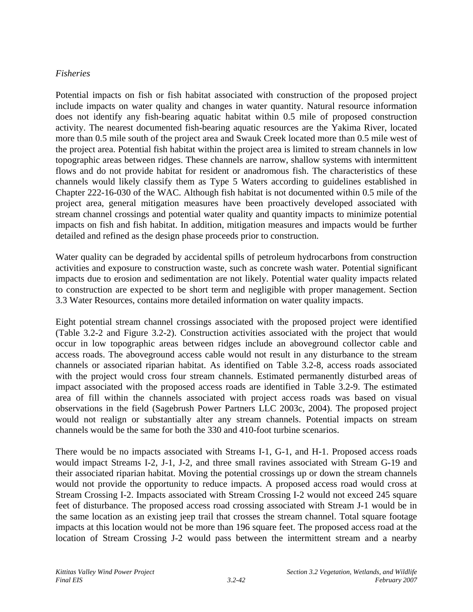#### *Fisheries*

Potential impacts on fish or fish habitat associated with construction of the proposed project include impacts on water quality and changes in water quantity. Natural resource information does not identify any fish-bearing aquatic habitat within 0.5 mile of proposed construction activity. The nearest documented fish-bearing aquatic resources are the Yakima River, located more than 0.5 mile south of the project area and Swauk Creek located more than 0.5 mile west of the project area. Potential fish habitat within the project area is limited to stream channels in low topographic areas between ridges. These channels are narrow, shallow systems with intermittent flows and do not provide habitat for resident or anadromous fish. The characteristics of these channels would likely classify them as Type 5 Waters according to guidelines established in Chapter 222-16-030 of the WAC. Although fish habitat is not documented within 0.5 mile of the project area, general mitigation measures have been proactively developed associated with stream channel crossings and potential water quality and quantity impacts to minimize potential impacts on fish and fish habitat. In addition, mitigation measures and impacts would be further detailed and refined as the design phase proceeds prior to construction.

Water quality can be degraded by accidental spills of petroleum hydrocarbons from construction activities and exposure to construction waste, such as concrete wash water. Potential significant impacts due to erosion and sedimentation are not likely. Potential water quality impacts related to construction are expected to be short term and negligible with proper management. Section 3.3 Water Resources, contains more detailed information on water quality impacts.

Eight potential stream channel crossings associated with the proposed project were identified (Table 3.2-2 and Figure 3.2-2). Construction activities associated with the project that would occur in low topographic areas between ridges include an aboveground collector cable and access roads. The aboveground access cable would not result in any disturbance to the stream channels or associated riparian habitat. As identified on Table 3.2-8, access roads associated with the project would cross four stream channels. Estimated permanently disturbed areas of impact associated with the proposed access roads are identified in Table 3.2-9. The estimated area of fill within the channels associated with project access roads was based on visual observations in the field (Sagebrush Power Partners LLC 2003c, 2004). The proposed project would not realign or substantially alter any stream channels. Potential impacts on stream channels would be the same for both the 330 and 410-foot turbine scenarios.

There would be no impacts associated with Streams I-1, G-1, and H-1. Proposed access roads would impact Streams I-2, J-1, J-2, and three small ravines associated with Stream G-19 and their associated riparian habitat. Moving the potential crossings up or down the stream channels would not provide the opportunity to reduce impacts. A proposed access road would cross at Stream Crossing I-2. Impacts associated with Stream Crossing I-2 would not exceed 245 square feet of disturbance. The proposed access road crossing associated with Stream J-1 would be in the same location as an existing jeep trail that crosses the stream channel. Total square footage impacts at this location would not be more than 196 square feet. The proposed access road at the location of Stream Crossing J-2 would pass between the intermittent stream and a nearby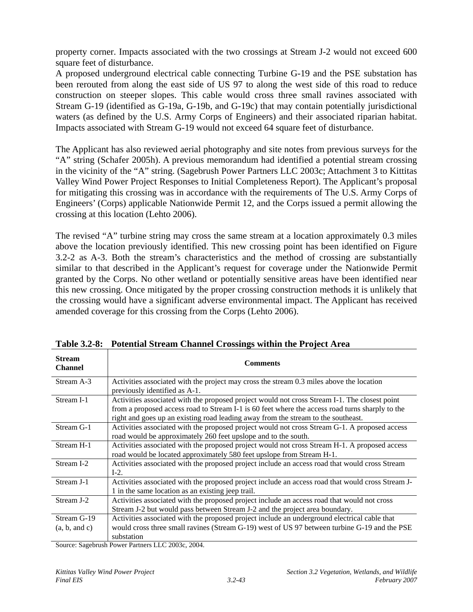property corner. Impacts associated with the two crossings at Stream J-2 would not exceed 600 square feet of disturbance.

A proposed underground electrical cable connecting Turbine G-19 and the PSE substation has been rerouted from along the east side of US 97 to along the west side of this road to reduce construction on steeper slopes. This cable would cross three small ravines associated with Stream G-19 (identified as G-19a, G-19b, and G-19c) that may contain potentially jurisdictional waters (as defined by the U.S. Army Corps of Engineers) and their associated riparian habitat. Impacts associated with Stream G-19 would not exceed 64 square feet of disturbance.

The Applicant has also reviewed aerial photography and site notes from previous surveys for the "A" string (Schafer 2005h). A previous memorandum had identified a potential stream crossing in the vicinity of the "A" string. (Sagebrush Power Partners LLC 2003c; Attachment 3 to Kittitas Valley Wind Power Project Responses to Initial Completeness Report). The Applicant's proposal for mitigating this crossing was in accordance with the requirements of The U.S. Army Corps of Engineers' (Corps) applicable Nationwide Permit 12, and the Corps issued a permit allowing the crossing at this location (Lehto 2006).

The revised "A" turbine string may cross the same stream at a location approximately 0.3 miles above the location previously identified. This new crossing point has been identified on Figure 3.2-2 as A-3. Both the stream's characteristics and the method of crossing are substantially similar to that described in the Applicant's request for coverage under the Nationwide Permit granted by the Corps. No other wetland or potentially sensitive areas have been identified near this new crossing. Once mitigated by the proper crossing construction methods it is unlikely that the crossing would have a significant adverse environmental impact. The Applicant has received amended coverage for this crossing from the Corps (Lehto 2006).

| <b>Stream</b><br><b>Channel</b> | <b>Comments</b>                                                                                                                                                                                                                                                                       |
|---------------------------------|---------------------------------------------------------------------------------------------------------------------------------------------------------------------------------------------------------------------------------------------------------------------------------------|
| Stream A-3                      | Activities associated with the project may cross the stream 0.3 miles above the location<br>previously identified as A-1.                                                                                                                                                             |
| Stream I-1                      | Activities associated with the proposed project would not cross Stream I-1. The closest point<br>from a proposed access road to Stream I-1 is 60 feet where the access road turns sharply to the<br>right and goes up an existing road leading away from the stream to the southeast. |
| Stream G-1                      | Activities associated with the proposed project would not cross Stream G-1. A proposed access<br>road would be approximately 260 feet upslope and to the south.                                                                                                                       |
| Stream H-1                      | Activities associated with the proposed project would not cross Stream H-1. A proposed access<br>road would be located approximately 580 feet upslope from Stream H-1.                                                                                                                |
| Stream I-2                      | Activities associated with the proposed project include an access road that would cross Stream<br>$I-2$ .                                                                                                                                                                             |
| Stream J-1                      | Activities associated with the proposed project include an access road that would cross Stream J-<br>1 in the same location as an existing jeep trail.                                                                                                                                |
| Stream J-2                      | Activities associated with the proposed project include an access road that would not cross<br>Stream J-2 but would pass between Stream J-2 and the project area boundary.                                                                                                            |
| Stream G-19<br>(a, b, and c)    | Activities associated with the proposed project include an underground electrical cable that<br>would cross three small ravines (Stream G-19) west of US 97 between turbine G-19 and the PSE<br>substation                                                                            |

**Table 3.2-8: Potential Stream Channel Crossings within the Project Area** 

Source: Sagebrush Power Partners LLC 2003c, 2004.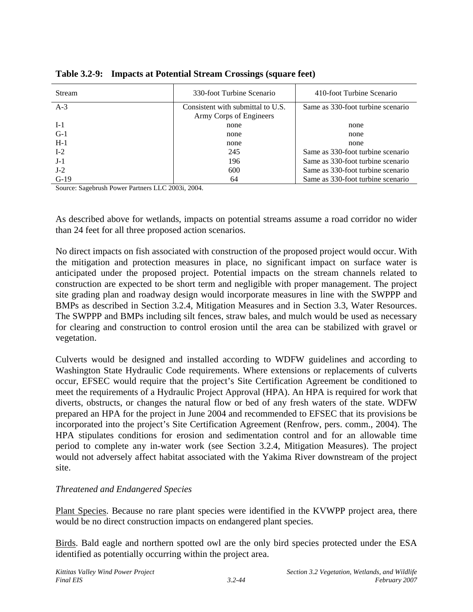| <b>Stream</b> | 330-foot Turbine Scenario         | 410-foot Turbine Scenario         |  |  |  |
|---------------|-----------------------------------|-----------------------------------|--|--|--|
| $A-3$         | Consistent with submittal to U.S. | Same as 330-foot turbine scenario |  |  |  |
|               | Army Corps of Engineers           |                                   |  |  |  |
| $I-1$         | none                              | none                              |  |  |  |
| $G-1$         | none                              | none                              |  |  |  |
| $H-1$         | none                              | none                              |  |  |  |
| $I-2$         | 245                               | Same as 330-foot turbine scenario |  |  |  |
| $J-1$         | 196                               | Same as 330-foot turbine scenario |  |  |  |
| $J-2$         | 600                               | Same as 330-foot turbine scenario |  |  |  |
| $G-19$        | 64                                | Same as 330-foot turbine scenario |  |  |  |

**Table 3.2-9: Impacts at Potential Stream Crossings (square feet)** 

Source: Sagebrush Power Partners LLC 2003i, 2004.

As described above for wetlands, impacts on potential streams assume a road corridor no wider than 24 feet for all three proposed action scenarios.

No direct impacts on fish associated with construction of the proposed project would occur. With the mitigation and protection measures in place, no significant impact on surface water is anticipated under the proposed project. Potential impacts on the stream channels related to construction are expected to be short term and negligible with proper management. The project site grading plan and roadway design would incorporate measures in line with the SWPPP and BMPs as described in Section 3.2.4, Mitigation Measures and in Section 3.3, Water Resources. The SWPPP and BMPs including silt fences, straw bales, and mulch would be used as necessary for clearing and construction to control erosion until the area can be stabilized with gravel or vegetation.

Culverts would be designed and installed according to WDFW guidelines and according to Washington State Hydraulic Code requirements. Where extensions or replacements of culverts occur, EFSEC would require that the project's Site Certification Agreement be conditioned to meet the requirements of a Hydraulic Project Approval (HPA). An HPA is required for work that diverts, obstructs, or changes the natural flow or bed of any fresh waters of the state. WDFW prepared an HPA for the project in June 2004 and recommended to EFSEC that its provisions be incorporated into the project's Site Certification Agreement (Renfrow, pers. comm., 2004). The HPA stipulates conditions for erosion and sedimentation control and for an allowable time period to complete any in-water work (see Section 3.2.4, Mitigation Measures). The project would not adversely affect habitat associated with the Yakima River downstream of the project site.

#### *Threatened and Endangered Species*

Plant Species. Because no rare plant species were identified in the KVWPP project area, there would be no direct construction impacts on endangered plant species.

Birds. Bald eagle and northern spotted owl are the only bird species protected under the ESA identified as potentially occurring within the project area.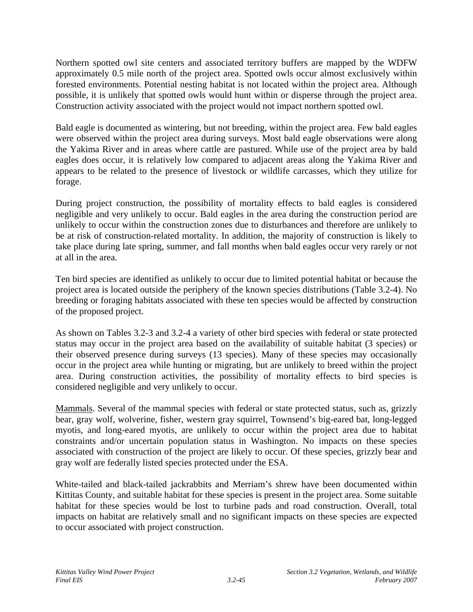Northern spotted owl site centers and associated territory buffers are mapped by the WDFW approximately 0.5 mile north of the project area. Spotted owls occur almost exclusively within forested environments. Potential nesting habitat is not located within the project area. Although possible, it is unlikely that spotted owls would hunt within or disperse through the project area. Construction activity associated with the project would not impact northern spotted owl.

Bald eagle is documented as wintering, but not breeding, within the project area. Few bald eagles were observed within the project area during surveys. Most bald eagle observations were along the Yakima River and in areas where cattle are pastured. While use of the project area by bald eagles does occur, it is relatively low compared to adjacent areas along the Yakima River and appears to be related to the presence of livestock or wildlife carcasses, which they utilize for forage.

During project construction, the possibility of mortality effects to bald eagles is considered negligible and very unlikely to occur. Bald eagles in the area during the construction period are unlikely to occur within the construction zones due to disturbances and therefore are unlikely to be at risk of construction-related mortality. In addition, the majority of construction is likely to take place during late spring, summer, and fall months when bald eagles occur very rarely or not at all in the area.

Ten bird species are identified as unlikely to occur due to limited potential habitat or because the project area is located outside the periphery of the known species distributions (Table 3.2-4). No breeding or foraging habitats associated with these ten species would be affected by construction of the proposed project.

As shown on Tables 3.2-3 and 3.2-4 a variety of other bird species with federal or state protected status may occur in the project area based on the availability of suitable habitat (3 species) or their observed presence during surveys (13 species). Many of these species may occasionally occur in the project area while hunting or migrating, but are unlikely to breed within the project area. During construction activities, the possibility of mortality effects to bird species is considered negligible and very unlikely to occur.

Mammals. Several of the mammal species with federal or state protected status, such as, grizzly bear, gray wolf, wolverine, fisher, western gray squirrel, Townsend's big-eared bat, long-legged myotis, and long-eared myotis, are unlikely to occur within the project area due to habitat constraints and/or uncertain population status in Washington. No impacts on these species associated with construction of the project are likely to occur. Of these species, grizzly bear and gray wolf are federally listed species protected under the ESA.

White-tailed and black-tailed jackrabbits and Merriam's shrew have been documented within Kittitas County, and suitable habitat for these species is present in the project area. Some suitable habitat for these species would be lost to turbine pads and road construction. Overall, total impacts on habitat are relatively small and no significant impacts on these species are expected to occur associated with project construction.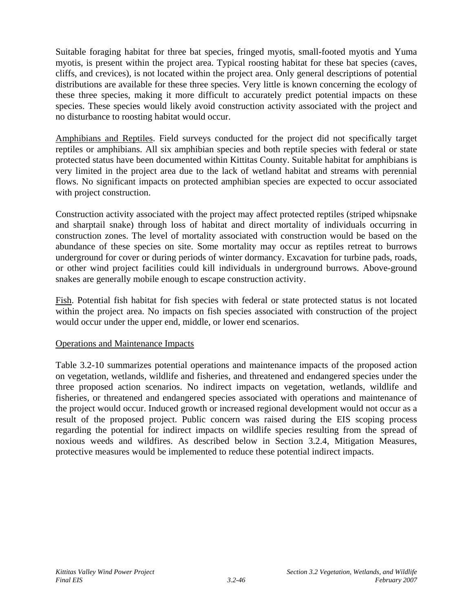Suitable foraging habitat for three bat species, fringed myotis, small-footed myotis and Yuma myotis, is present within the project area. Typical roosting habitat for these bat species (caves, cliffs, and crevices), is not located within the project area. Only general descriptions of potential distributions are available for these three species. Very little is known concerning the ecology of these three species, making it more difficult to accurately predict potential impacts on these species. These species would likely avoid construction activity associated with the project and no disturbance to roosting habitat would occur.

Amphibians and Reptiles. Field surveys conducted for the project did not specifically target reptiles or amphibians. All six amphibian species and both reptile species with federal or state protected status have been documented within Kittitas County. Suitable habitat for amphibians is very limited in the project area due to the lack of wetland habitat and streams with perennial flows. No significant impacts on protected amphibian species are expected to occur associated with project construction.

Construction activity associated with the project may affect protected reptiles (striped whipsnake and sharptail snake) through loss of habitat and direct mortality of individuals occurring in construction zones. The level of mortality associated with construction would be based on the abundance of these species on site. Some mortality may occur as reptiles retreat to burrows underground for cover or during periods of winter dormancy. Excavation for turbine pads, roads, or other wind project facilities could kill individuals in underground burrows. Above-ground snakes are generally mobile enough to escape construction activity.

Fish. Potential fish habitat for fish species with federal or state protected status is not located within the project area. No impacts on fish species associated with construction of the project would occur under the upper end, middle, or lower end scenarios.

# Operations and Maintenance Impacts

Table 3.2-10 summarizes potential operations and maintenance impacts of the proposed action on vegetation, wetlands, wildlife and fisheries, and threatened and endangered species under the three proposed action scenarios. No indirect impacts on vegetation, wetlands, wildlife and fisheries, or threatened and endangered species associated with operations and maintenance of the project would occur. Induced growth or increased regional development would not occur as a result of the proposed project. Public concern was raised during the EIS scoping process regarding the potential for indirect impacts on wildlife species resulting from the spread of noxious weeds and wildfires. As described below in Section 3.2.4, Mitigation Measures, protective measures would be implemented to reduce these potential indirect impacts.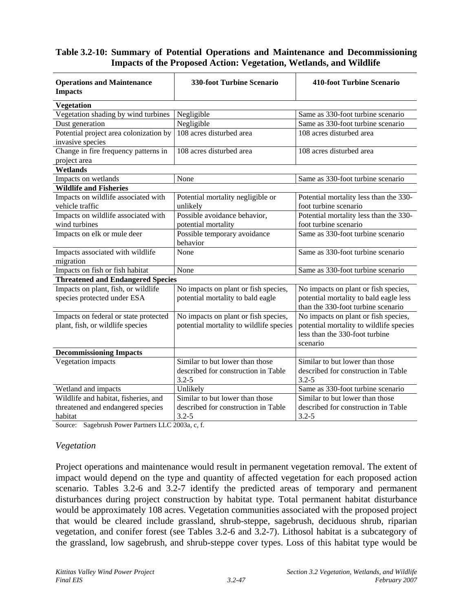# **Table 3.2-10: Summary of Potential Operations and Maintenance and Decommissioning Impacts of the Proposed Action: Vegetation, Wetlands, and Wildlife**

| <b>Operations and Maintenance</b><br><b>Impacts</b>        | <b>330-foot Turbine Scenario</b>                                                    | <b>410-foot Turbine Scenario</b>                                                      |  |  |  |  |
|------------------------------------------------------------|-------------------------------------------------------------------------------------|---------------------------------------------------------------------------------------|--|--|--|--|
| <b>Vegetation</b>                                          |                                                                                     |                                                                                       |  |  |  |  |
| Vegetation shading by wind turbines                        | Negligible                                                                          | Same as 330-foot turbine scenario                                                     |  |  |  |  |
| Dust generation                                            | Negligible                                                                          | Same as 330-foot turbine scenario                                                     |  |  |  |  |
| Potential project area colonization by<br>invasive species | 108 acres disturbed area                                                            | 108 acres disturbed area                                                              |  |  |  |  |
| Change in fire frequency patterns in<br>project area       | 108 acres disturbed area                                                            | 108 acres disturbed area                                                              |  |  |  |  |
| Wetlands                                                   |                                                                                     |                                                                                       |  |  |  |  |
| Impacts on wetlands                                        | None                                                                                | Same as 330-foot turbine scenario                                                     |  |  |  |  |
| <b>Wildlife and Fisheries</b>                              |                                                                                     |                                                                                       |  |  |  |  |
| Impacts on wildlife associated with<br>vehicle traffic     | Potential mortality negligible or<br>unlikely                                       | Potential mortality less than the 330-<br>foot turbine scenario                       |  |  |  |  |
| Impacts on wildlife associated with                        | Possible avoidance behavior,                                                        | Potential mortality less than the 330-                                                |  |  |  |  |
| wind turbines                                              | potential mortality                                                                 | foot turbine scenario                                                                 |  |  |  |  |
| Impacts on elk or mule deer                                | Possible temporary avoidance<br>behavior                                            | Same as 330-foot turbine scenario                                                     |  |  |  |  |
| Impacts associated with wildlife<br>migration              | None                                                                                | Same as 330-foot turbine scenario                                                     |  |  |  |  |
| Impacts on fish or fish habitat                            | None                                                                                | Same as 330-foot turbine scenario                                                     |  |  |  |  |
| <b>Threatened and Endangered Species</b>                   |                                                                                     |                                                                                       |  |  |  |  |
| Impacts on plant, fish, or wildlife                        | No impacts on plant or fish species,                                                | No impacts on plant or fish species,                                                  |  |  |  |  |
| species protected under ESA                                | potential mortality to bald eagle                                                   | potential mortality to bald eagle less<br>than the 330-foot turbine scenario          |  |  |  |  |
| Impacts on federal or state protected                      | No impacts on plant or fish species,                                                | No impacts on plant or fish species,                                                  |  |  |  |  |
| plant, fish, or wildlife species                           | potential mortality to wildlife species                                             | potential mortality to wildlife species<br>less than the 330-foot turbine<br>scenario |  |  |  |  |
| <b>Decommissioning Impacts</b>                             |                                                                                     |                                                                                       |  |  |  |  |
| Vegetation impacts                                         | Similar to but lower than those<br>described for construction in Table<br>$3.2 - 5$ | Similar to but lower than those<br>described for construction in Table<br>$3.2 - 5$   |  |  |  |  |
| Wetland and impacts                                        | Unlikely                                                                            | Same as 330-foot turbine scenario                                                     |  |  |  |  |
| Wildlife and habitat, fisheries, and                       | Similar to but lower than those                                                     | Similar to but lower than those                                                       |  |  |  |  |
| threatened and endangered species<br>habitat               | described for construction in Table<br>$3.2 - 5$                                    | described for construction in Table<br>$3.2 - 5$                                      |  |  |  |  |

Source: Sagebrush Power Partners LLC 2003a, c, f.

#### *Vegetation*

Project operations and maintenance would result in permanent vegetation removal. The extent of impact would depend on the type and quantity of affected vegetation for each proposed action scenario. Tables 3.2-6 and 3.2-7 identify the predicted areas of temporary and permanent disturbances during project construction by habitat type. Total permanent habitat disturbance would be approximately 108 acres. Vegetation communities associated with the proposed project that would be cleared include grassland, shrub-steppe, sagebrush, deciduous shrub, riparian vegetation, and conifer forest (see Tables 3.2-6 and 3.2-7). Lithosol habitat is a subcategory of the grassland, low sagebrush, and shrub-steppe cover types. Loss of this habitat type would be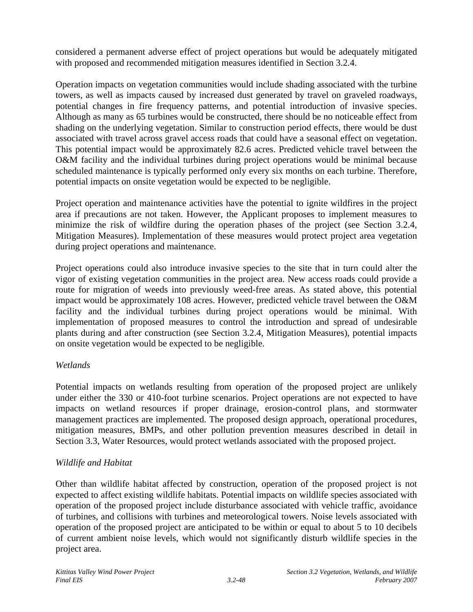considered a permanent adverse effect of project operations but would be adequately mitigated with proposed and recommended mitigation measures identified in Section 3.2.4.

Operation impacts on vegetation communities would include shading associated with the turbine towers, as well as impacts caused by increased dust generated by travel on graveled roadways, potential changes in fire frequency patterns, and potential introduction of invasive species. Although as many as 65 turbines would be constructed, there should be no noticeable effect from shading on the underlying vegetation. Similar to construction period effects, there would be dust associated with travel across gravel access roads that could have a seasonal effect on vegetation. This potential impact would be approximately 82.6 acres. Predicted vehicle travel between the O&M facility and the individual turbines during project operations would be minimal because scheduled maintenance is typically performed only every six months on each turbine. Therefore, potential impacts on onsite vegetation would be expected to be negligible.

Project operation and maintenance activities have the potential to ignite wildfires in the project area if precautions are not taken. However, the Applicant proposes to implement measures to minimize the risk of wildfire during the operation phases of the project (see Section 3.2.4, Mitigation Measures). Implementation of these measures would protect project area vegetation during project operations and maintenance.

Project operations could also introduce invasive species to the site that in turn could alter the vigor of existing vegetation communities in the project area. New access roads could provide a route for migration of weeds into previously weed-free areas. As stated above, this potential impact would be approximately 108 acres. However, predicted vehicle travel between the O&M facility and the individual turbines during project operations would be minimal. With implementation of proposed measures to control the introduction and spread of undesirable plants during and after construction (see Section 3.2.4, Mitigation Measures), potential impacts on onsite vegetation would be expected to be negligible.

# *Wetlands*

Potential impacts on wetlands resulting from operation of the proposed project are unlikely under either the 330 or 410-foot turbine scenarios. Project operations are not expected to have impacts on wetland resources if proper drainage, erosion-control plans, and stormwater management practices are implemented. The proposed design approach, operational procedures, mitigation measures, BMPs, and other pollution prevention measures described in detail in Section 3.3, Water Resources, would protect wetlands associated with the proposed project.

# *Wildlife and Habitat*

Other than wildlife habitat affected by construction, operation of the proposed project is not expected to affect existing wildlife habitats. Potential impacts on wildlife species associated with operation of the proposed project include disturbance associated with vehicle traffic, avoidance of turbines, and collisions with turbines and meteorological towers. Noise levels associated with operation of the proposed project are anticipated to be within or equal to about 5 to 10 decibels of current ambient noise levels, which would not significantly disturb wildlife species in the project area.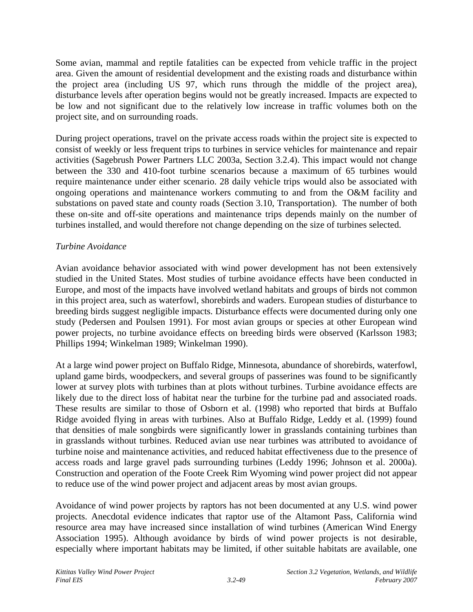Some avian, mammal and reptile fatalities can be expected from vehicle traffic in the project area. Given the amount of residential development and the existing roads and disturbance within the project area (including US 97, which runs through the middle of the project area), disturbance levels after operation begins would not be greatly increased. Impacts are expected to be low and not significant due to the relatively low increase in traffic volumes both on the project site, and on surrounding roads.

During project operations, travel on the private access roads within the project site is expected to consist of weekly or less frequent trips to turbines in service vehicles for maintenance and repair activities (Sagebrush Power Partners LLC 2003a, Section 3.2.4). This impact would not change between the 330 and 410-foot turbine scenarios because a maximum of 65 turbines would require maintenance under either scenario. 28 daily vehicle trips would also be associated with ongoing operations and maintenance workers commuting to and from the O&M facility and substations on paved state and county roads (Section 3.10, Transportation). The number of both these on-site and off-site operations and maintenance trips depends mainly on the number of turbines installed, and would therefore not change depending on the size of turbines selected.

#### *Turbine Avoidance*

Avian avoidance behavior associated with wind power development has not been extensively studied in the United States. Most studies of turbine avoidance effects have been conducted in Europe, and most of the impacts have involved wetland habitats and groups of birds not common in this project area, such as waterfowl, shorebirds and waders. European studies of disturbance to breeding birds suggest negligible impacts. Disturbance effects were documented during only one study (Pedersen and Poulsen 1991). For most avian groups or species at other European wind power projects, no turbine avoidance effects on breeding birds were observed (Karlsson 1983; Phillips 1994; Winkelman 1989; Winkelman 1990).

At a large wind power project on Buffalo Ridge, Minnesota, abundance of shorebirds, waterfowl, upland game birds, woodpeckers, and several groups of passerines was found to be significantly lower at survey plots with turbines than at plots without turbines. Turbine avoidance effects are likely due to the direct loss of habitat near the turbine for the turbine pad and associated roads. These results are similar to those of Osborn et al. (1998) who reported that birds at Buffalo Ridge avoided flying in areas with turbines. Also at Buffalo Ridge, Leddy et al. (1999) found that densities of male songbirds were significantly lower in grasslands containing turbines than in grasslands without turbines. Reduced avian use near turbines was attributed to avoidance of turbine noise and maintenance activities, and reduced habitat effectiveness due to the presence of access roads and large gravel pads surrounding turbines (Leddy 1996; Johnson et al. 2000a). Construction and operation of the Foote Creek Rim Wyoming wind power project did not appear to reduce use of the wind power project and adjacent areas by most avian groups.

Avoidance of wind power projects by raptors has not been documented at any U.S. wind power projects. Anecdotal evidence indicates that raptor use of the Altamont Pass, California wind resource area may have increased since installation of wind turbines (American Wind Energy Association 1995). Although avoidance by birds of wind power projects is not desirable, especially where important habitats may be limited, if other suitable habitats are available, one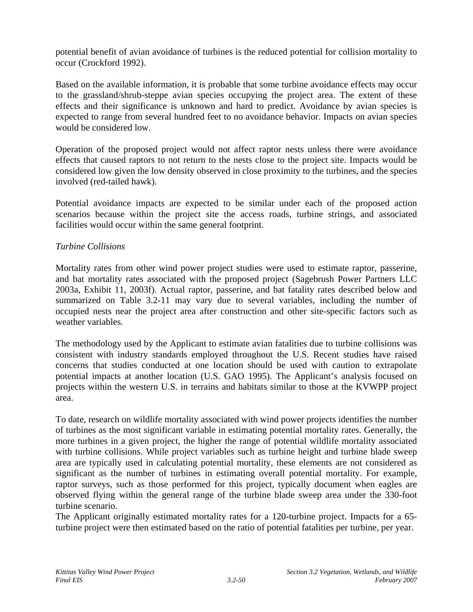potential benefit of avian avoidance of turbines is the reduced potential for collision mortality to occur (Crockford 1992).

Based on the available information, it is probable that some turbine avoidance effects may occur to the grassland/shrub-steppe avian species occupying the project area. The extent of these effects and their significance is unknown and hard to predict. Avoidance by avian species is expected to range from several hundred feet to no avoidance behavior. Impacts on avian species would be considered low.

Operation of the proposed project would not affect raptor nests unless there were avoidance effects that caused raptors to not return to the nests close to the project site. Impacts would be considered low given the low density observed in close proximity to the turbines, and the species involved (red-tailed hawk).

Potential avoidance impacts are expected to be similar under each of the proposed action scenarios because within the project site the access roads, turbine strings, and associated facilities would occur within the same general footprint.

#### *Turbine Collisions*

Mortality rates from other wind power project studies were used to estimate raptor, passerine, and bat mortality rates associated with the proposed project (Sagebrush Power Partners LLC 2003a, Exhibit 11, 2003f). Actual raptor, passerine, and bat fatality rates described below and summarized on Table 3.2-11 may vary due to several variables, including the number of occupied nests near the project area after construction and other site-specific factors such as weather variables.

The methodology used by the Applicant to estimate avian fatalities due to turbine collisions was consistent with industry standards employed throughout the U.S. Recent studies have raised concerns that studies conducted at one location should be used with caution to extrapolate potential impacts at another location (U.S. GAO 1995). The Applicant's analysis focused on projects within the western U.S. in terrains and habitats similar to those at the KVWPP project area.

To date, research on wildlife mortality associated with wind power projects identifies the number of turbines as the most significant variable in estimating potential mortality rates. Generally, the more turbines in a given project, the higher the range of potential wildlife mortality associated with turbine collisions. While project variables such as turbine height and turbine blade sweep area are typically used in calculating potential mortality, these elements are not considered as significant as the number of turbines in estimating overall potential mortality. For example, raptor surveys, such as those performed for this project, typically document when eagles are observed flying within the general range of the turbine blade sweep area under the 330-foot turbine scenario.

The Applicant originally estimated mortality rates for a 120-turbine project. Impacts for a 65 turbine project were then estimated based on the ratio of potential fatalities per turbine, per year.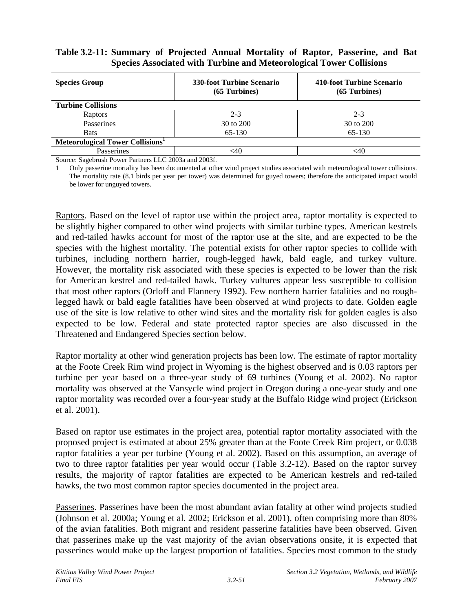# **Table 3.2-11: Summary of Projected Annual Mortality of Raptor, Passerine, and Bat Species Associated with Turbine and Meteorological Tower Collisions**

| <b>Species Group</b>                            | <b>330-foot Turbine Scenario</b><br>$(65$ Turbines) | 410-foot Turbine Scenario<br>$(65$ Turbines) |  |  |  |
|-------------------------------------------------|-----------------------------------------------------|----------------------------------------------|--|--|--|
| <b>Turbine Collisions</b>                       |                                                     |                                              |  |  |  |
| Raptors                                         | $2 - 3$                                             | $2 - 3$                                      |  |  |  |
| Passerines                                      | 30 to 200                                           | 30 to 200                                    |  |  |  |
| <b>Bats</b>                                     | 65-130                                              | 65-130                                       |  |  |  |
| Meteorological Tower Collisions <sup>1</sup>    |                                                     |                                              |  |  |  |
| Passerines                                      | <40                                                 | <40                                          |  |  |  |
| $\sim$<br>T T Q Q Q Q<br>$\alpha$ in $\alpha$ . | 1.0000c                                             |                                              |  |  |  |

Source: Sagebrush Power Partners LLC 2003a and 2003f.

1 Only passerine mortality has been documented at other wind project studies associated with meteorological tower collisions. The mortality rate (8.1 birds per year per tower) was determined for guyed towers; therefore the anticipated impact would be lower for unguyed towers.

Raptors. Based on the level of raptor use within the project area, raptor mortality is expected to be slightly higher compared to other wind projects with similar turbine types. American kestrels and red-tailed hawks account for most of the raptor use at the site, and are expected to be the species with the highest mortality. The potential exists for other raptor species to collide with turbines, including northern harrier, rough-legged hawk, bald eagle, and turkey vulture. However, the mortality risk associated with these species is expected to be lower than the risk for American kestrel and red-tailed hawk. Turkey vultures appear less susceptible to collision that most other raptors (Orloff and Flannery 1992). Few northern harrier fatalities and no roughlegged hawk or bald eagle fatalities have been observed at wind projects to date. Golden eagle use of the site is low relative to other wind sites and the mortality risk for golden eagles is also expected to be low. Federal and state protected raptor species are also discussed in the Threatened and Endangered Species section below.

Raptor mortality at other wind generation projects has been low. The estimate of raptor mortality at the Foote Creek Rim wind project in Wyoming is the highest observed and is 0.03 raptors per turbine per year based on a three-year study of 69 turbines (Young et al. 2002). No raptor mortality was observed at the Vansycle wind project in Oregon during a one-year study and one raptor mortality was recorded over a four-year study at the Buffalo Ridge wind project (Erickson et al. 2001).

Based on raptor use estimates in the project area, potential raptor mortality associated with the proposed project is estimated at about 25% greater than at the Foote Creek Rim project, or 0.038 raptor fatalities a year per turbine (Young et al. 2002). Based on this assumption, an average of two to three raptor fatalities per year would occur (Table 3.2-12). Based on the raptor survey results, the majority of raptor fatalities are expected to be American kestrels and red-tailed hawks, the two most common raptor species documented in the project area.

Passerines. Passerines have been the most abundant avian fatality at other wind projects studied (Johnson et al. 2000a; Young et al. 2002; Erickson et al. 2001), often comprising more than 80% of the avian fatalities. Both migrant and resident passerine fatalities have been observed. Given that passerines make up the vast majority of the avian observations onsite, it is expected that passerines would make up the largest proportion of fatalities. Species most common to the study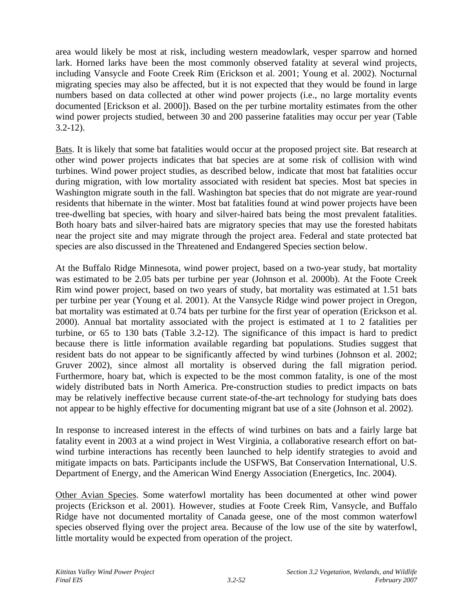area would likely be most at risk, including western meadowlark, vesper sparrow and horned lark. Horned larks have been the most commonly observed fatality at several wind projects, including Vansycle and Foote Creek Rim (Erickson et al. 2001; Young et al. 2002). Nocturnal migrating species may also be affected, but it is not expected that they would be found in large numbers based on data collected at other wind power projects (i.e., no large mortality events documented [Erickson et al. 2000]). Based on the per turbine mortality estimates from the other wind power projects studied, between 30 and 200 passerine fatalities may occur per year (Table 3.2-12).

Bats. It is likely that some bat fatalities would occur at the proposed project site. Bat research at other wind power projects indicates that bat species are at some risk of collision with wind turbines. Wind power project studies, as described below, indicate that most bat fatalities occur during migration, with low mortality associated with resident bat species. Most bat species in Washington migrate south in the fall. Washington bat species that do not migrate are year-round residents that hibernate in the winter. Most bat fatalities found at wind power projects have been tree-dwelling bat species, with hoary and silver-haired bats being the most prevalent fatalities. Both hoary bats and silver-haired bats are migratory species that may use the forested habitats near the project site and may migrate through the project area. Federal and state protected bat species are also discussed in the Threatened and Endangered Species section below.

At the Buffalo Ridge Minnesota, wind power project, based on a two-year study, bat mortality was estimated to be 2.05 bats per turbine per year (Johnson et al. 2000b). At the Foote Creek Rim wind power project, based on two years of study, bat mortality was estimated at 1.51 bats per turbine per year (Young et al. 2001). At the Vansycle Ridge wind power project in Oregon, bat mortality was estimated at 0.74 bats per turbine for the first year of operation (Erickson et al. 2000). Annual bat mortality associated with the project is estimated at 1 to 2 fatalities per turbine, or 65 to 130 bats (Table 3.2-12). The significance of this impact is hard to predict because there is little information available regarding bat populations. Studies suggest that resident bats do not appear to be significantly affected by wind turbines (Johnson et al. 2002; Gruver 2002), since almost all mortality is observed during the fall migration period. Furthermore, hoary bat, which is expected to be the most common fatality, is one of the most widely distributed bats in North America. Pre-construction studies to predict impacts on bats may be relatively ineffective because current state-of-the-art technology for studying bats does not appear to be highly effective for documenting migrant bat use of a site (Johnson et al. 2002).

In response to increased interest in the effects of wind turbines on bats and a fairly large bat fatality event in 2003 at a wind project in West Virginia, a collaborative research effort on batwind turbine interactions has recently been launched to help identify strategies to avoid and mitigate impacts on bats. Participants include the USFWS, Bat Conservation International, U.S. Department of Energy, and the American Wind Energy Association (Energetics, Inc. 2004).

Other Avian Species. Some waterfowl mortality has been documented at other wind power projects (Erickson et al. 2001). However, studies at Foote Creek Rim, Vansycle, and Buffalo Ridge have not documented mortality of Canada geese, one of the most common waterfowl species observed flying over the project area. Because of the low use of the site by waterfowl, little mortality would be expected from operation of the project.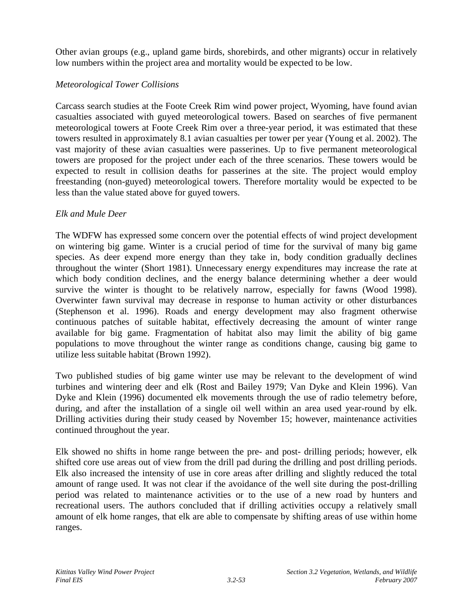Other avian groups (e.g., upland game birds, shorebirds, and other migrants) occur in relatively low numbers within the project area and mortality would be expected to be low.

# *Meteorological Tower Collisions*

Carcass search studies at the Foote Creek Rim wind power project, Wyoming, have found avian casualties associated with guyed meteorological towers. Based on searches of five permanent meteorological towers at Foote Creek Rim over a three-year period, it was estimated that these towers resulted in approximately 8.1 avian casualties per tower per year (Young et al. 2002). The vast majority of these avian casualties were passerines. Up to five permanent meteorological towers are proposed for the project under each of the three scenarios. These towers would be expected to result in collision deaths for passerines at the site. The project would employ freestanding (non-guyed) meteorological towers. Therefore mortality would be expected to be less than the value stated above for guyed towers.

#### *Elk and Mule Deer*

The WDFW has expressed some concern over the potential effects of wind project development on wintering big game. Winter is a crucial period of time for the survival of many big game species. As deer expend more energy than they take in, body condition gradually declines throughout the winter (Short 1981). Unnecessary energy expenditures may increase the rate at which body condition declines, and the energy balance determining whether a deer would survive the winter is thought to be relatively narrow, especially for fawns (Wood 1998). Overwinter fawn survival may decrease in response to human activity or other disturbances (Stephenson et al. 1996). Roads and energy development may also fragment otherwise continuous patches of suitable habitat, effectively decreasing the amount of winter range available for big game. Fragmentation of habitat also may limit the ability of big game populations to move throughout the winter range as conditions change, causing big game to utilize less suitable habitat (Brown 1992).

Two published studies of big game winter use may be relevant to the development of wind turbines and wintering deer and elk (Rost and Bailey 1979; Van Dyke and Klein 1996). Van Dyke and Klein (1996) documented elk movements through the use of radio telemetry before, during, and after the installation of a single oil well within an area used year-round by elk. Drilling activities during their study ceased by November 15; however, maintenance activities continued throughout the year.

Elk showed no shifts in home range between the pre- and post- drilling periods; however, elk shifted core use areas out of view from the drill pad during the drilling and post drilling periods. Elk also increased the intensity of use in core areas after drilling and slightly reduced the total amount of range used. It was not clear if the avoidance of the well site during the post-drilling period was related to maintenance activities or to the use of a new road by hunters and recreational users. The authors concluded that if drilling activities occupy a relatively small amount of elk home ranges, that elk are able to compensate by shifting areas of use within home ranges.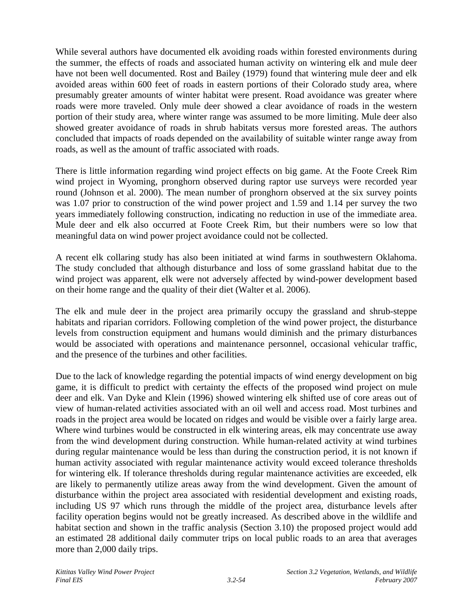While several authors have documented elk avoiding roads within forested environments during the summer, the effects of roads and associated human activity on wintering elk and mule deer have not been well documented. Rost and Bailey (1979) found that wintering mule deer and elk avoided areas within 600 feet of roads in eastern portions of their Colorado study area, where presumably greater amounts of winter habitat were present. Road avoidance was greater where roads were more traveled. Only mule deer showed a clear avoidance of roads in the western portion of their study area, where winter range was assumed to be more limiting. Mule deer also showed greater avoidance of roads in shrub habitats versus more forested areas. The authors concluded that impacts of roads depended on the availability of suitable winter range away from roads, as well as the amount of traffic associated with roads.

There is little information regarding wind project effects on big game. At the Foote Creek Rim wind project in Wyoming, pronghorn observed during raptor use surveys were recorded year round (Johnson et al. 2000). The mean number of pronghorn observed at the six survey points was 1.07 prior to construction of the wind power project and 1.59 and 1.14 per survey the two years immediately following construction, indicating no reduction in use of the immediate area. Mule deer and elk also occurred at Foote Creek Rim, but their numbers were so low that meaningful data on wind power project avoidance could not be collected.

A recent elk collaring study has also been initiated at wind farms in southwestern Oklahoma. The study concluded that although disturbance and loss of some grassland habitat due to the wind project was apparent, elk were not adversely affected by wind-power development based on their home range and the quality of their diet (Walter et al. 2006).

The elk and mule deer in the project area primarily occupy the grassland and shrub-steppe habitats and riparian corridors. Following completion of the wind power project, the disturbance levels from construction equipment and humans would diminish and the primary disturbances would be associated with operations and maintenance personnel, occasional vehicular traffic, and the presence of the turbines and other facilities.

Due to the lack of knowledge regarding the potential impacts of wind energy development on big game, it is difficult to predict with certainty the effects of the proposed wind project on mule deer and elk. Van Dyke and Klein (1996) showed wintering elk shifted use of core areas out of view of human-related activities associated with an oil well and access road. Most turbines and roads in the project area would be located on ridges and would be visible over a fairly large area. Where wind turbines would be constructed in elk wintering areas, elk may concentrate use away from the wind development during construction. While human-related activity at wind turbines during regular maintenance would be less than during the construction period, it is not known if human activity associated with regular maintenance activity would exceed tolerance thresholds for wintering elk. If tolerance thresholds during regular maintenance activities are exceeded, elk are likely to permanently utilize areas away from the wind development. Given the amount of disturbance within the project area associated with residential development and existing roads, including US 97 which runs through the middle of the project area, disturbance levels after facility operation begins would not be greatly increased. As described above in the wildlife and habitat section and shown in the traffic analysis (Section 3.10) the proposed project would add an estimated 28 additional daily commuter trips on local public roads to an area that averages more than 2,000 daily trips.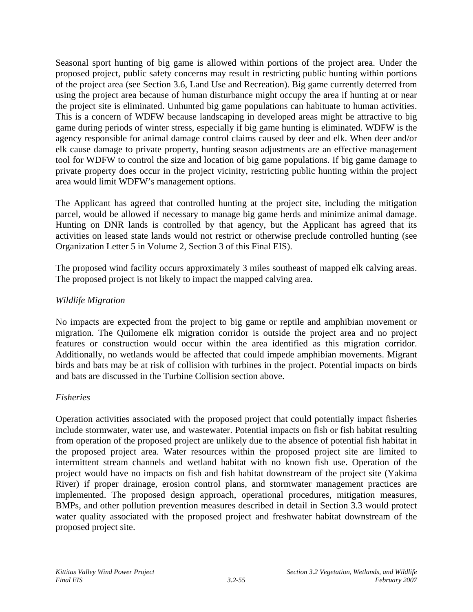Seasonal sport hunting of big game is allowed within portions of the project area. Under the proposed project, public safety concerns may result in restricting public hunting within portions of the project area (see Section 3.6, Land Use and Recreation). Big game currently deterred from using the project area because of human disturbance might occupy the area if hunting at or near the project site is eliminated. Unhunted big game populations can habituate to human activities. This is a concern of WDFW because landscaping in developed areas might be attractive to big game during periods of winter stress, especially if big game hunting is eliminated. WDFW is the agency responsible for animal damage control claims caused by deer and elk. When deer and/or elk cause damage to private property, hunting season adjustments are an effective management tool for WDFW to control the size and location of big game populations. If big game damage to private property does occur in the project vicinity, restricting public hunting within the project area would limit WDFW's management options.

The Applicant has agreed that controlled hunting at the project site, including the mitigation parcel, would be allowed if necessary to manage big game herds and minimize animal damage. Hunting on DNR lands is controlled by that agency, but the Applicant has agreed that its activities on leased state lands would not restrict or otherwise preclude controlled hunting (see Organization Letter 5 in Volume 2, Section 3 of this Final EIS).

The proposed wind facility occurs approximately 3 miles southeast of mapped elk calving areas. The proposed project is not likely to impact the mapped calving area.

#### *Wildlife Migration*

No impacts are expected from the project to big game or reptile and amphibian movement or migration. The Quilomene elk migration corridor is outside the project area and no project features or construction would occur within the area identified as this migration corridor. Additionally, no wetlands would be affected that could impede amphibian movements. Migrant birds and bats may be at risk of collision with turbines in the project. Potential impacts on birds and bats are discussed in the Turbine Collision section above.

#### *Fisheries*

Operation activities associated with the proposed project that could potentially impact fisheries include stormwater, water use, and wastewater. Potential impacts on fish or fish habitat resulting from operation of the proposed project are unlikely due to the absence of potential fish habitat in the proposed project area. Water resources within the proposed project site are limited to intermittent stream channels and wetland habitat with no known fish use. Operation of the project would have no impacts on fish and fish habitat downstream of the project site (Yakima River) if proper drainage, erosion control plans, and stormwater management practices are implemented. The proposed design approach, operational procedures, mitigation measures, BMPs, and other pollution prevention measures described in detail in Section 3.3 would protect water quality associated with the proposed project and freshwater habitat downstream of the proposed project site.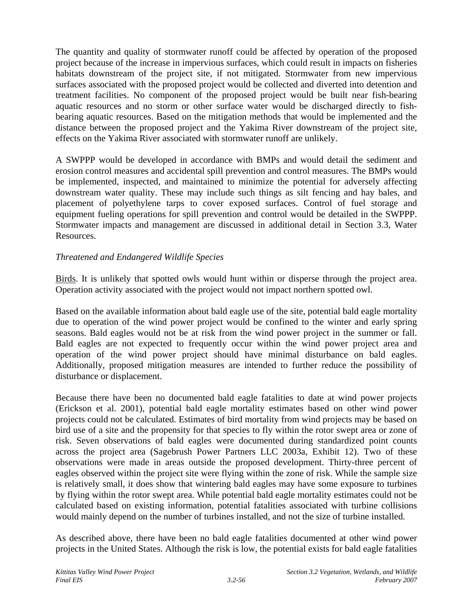The quantity and quality of stormwater runoff could be affected by operation of the proposed project because of the increase in impervious surfaces, which could result in impacts on fisheries habitats downstream of the project site, if not mitigated. Stormwater from new impervious surfaces associated with the proposed project would be collected and diverted into detention and treatment facilities. No component of the proposed project would be built near fish-bearing aquatic resources and no storm or other surface water would be discharged directly to fishbearing aquatic resources. Based on the mitigation methods that would be implemented and the distance between the proposed project and the Yakima River downstream of the project site, effects on the Yakima River associated with stormwater runoff are unlikely.

A SWPPP would be developed in accordance with BMPs and would detail the sediment and erosion control measures and accidental spill prevention and control measures. The BMPs would be implemented, inspected, and maintained to minimize the potential for adversely affecting downstream water quality. These may include such things as silt fencing and hay bales, and placement of polyethylene tarps to cover exposed surfaces. Control of fuel storage and equipment fueling operations for spill prevention and control would be detailed in the SWPPP. Stormwater impacts and management are discussed in additional detail in Section 3.3, Water Resources.

# *Threatened and Endangered Wildlife Species*

Birds. It is unlikely that spotted owls would hunt within or disperse through the project area. Operation activity associated with the project would not impact northern spotted owl.

Based on the available information about bald eagle use of the site, potential bald eagle mortality due to operation of the wind power project would be confined to the winter and early spring seasons. Bald eagles would not be at risk from the wind power project in the summer or fall. Bald eagles are not expected to frequently occur within the wind power project area and operation of the wind power project should have minimal disturbance on bald eagles. Additionally, proposed mitigation measures are intended to further reduce the possibility of disturbance or displacement.

Because there have been no documented bald eagle fatalities to date at wind power projects (Erickson et al. 2001), potential bald eagle mortality estimates based on other wind power projects could not be calculated. Estimates of bird mortality from wind projects may be based on bird use of a site and the propensity for that species to fly within the rotor swept area or zone of risk. Seven observations of bald eagles were documented during standardized point counts across the project area (Sagebrush Power Partners LLC 2003a, Exhibit 12). Two of these observations were made in areas outside the proposed development. Thirty-three percent of eagles observed within the project site were flying within the zone of risk. While the sample size is relatively small, it does show that wintering bald eagles may have some exposure to turbines by flying within the rotor swept area. While potential bald eagle mortality estimates could not be calculated based on existing information, potential fatalities associated with turbine collisions would mainly depend on the number of turbines installed, and not the size of turbine installed.

As described above, there have been no bald eagle fatalities documented at other wind power projects in the United States. Although the risk is low, the potential exists for bald eagle fatalities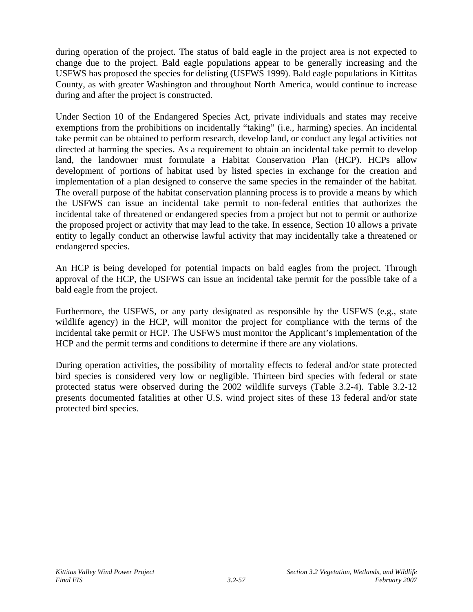during operation of the project. The status of bald eagle in the project area is not expected to change due to the project. Bald eagle populations appear to be generally increasing and the USFWS has proposed the species for delisting (USFWS 1999). Bald eagle populations in Kittitas County, as with greater Washington and throughout North America, would continue to increase during and after the project is constructed.

Under Section 10 of the Endangered Species Act, private individuals and states may receive exemptions from the prohibitions on incidentally "taking" (i.e., harming) species. An incidental take permit can be obtained to perform research, develop land, or conduct any legal activities not directed at harming the species. As a requirement to obtain an incidental take permit to develop land, the landowner must formulate a Habitat Conservation Plan (HCP). HCPs allow development of portions of habitat used by listed species in exchange for the creation and implementation of a plan designed to conserve the same species in the remainder of the habitat. The overall purpose of the habitat conservation planning process is to provide a means by which the USFWS can issue an incidental take permit to non-federal entities that authorizes the incidental take of threatened or endangered species from a project but not to permit or authorize the proposed project or activity that may lead to the take. In essence, Section 10 allows a private entity to legally conduct an otherwise lawful activity that may incidentally take a threatened or endangered species.

An HCP is being developed for potential impacts on bald eagles from the project. Through approval of the HCP, the USFWS can issue an incidental take permit for the possible take of a bald eagle from the project.

Furthermore, the USFWS, or any party designated as responsible by the USFWS (e.g., state wildlife agency) in the HCP, will monitor the project for compliance with the terms of the incidental take permit or HCP. The USFWS must monitor the Applicant's implementation of the HCP and the permit terms and conditions to determine if there are any violations.

During operation activities, the possibility of mortality effects to federal and/or state protected bird species is considered very low or negligible. Thirteen bird species with federal or state protected status were observed during the 2002 wildlife surveys (Table 3.2-4). Table 3.2-12 presents documented fatalities at other U.S. wind project sites of these 13 federal and/or state protected bird species.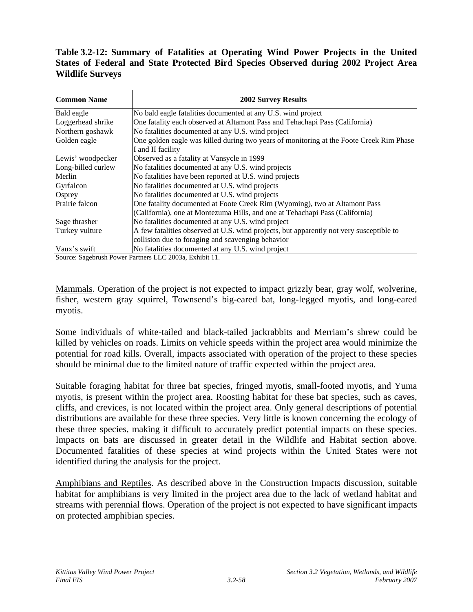**Table 3.2-12: Summary of Fatalities at Operating Wind Power Projects in the United States of Federal and State Protected Bird Species Observed during 2002 Project Area Wildlife Surveys** 

| <b>Common Name</b> | <b>2002 Survey Results</b>                                                              |  |  |  |  |
|--------------------|-----------------------------------------------------------------------------------------|--|--|--|--|
| Bald eagle         | No bald eagle fatalities documented at any U.S. wind project                            |  |  |  |  |
| Loggerhead shrike  | One fatality each observed at Altamont Pass and Tehachapi Pass (California)             |  |  |  |  |
| Northern goshawk   | No fatalities documented at any U.S. wind project                                       |  |  |  |  |
| Golden eagle       | One golden eagle was killed during two years of monitoring at the Foote Creek Rim Phase |  |  |  |  |
|                    | I and II facility                                                                       |  |  |  |  |
| Lewis' woodpecker  | Observed as a fatality at Vansycle in 1999                                              |  |  |  |  |
| Long-billed curlew | No fatalities documented at any U.S. wind projects                                      |  |  |  |  |
| Merlin             | No fatalities have been reported at U.S. wind projects                                  |  |  |  |  |
| Gyrfalcon          | No fatalities documented at U.S. wind projects                                          |  |  |  |  |
| Osprey             | No fatalities documented at U.S. wind projects                                          |  |  |  |  |
| Prairie falcon     | One fatality documented at Foote Creek Rim (Wyoming), two at Altamont Pass              |  |  |  |  |
|                    | (California), one at Montezuma Hills, and one at Tehachapi Pass (California)            |  |  |  |  |
| Sage thrasher      | No fatalities documented at any U.S. wind project                                       |  |  |  |  |
| Turkey vulture     | A few fatalities observed at U.S. wind projects, but apparently not very susceptible to |  |  |  |  |
|                    | collision due to foraging and scavenging behavior                                       |  |  |  |  |
| Vaux's swift       | No fatalities documented at any U.S. wind project                                       |  |  |  |  |

Source: Sagebrush Power Partners LLC 2003a, Exhibit 11.

Mammals. Operation of the project is not expected to impact grizzly bear, gray wolf, wolverine, fisher, western gray squirrel, Townsend's big-eared bat, long-legged myotis, and long-eared myotis.

Some individuals of white-tailed and black-tailed jackrabbits and Merriam's shrew could be killed by vehicles on roads. Limits on vehicle speeds within the project area would minimize the potential for road kills. Overall, impacts associated with operation of the project to these species should be minimal due to the limited nature of traffic expected within the project area.

Suitable foraging habitat for three bat species, fringed myotis, small-footed myotis, and Yuma myotis, is present within the project area. Roosting habitat for these bat species, such as caves, cliffs, and crevices, is not located within the project area. Only general descriptions of potential distributions are available for these three species. Very little is known concerning the ecology of these three species, making it difficult to accurately predict potential impacts on these species. Impacts on bats are discussed in greater detail in the Wildlife and Habitat section above. Documented fatalities of these species at wind projects within the United States were not identified during the analysis for the project.

Amphibians and Reptiles. As described above in the Construction Impacts discussion, suitable habitat for amphibians is very limited in the project area due to the lack of wetland habitat and streams with perennial flows. Operation of the project is not expected to have significant impacts on protected amphibian species.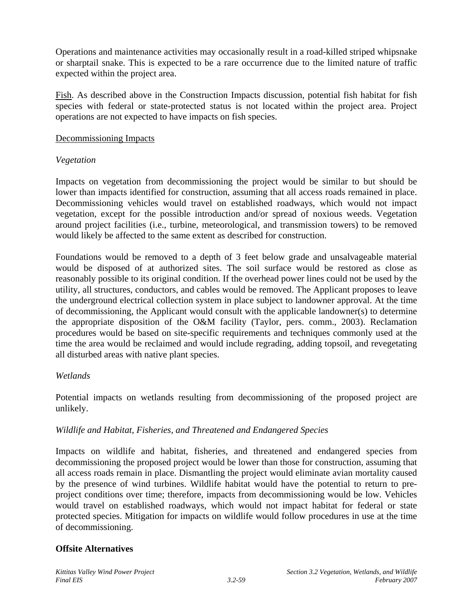Operations and maintenance activities may occasionally result in a road-killed striped whipsnake or sharptail snake. This is expected to be a rare occurrence due to the limited nature of traffic expected within the project area.

Fish. As described above in the Construction Impacts discussion, potential fish habitat for fish species with federal or state-protected status is not located within the project area. Project operations are not expected to have impacts on fish species.

#### Decommissioning Impacts

# *Vegetation*

Impacts on vegetation from decommissioning the project would be similar to but should be lower than impacts identified for construction, assuming that all access roads remained in place. Decommissioning vehicles would travel on established roadways, which would not impact vegetation, except for the possible introduction and/or spread of noxious weeds. Vegetation around project facilities (i.e., turbine, meteorological, and transmission towers) to be removed would likely be affected to the same extent as described for construction.

Foundations would be removed to a depth of 3 feet below grade and unsalvageable material would be disposed of at authorized sites. The soil surface would be restored as close as reasonably possible to its original condition. If the overhead power lines could not be used by the utility, all structures, conductors, and cables would be removed. The Applicant proposes to leave the underground electrical collection system in place subject to landowner approval. At the time of decommissioning, the Applicant would consult with the applicable landowner(s) to determine the appropriate disposition of the O&M facility (Taylor, pers. comm., 2003). Reclamation procedures would be based on site-specific requirements and techniques commonly used at the time the area would be reclaimed and would include regrading, adding topsoil, and revegetating all disturbed areas with native plant species.

# *Wetlands*

Potential impacts on wetlands resulting from decommissioning of the proposed project are unlikely.

# *Wildlife and Habitat, Fisheries, and Threatened and Endangered Species*

Impacts on wildlife and habitat, fisheries, and threatened and endangered species from decommissioning the proposed project would be lower than those for construction, assuming that all access roads remain in place. Dismantling the project would eliminate avian mortality caused by the presence of wind turbines. Wildlife habitat would have the potential to return to preproject conditions over time; therefore, impacts from decommissioning would be low. Vehicles would travel on established roadways, which would not impact habitat for federal or state protected species. Mitigation for impacts on wildlife would follow procedures in use at the time of decommissioning.

# **Offsite Alternatives**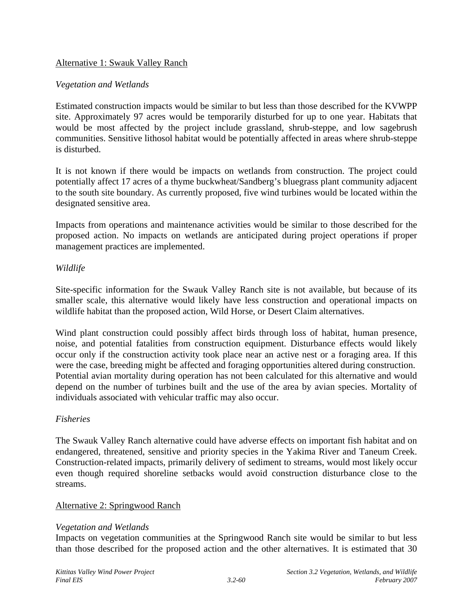#### Alternative 1: Swauk Valley Ranch

#### *Vegetation and Wetlands*

Estimated construction impacts would be similar to but less than those described for the KVWPP site. Approximately 97 acres would be temporarily disturbed for up to one year. Habitats that would be most affected by the project include grassland, shrub-steppe, and low sagebrush communities. Sensitive lithosol habitat would be potentially affected in areas where shrub-steppe is disturbed.

It is not known if there would be impacts on wetlands from construction. The project could potentially affect 17 acres of a thyme buckwheat/Sandberg's bluegrass plant community adjacent to the south site boundary. As currently proposed, five wind turbines would be located within the designated sensitive area.

Impacts from operations and maintenance activities would be similar to those described for the proposed action. No impacts on wetlands are anticipated during project operations if proper management practices are implemented.

#### *Wildlife*

Site-specific information for the Swauk Valley Ranch site is not available, but because of its smaller scale, this alternative would likely have less construction and operational impacts on wildlife habitat than the proposed action, Wild Horse, or Desert Claim alternatives.

Wind plant construction could possibly affect birds through loss of habitat, human presence, noise, and potential fatalities from construction equipment. Disturbance effects would likely occur only if the construction activity took place near an active nest or a foraging area. If this were the case, breeding might be affected and foraging opportunities altered during construction. Potential avian mortality during operation has not been calculated for this alternative and would depend on the number of turbines built and the use of the area by avian species. Mortality of individuals associated with vehicular traffic may also occur.

#### *Fisheries*

The Swauk Valley Ranch alternative could have adverse effects on important fish habitat and on endangered, threatened, sensitive and priority species in the Yakima River and Taneum Creek. Construction-related impacts, primarily delivery of sediment to streams, would most likely occur even though required shoreline setbacks would avoid construction disturbance close to the streams.

#### Alternative 2: Springwood Ranch

#### *Vegetation and Wetlands*

Impacts on vegetation communities at the Springwood Ranch site would be similar to but less than those described for the proposed action and the other alternatives. It is estimated that 30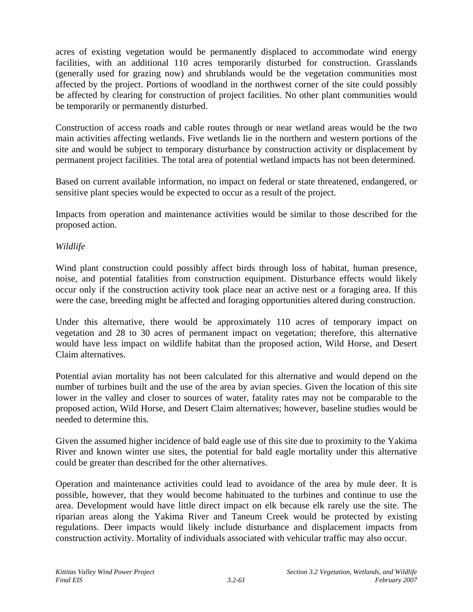acres of existing vegetation would be permanently displaced to accommodate wind energy facilities, with an additional 110 acres temporarily disturbed for construction. Grasslands (generally used for grazing now) and shrublands would be the vegetation communities most affected by the project. Portions of woodland in the northwest corner of the site could possibly be affected by clearing for construction of project facilities. No other plant communities would be temporarily or permanently disturbed.

Construction of access roads and cable routes through or near wetland areas would be the two main activities affecting wetlands. Five wetlands lie in the northern and western portions of the site and would be subject to temporary disturbance by construction activity or displacement by permanent project facilities. The total area of potential wetland impacts has not been determined.

Based on current available information, no impact on federal or state threatened, endangered, or sensitive plant species would be expected to occur as a result of the project.

Impacts from operation and maintenance activities would be similar to those described for the proposed action.

# *Wildlife*

Wind plant construction could possibly affect birds through loss of habitat, human presence, noise, and potential fatalities from construction equipment. Disturbance effects would likely occur only if the construction activity took place near an active nest or a foraging area. If this were the case, breeding might be affected and foraging opportunities altered during construction.

Under this alternative, there would be approximately 110 acres of temporary impact on vegetation and 28 to 30 acres of permanent impact on vegetation; therefore, this alternative would have less impact on wildlife habitat than the proposed action, Wild Horse, and Desert Claim alternatives.

Potential avian mortality has not been calculated for this alternative and would depend on the number of turbines built and the use of the area by avian species. Given the location of this site lower in the valley and closer to sources of water, fatality rates may not be comparable to the proposed action, Wild Horse, and Desert Claim alternatives; however, baseline studies would be needed to determine this.

Given the assumed higher incidence of bald eagle use of this site due to proximity to the Yakima River and known winter use sites, the potential for bald eagle mortality under this alternative could be greater than described for the other alternatives.

Operation and maintenance activities could lead to avoidance of the area by mule deer. It is possible, however, that they would become habituated to the turbines and continue to use the area. Development would have little direct impact on elk because elk rarely use the site. The riparian areas along the Yakima River and Taneum Creek would be protected by existing regulations. Deer impacts would likely include disturbance and displacement impacts from construction activity. Mortality of individuals associated with vehicular traffic may also occur.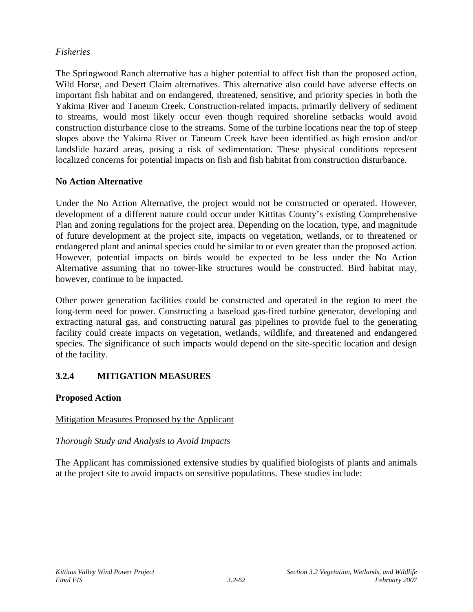# *Fisheries*

The Springwood Ranch alternative has a higher potential to affect fish than the proposed action, Wild Horse, and Desert Claim alternatives. This alternative also could have adverse effects on important fish habitat and on endangered, threatened, sensitive, and priority species in both the Yakima River and Taneum Creek. Construction-related impacts, primarily delivery of sediment to streams, would most likely occur even though required shoreline setbacks would avoid construction disturbance close to the streams. Some of the turbine locations near the top of steep slopes above the Yakima River or Taneum Creek have been identified as high erosion and/or landslide hazard areas, posing a risk of sedimentation. These physical conditions represent localized concerns for potential impacts on fish and fish habitat from construction disturbance.

#### **No Action Alternative**

Under the No Action Alternative, the project would not be constructed or operated. However, development of a different nature could occur under Kittitas County's existing Comprehensive Plan and zoning regulations for the project area. Depending on the location, type, and magnitude of future development at the project site, impacts on vegetation, wetlands, or to threatened or endangered plant and animal species could be similar to or even greater than the proposed action. However, potential impacts on birds would be expected to be less under the No Action Alternative assuming that no tower-like structures would be constructed. Bird habitat may, however, continue to be impacted.

Other power generation facilities could be constructed and operated in the region to meet the long-term need for power. Constructing a baseload gas-fired turbine generator, developing and extracting natural gas, and constructing natural gas pipelines to provide fuel to the generating facility could create impacts on vegetation, wetlands, wildlife, and threatened and endangered species. The significance of such impacts would depend on the site-specific location and design of the facility.

# **3.2.4 MITIGATION MEASURES**

# **Proposed Action**

# Mitigation Measures Proposed by the Applicant

#### *Thorough Study and Analysis to Avoid Impacts*

The Applicant has commissioned extensive studies by qualified biologists of plants and animals at the project site to avoid impacts on sensitive populations. These studies include: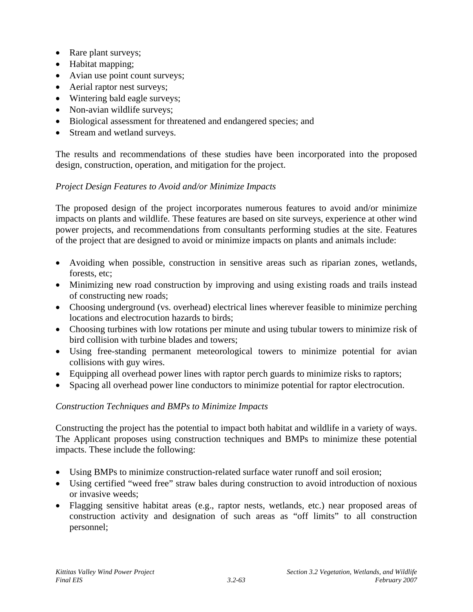- Rare plant surveys;
- Habitat mapping;
- Avian use point count surveys;
- Aerial raptor nest surveys;
- Wintering bald eagle surveys;
- Non-avian wildlife surveys;
- Biological assessment for threatened and endangered species; and
- Stream and wetland surveys.

The results and recommendations of these studies have been incorporated into the proposed design, construction, operation, and mitigation for the project.

# *Project Design Features to Avoid and/or Minimize Impacts*

The proposed design of the project incorporates numerous features to avoid and/or minimize impacts on plants and wildlife. These features are based on site surveys, experience at other wind power projects, and recommendations from consultants performing studies at the site. Features of the project that are designed to avoid or minimize impacts on plants and animals include:

- Avoiding when possible, construction in sensitive areas such as riparian zones, wetlands, forests, etc;
- Minimizing new road construction by improving and using existing roads and trails instead of constructing new roads;
- Choosing underground (vs. overhead) electrical lines wherever feasible to minimize perching locations and electrocution hazards to birds;
- Choosing turbines with low rotations per minute and using tubular towers to minimize risk of bird collision with turbine blades and towers;
- Using free-standing permanent meteorological towers to minimize potential for avian collisions with guy wires.
- Equipping all overhead power lines with raptor perch guards to minimize risks to raptors;
- Spacing all overhead power line conductors to minimize potential for raptor electrocution.

# *Construction Techniques and BMPs to Minimize Impacts*

Constructing the project has the potential to impact both habitat and wildlife in a variety of ways. The Applicant proposes using construction techniques and BMPs to minimize these potential impacts. These include the following:

- Using BMPs to minimize construction-related surface water runoff and soil erosion;
- Using certified "weed free" straw bales during construction to avoid introduction of noxious or invasive weeds;
- Flagging sensitive habitat areas (e.g., raptor nests, wetlands, etc.) near proposed areas of construction activity and designation of such areas as "off limits" to all construction personnel;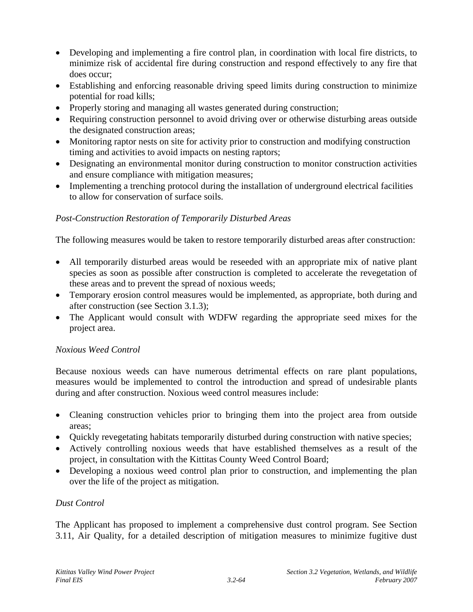- Developing and implementing a fire control plan, in coordination with local fire districts, to minimize risk of accidental fire during construction and respond effectively to any fire that does occur;
- Establishing and enforcing reasonable driving speed limits during construction to minimize potential for road kills;
- Properly storing and managing all wastes generated during construction;
- Requiring construction personnel to avoid driving over or otherwise disturbing areas outside the designated construction areas;
- Monitoring raptor nests on site for activity prior to construction and modifying construction timing and activities to avoid impacts on nesting raptors;
- Designating an environmental monitor during construction to monitor construction activities and ensure compliance with mitigation measures;
- Implementing a trenching protocol during the installation of underground electrical facilities to allow for conservation of surface soils.

# *Post-Construction Restoration of Temporarily Disturbed Areas*

The following measures would be taken to restore temporarily disturbed areas after construction:

- All temporarily disturbed areas would be reseeded with an appropriate mix of native plant species as soon as possible after construction is completed to accelerate the revegetation of these areas and to prevent the spread of noxious weeds;
- Temporary erosion control measures would be implemented, as appropriate, both during and after construction (see Section 3.1.3);
- The Applicant would consult with WDFW regarding the appropriate seed mixes for the project area.

# *Noxious Weed Control*

Because noxious weeds can have numerous detrimental effects on rare plant populations, measures would be implemented to control the introduction and spread of undesirable plants during and after construction. Noxious weed control measures include:

- Cleaning construction vehicles prior to bringing them into the project area from outside areas;
- Quickly revegetating habitats temporarily disturbed during construction with native species;
- Actively controlling noxious weeds that have established themselves as a result of the project, in consultation with the Kittitas County Weed Control Board;
- Developing a noxious weed control plan prior to construction, and implementing the plan over the life of the project as mitigation.

# *Dust Control*

The Applicant has proposed to implement a comprehensive dust control program. See Section 3.11, Air Quality, for a detailed description of mitigation measures to minimize fugitive dust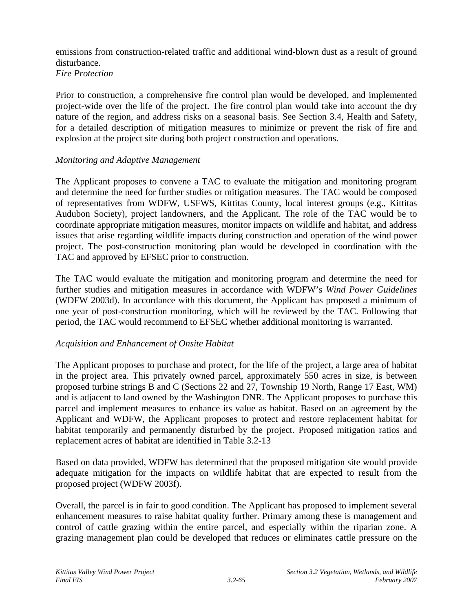emissions from construction-related traffic and additional wind-blown dust as a result of ground disturbance. *Fire Protection* 

Prior to construction, a comprehensive fire control plan would be developed, and implemented project-wide over the life of the project. The fire control plan would take into account the dry nature of the region, and address risks on a seasonal basis. See Section 3.4, Health and Safety, for a detailed description of mitigation measures to minimize or prevent the risk of fire and explosion at the project site during both project construction and operations.

#### *Monitoring and Adaptive Management*

The Applicant proposes to convene a TAC to evaluate the mitigation and monitoring program and determine the need for further studies or mitigation measures. The TAC would be composed of representatives from WDFW, USFWS, Kittitas County, local interest groups (e.g., Kittitas Audubon Society), project landowners, and the Applicant. The role of the TAC would be to coordinate appropriate mitigation measures, monitor impacts on wildlife and habitat, and address issues that arise regarding wildlife impacts during construction and operation of the wind power project. The post-construction monitoring plan would be developed in coordination with the TAC and approved by EFSEC prior to construction.

The TAC would evaluate the mitigation and monitoring program and determine the need for further studies and mitigation measures in accordance with WDFW's *Wind Power Guidelines*  (WDFW 2003d). In accordance with this document, the Applicant has proposed a minimum of one year of post-construction monitoring, which will be reviewed by the TAC. Following that period, the TAC would recommend to EFSEC whether additional monitoring is warranted.

# *Acquisition and Enhancement of Onsite Habitat*

The Applicant proposes to purchase and protect, for the life of the project, a large area of habitat in the project area. This privately owned parcel, approximately 550 acres in size, is between proposed turbine strings B and C (Sections 22 and 27, Township 19 North, Range 17 East, WM) and is adjacent to land owned by the Washington DNR. The Applicant proposes to purchase this parcel and implement measures to enhance its value as habitat. Based on an agreement by the Applicant and WDFW, the Applicant proposes to protect and restore replacement habitat for habitat temporarily and permanently disturbed by the project. Proposed mitigation ratios and replacement acres of habitat are identified in Table 3.2-13

Based on data provided, WDFW has determined that the proposed mitigation site would provide adequate mitigation for the impacts on wildlife habitat that are expected to result from the proposed project (WDFW 2003f).

Overall, the parcel is in fair to good condition. The Applicant has proposed to implement several enhancement measures to raise habitat quality further. Primary among these is management and control of cattle grazing within the entire parcel, and especially within the riparian zone. A grazing management plan could be developed that reduces or eliminates cattle pressure on the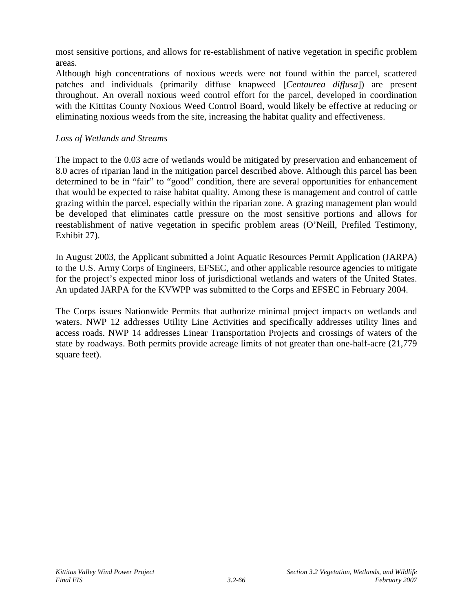most sensitive portions, and allows for re-establishment of native vegetation in specific problem areas.

Although high concentrations of noxious weeds were not found within the parcel, scattered patches and individuals (primarily diffuse knapweed [*Centaurea diffusa*]) are present throughout. An overall noxious weed control effort for the parcel, developed in coordination with the Kittitas County Noxious Weed Control Board, would likely be effective at reducing or eliminating noxious weeds from the site, increasing the habitat quality and effectiveness.

#### *Loss of Wetlands and Streams*

The impact to the 0.03 acre of wetlands would be mitigated by preservation and enhancement of 8.0 acres of riparian land in the mitigation parcel described above. Although this parcel has been determined to be in "fair" to "good" condition, there are several opportunities for enhancement that would be expected to raise habitat quality. Among these is management and control of cattle grazing within the parcel, especially within the riparian zone. A grazing management plan would be developed that eliminates cattle pressure on the most sensitive portions and allows for reestablishment of native vegetation in specific problem areas (O'Neill, Prefiled Testimony, Exhibit 27).

In August 2003, the Applicant submitted a Joint Aquatic Resources Permit Application (JARPA) to the U.S. Army Corps of Engineers, EFSEC, and other applicable resource agencies to mitigate for the project's expected minor loss of jurisdictional wetlands and waters of the United States. An updated JARPA for the KVWPP was submitted to the Corps and EFSEC in February 2004.

The Corps issues Nationwide Permits that authorize minimal project impacts on wetlands and waters. NWP 12 addresses Utility Line Activities and specifically addresses utility lines and access roads. NWP 14 addresses Linear Transportation Projects and crossings of waters of the state by roadways. Both permits provide acreage limits of not greater than one-half-acre (21,779 square feet).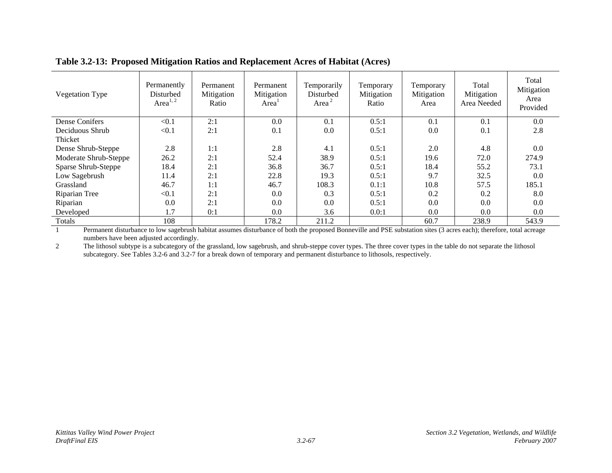| Vegetation Type       | Permanently<br>Disturbed<br>Area $^{1,2}$ | Permanent<br>Mitigation<br>Ratio | Permanent<br>Mitigation<br>Area <sup>1</sup> | Temporarily<br>Disturbed<br>Area $2$ | Temporary<br>Mitigation<br>Ratio | Temporary<br>Mitigation<br>Area | Total<br>Mitigation<br>Area Needed | Total<br>Mitigation<br>Area<br>Provided |
|-----------------------|-------------------------------------------|----------------------------------|----------------------------------------------|--------------------------------------|----------------------------------|---------------------------------|------------------------------------|-----------------------------------------|
| Dense Conifers        | < 0.1                                     | 2:1                              | 0.0                                          | 0.1                                  | 0.5:1                            | 0.1                             | 0.1                                | 0.0                                     |
| Deciduous Shrub       | < 0.1                                     | 2:1                              | 0.1                                          | 0.0                                  | 0.5:1                            | 0.0                             | 0.1                                | 2.8                                     |
| Thicket               |                                           |                                  |                                              |                                      |                                  |                                 |                                    |                                         |
| Dense Shrub-Steppe    | 2.8                                       | 1:1                              | 2.8                                          | 4.1                                  | 0.5:1                            | 2.0                             | 4.8                                | 0.0                                     |
| Moderate Shrub-Steppe | 26.2                                      | 2:1                              | 52.4                                         | 38.9                                 | 0.5:1                            | 19.6                            | 72.0                               | 274.9                                   |
| Sparse Shrub-Steppe   | 18.4                                      | 2:1                              | 36.8                                         | 36.7                                 | 0.5:1                            | 18.4                            | 55.2                               | 73.1                                    |
| Low Sagebrush         | 11.4                                      | 2:1                              | 22.8                                         | 19.3                                 | 0.5:1                            | 9.7                             | 32.5                               | 0.0                                     |
| Grassland             | 46.7                                      | 1:1                              | 46.7                                         | 108.3                                | 0.1:1                            | 10.8                            | 57.5                               | 185.1                                   |
| Riparian Tree         | < 0.1                                     | 2:1                              | 0.0                                          | 0.3                                  | 0.5:1                            | 0.2                             | 0.2                                | 8.0                                     |
| Riparian              | 0.0                                       | 2:1                              | 0.0                                          | 0.0                                  | 0.5:1                            | 0.0                             | 0.0                                | 0.0                                     |
| Developed             | 1.7                                       | 0:1                              | 0.0                                          | 3.6                                  | 0.0:1                            | 0.0                             | 0.0                                | 0.0                                     |
| Totals                | 108                                       |                                  | 178.2                                        | 211.2                                |                                  | 60.7                            | 238.9                              | 543.9                                   |

#### **Table 3.2-13: Proposed Mitigation Ratios and Replacement Acres of Habitat (Acres)**

1 Permanent disturbance to low sagebrush habitat assumes disturbance of both the proposed Bonneville and PSE substation sites (3 acres each); therefore, total acreage numbers have been adjusted accordingly.

2 The lithosol subtype is a subcategory of the grassland, low sagebrush, and shrub-steppe cover types. The three cover types in the table do not separate the lithosol subcategory. See Tables 3.2-6 and 3.2-7 for a break down of temporary and permanent disturbance to lithosols, respectively.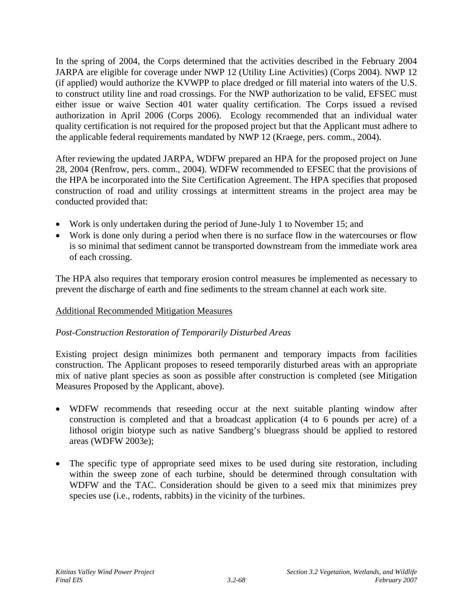In the spring of 2004, the Corps determined that the activities described in the February 2004 JARPA are eligible for coverage under NWP 12 (Utility Line Activities) (Corps 2004). NWP 12 (if applied) would authorize the KVWPP to place dredged or fill material into waters of the U.S. to construct utility line and road crossings. For the NWP authorization to be valid, EFSEC must either issue or waive Section 401 water quality certification. The Corps issued a revised authorization in April 2006 (Corps 2006). Ecology recommended that an individual water quality certification is not required for the proposed project but that the Applicant must adhere to the applicable federal requirements mandated by NWP 12 (Kraege, pers. comm., 2004).

After reviewing the updated JARPA, WDFW prepared an HPA for the proposed project on June 28, 2004 (Renfrow, pers. comm., 2004). WDFW recommended to EFSEC that the provisions of the HPA be incorporated into the Site Certification Agreement. The HPA specifies that proposed construction of road and utility crossings at intermittent streams in the project area may be conducted provided that:

- Work is only undertaken during the period of June-July 1 to November 15; and
- Work is done only during a period when there is no surface flow in the watercourses or flow is so minimal that sediment cannot be transported downstream from the immediate work area of each crossing.

The HPA also requires that temporary erosion control measures be implemented as necessary to prevent the discharge of earth and fine sediments to the stream channel at each work site.

# Additional Recommended Mitigation Measures

# *Post-Construction Restoration of Temporarily Disturbed Areas*

Existing project design minimizes both permanent and temporary impacts from facilities construction. The Applicant proposes to reseed temporarily disturbed areas with an appropriate mix of native plant species as soon as possible after construction is completed (see Mitigation Measures Proposed by the Applicant, above).

- WDFW recommends that reseeding occur at the next suitable planting window after construction is completed and that a broadcast application (4 to 6 pounds per acre) of a lithosol origin biotype such as native Sandberg's bluegrass should be applied to restored areas (WDFW 2003e);
- The specific type of appropriate seed mixes to be used during site restoration, including within the sweep zone of each turbine, should be determined through consultation with WDFW and the TAC. Consideration should be given to a seed mix that minimizes prey species use (i.e., rodents, rabbits) in the vicinity of the turbines.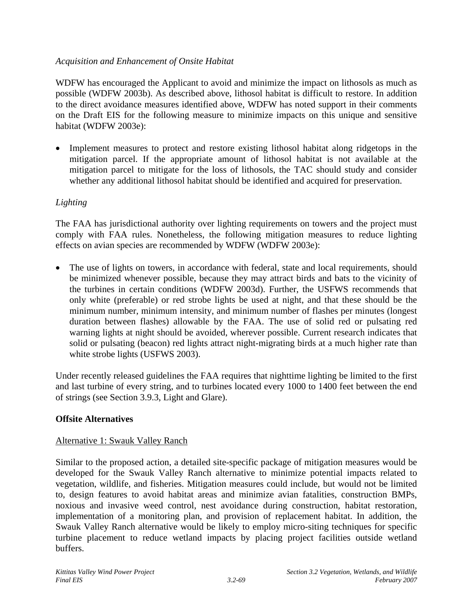# *Acquisition and Enhancement of Onsite Habitat*

WDFW has encouraged the Applicant to avoid and minimize the impact on lithosols as much as possible (WDFW 2003b). As described above, lithosol habitat is difficult to restore. In addition to the direct avoidance measures identified above, WDFW has noted support in their comments on the Draft EIS for the following measure to minimize impacts on this unique and sensitive habitat (WDFW 2003e):

• Implement measures to protect and restore existing lithosol habitat along ridgetops in the mitigation parcel. If the appropriate amount of lithosol habitat is not available at the mitigation parcel to mitigate for the loss of lithosols, the TAC should study and consider whether any additional lithosol habitat should be identified and acquired for preservation.

# *Lighting*

The FAA has jurisdictional authority over lighting requirements on towers and the project must comply with FAA rules. Nonetheless, the following mitigation measures to reduce lighting effects on avian species are recommended by WDFW (WDFW 2003e):

The use of lights on towers, in accordance with federal, state and local requirements, should be minimized whenever possible, because they may attract birds and bats to the vicinity of the turbines in certain conditions (WDFW 2003d). Further, the USFWS recommends that only white (preferable) or red strobe lights be used at night, and that these should be the minimum number, minimum intensity, and minimum number of flashes per minutes (longest duration between flashes) allowable by the FAA. The use of solid red or pulsating red warning lights at night should be avoided, wherever possible. Current research indicates that solid or pulsating (beacon) red lights attract night-migrating birds at a much higher rate than white strobe lights (USFWS 2003).

Under recently released guidelines the FAA requires that nighttime lighting be limited to the first and last turbine of every string, and to turbines located every 1000 to 1400 feet between the end of strings (see Section 3.9.3, Light and Glare).

# **Offsite Alternatives**

# Alternative 1: Swauk Valley Ranch

Similar to the proposed action, a detailed site-specific package of mitigation measures would be developed for the Swauk Valley Ranch alternative to minimize potential impacts related to vegetation, wildlife, and fisheries. Mitigation measures could include, but would not be limited to, design features to avoid habitat areas and minimize avian fatalities, construction BMPs, noxious and invasive weed control, nest avoidance during construction, habitat restoration, implementation of a monitoring plan, and provision of replacement habitat. In addition, the Swauk Valley Ranch alternative would be likely to employ micro-siting techniques for specific turbine placement to reduce wetland impacts by placing project facilities outside wetland buffers.